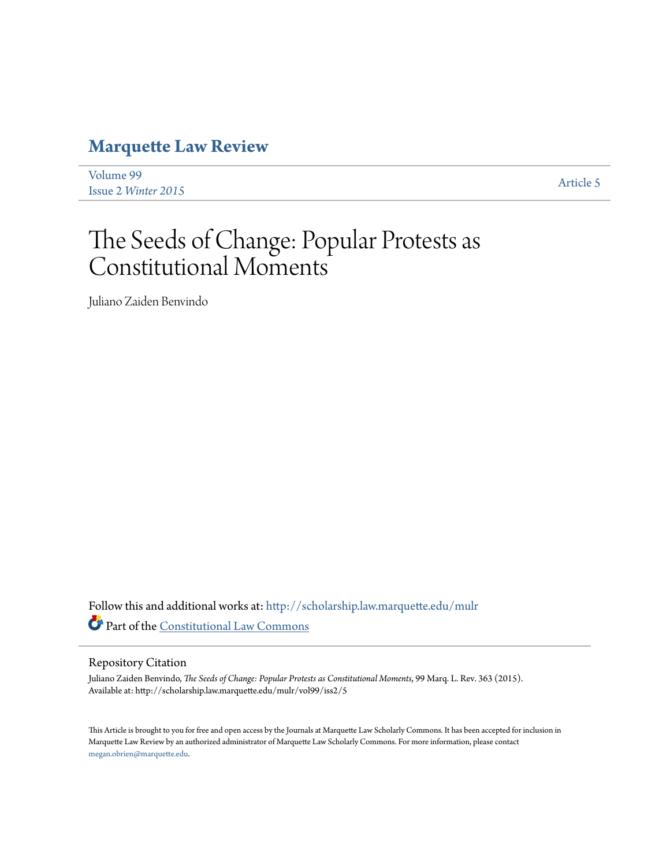# **[Marquette Law Review](http://scholarship.law.marquette.edu/mulr?utm_source=scholarship.law.marquette.edu%2Fmulr%2Fvol99%2Fiss2%2F5&utm_medium=PDF&utm_campaign=PDFCoverPages)**

| Volume 99           | Article 5 |
|---------------------|-----------|
| Issue 2 Winter 2015 |           |

# The Seeds of Change: Popular Protests as Constitutional Moments

Juliano Zaiden Benvindo

Follow this and additional works at: [http://scholarship.law.marquette.edu/mulr](http://scholarship.law.marquette.edu/mulr?utm_source=scholarship.law.marquette.edu%2Fmulr%2Fvol99%2Fiss2%2F5&utm_medium=PDF&utm_campaign=PDFCoverPages) Part of the [Constitutional Law Commons](http://network.bepress.com/hgg/discipline/589?utm_source=scholarship.law.marquette.edu%2Fmulr%2Fvol99%2Fiss2%2F5&utm_medium=PDF&utm_campaign=PDFCoverPages)

# Repository Citation

Juliano Zaiden Benvindo, *The Seeds of Change: Popular Protests as Constitutional Moments*, 99 Marq. L. Rev. 363 (2015). Available at: http://scholarship.law.marquette.edu/mulr/vol99/iss2/5

This Article is brought to you for free and open access by the Journals at Marquette Law Scholarly Commons. It has been accepted for inclusion in Marquette Law Review by an authorized administrator of Marquette Law Scholarly Commons. For more information, please contact [megan.obrien@marquette.edu.](mailto:megan.obrien@marquette.edu)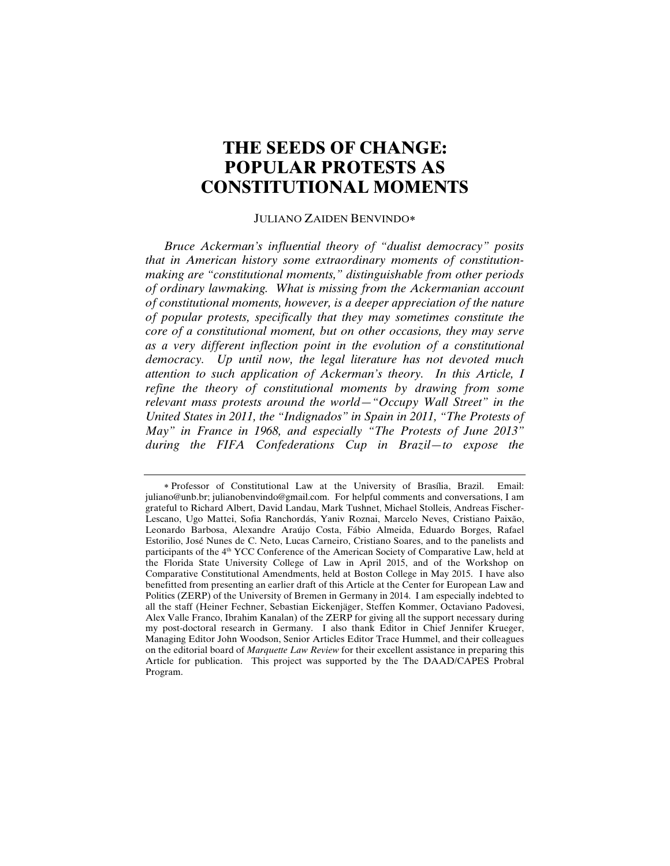# **THE SEEDS OF CHANGE: POPULAR PROTESTS AS CONSTITUTIONAL MOMENTS**

#### JULIANO ZAIDEN BENVINDO

*Bruce Ackerman's influential theory of "dualist democracy" posits that in American history some extraordinary moments of constitutionmaking are "constitutional moments," distinguishable from other periods of ordinary lawmaking. What is missing from the Ackermanian account of constitutional moments, however, is a deeper appreciation of the nature of popular protests, specifically that they may sometimes constitute the core of a constitutional moment, but on other occasions, they may serve as a very different inflection point in the evolution of a constitutional democracy. Up until now, the legal literature has not devoted much attention to such application of Ackerman's theory. In this Article, I refine the theory of constitutional moments by drawing from some relevant mass protests around the world—"Occupy Wall Street" in the United States in 2011, the "Indignados" in Spain in 2011, "The Protests of May" in France in 1968, and especially "The Protests of June 2013" during the FIFA Confederations Cup in Brazil—to expose the* 

Professor of Constitutional Law at the University of Brasília, Brazil. Email: juliano@unb.br; julianobenvindo@gmail.com. For helpful comments and conversations, I am grateful to Richard Albert, David Landau, Mark Tushnet, Michael Stolleis, Andreas Fischer-Lescano, Ugo Mattei, Sofia Ranchordás, Yaniv Roznai, Marcelo Neves, Cristiano Paixão, Leonardo Barbosa, Alexandre Araújo Costa, Fábio Almeida, Eduardo Borges, Rafael Estorilio, José Nunes de C. Neto, Lucas Carneiro, Cristiano Soares, and to the panelists and participants of the 4th YCC Conference of the American Society of Comparative Law, held at the Florida State University College of Law in April 2015, and of the Workshop on Comparative Constitutional Amendments, held at Boston College in May 2015. I have also benefitted from presenting an earlier draft of this Article at the Center for European Law and Politics (ZERP) of the University of Bremen in Germany in 2014. I am especially indebted to all the staff (Heiner Fechner, Sebastian Eickenjäger, Steffen Kommer, Octaviano Padovesi, Alex Valle Franco, Ibrahim Kanalan) of the ZERP for giving all the support necessary during my post-doctoral research in Germany. I also thank Editor in Chief Jennifer Krueger, Managing Editor John Woodson, Senior Articles Editor Trace Hummel, and their colleagues on the editorial board of *Marquette Law Review* for their excellent assistance in preparing this Article for publication. This project was supported by the The DAAD/CAPES Probral Program.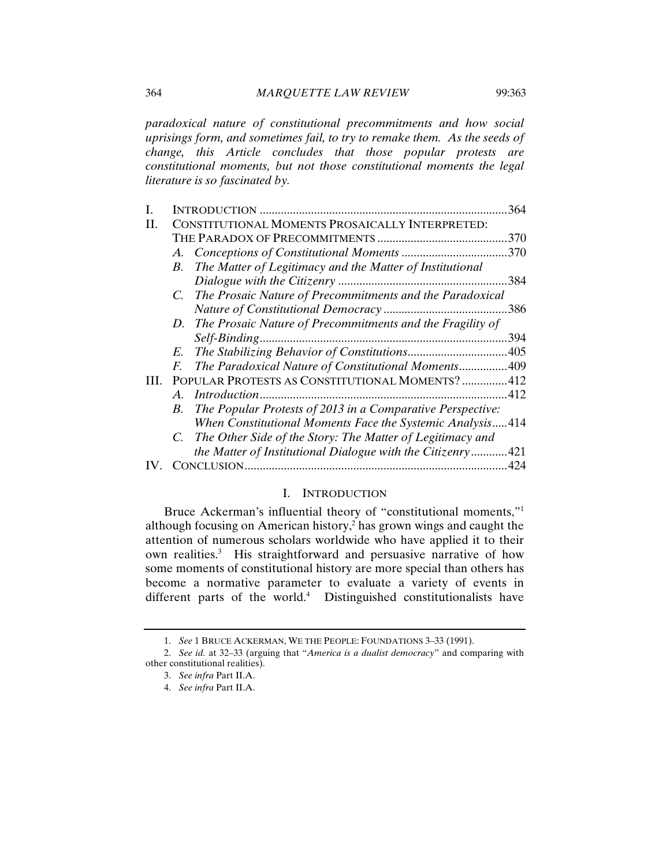*paradoxical nature of constitutional precommitments and how social uprisings form, and sometimes fail, to try to remake them. As the seeds of change, this Article concludes that those popular protests are constitutional moments, but not those constitutional moments the legal literature is so fascinated by.* 

| I. |                                                                  | 364  |
|----|------------------------------------------------------------------|------|
| H. | CONSTITUTIONAL MOMENTS PROSAICALLY INTERPRETED:                  |      |
|    |                                                                  | 370  |
|    |                                                                  | .370 |
|    | The Matter of Legitimacy and the Matter of Institutional<br>B.   |      |
|    |                                                                  | .384 |
|    | C. The Prosaic Nature of Precommitments and the Paradoxical      |      |
|    |                                                                  |      |
|    | D. The Prosaic Nature of Precommitments and the Fragility of     |      |
|    |                                                                  | 394  |
|    | E.                                                               |      |
|    | The Paradoxical Nature of Constitutional Moments 409<br>F.       |      |
| Ш. | POPULAR PROTESTS AS CONSTITUTIONAL MOMENTS?412                   |      |
|    | $A_{\cdot}$                                                      | 412  |
|    | The Popular Protests of 2013 in a Comparative Perspective:<br>B. |      |
|    | When Constitutional Moments Face the Systemic Analysis414        |      |
|    | The Other Side of the Story: The Matter of Legitimacy and        |      |
|    | the Matter of Institutional Dialogue with the Citizenry421       |      |
|    |                                                                  | .424 |
|    |                                                                  |      |

# I. INTRODUCTION

Bruce Ackerman's influential theory of "constitutional moments,"1 although focusing on American history,2 has grown wings and caught the attention of numerous scholars worldwide who have applied it to their own realities.<sup>3</sup> His straightforward and persuasive narrative of how some moments of constitutional history are more special than others has become a normative parameter to evaluate a variety of events in different parts of the world.<sup>4</sup> Distinguished constitutionalists have

<sup>1.</sup> *See* 1 BRUCE ACKERMAN, WE THE PEOPLE: FOUNDATIONS 3–33 (1991).

<sup>2.</sup> *See id.* at 32–33 (arguing that "*America is a dualist democracy*" and comparing with other constitutional realities).

<sup>3.</sup> *See infra* Part II.A.

<sup>4.</sup> *See infra* Part II.A.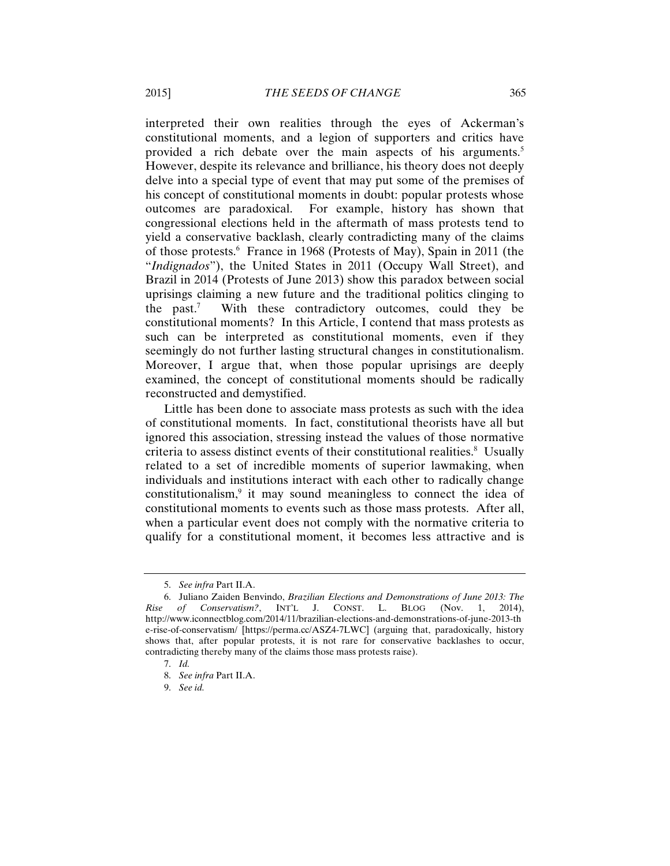interpreted their own realities through the eyes of Ackerman's constitutional moments, and a legion of supporters and critics have provided a rich debate over the main aspects of his arguments.<sup>5</sup> However, despite its relevance and brilliance, his theory does not deeply delve into a special type of event that may put some of the premises of his concept of constitutional moments in doubt: popular protests whose outcomes are paradoxical. For example, history has shown that congressional elections held in the aftermath of mass protests tend to yield a conservative backlash, clearly contradicting many of the claims of those protests.<sup>6</sup> France in 1968 (Protests of May), Spain in 2011 (the "*Indignados*"), the United States in 2011 (Occupy Wall Street), and Brazil in 2014 (Protests of June 2013) show this paradox between social uprisings claiming a new future and the traditional politics clinging to the past. $<sup>7</sup>$ </sup> With these contradictory outcomes, could they be constitutional moments? In this Article, I contend that mass protests as such can be interpreted as constitutional moments, even if they seemingly do not further lasting structural changes in constitutionalism. Moreover, I argue that, when those popular uprisings are deeply examined, the concept of constitutional moments should be radically reconstructed and demystified.

Little has been done to associate mass protests as such with the idea of constitutional moments. In fact, constitutional theorists have all but ignored this association, stressing instead the values of those normative criteria to assess distinct events of their constitutional realities.<sup>8</sup> Usually related to a set of incredible moments of superior lawmaking, when individuals and institutions interact with each other to radically change constitutionalism,<sup>9</sup> it may sound meaningless to connect the idea of constitutional moments to events such as those mass protests. After all, when a particular event does not comply with the normative criteria to qualify for a constitutional moment, it becomes less attractive and is

<sup>5.</sup> *See infra* Part II.A.

<sup>6.</sup> Juliano Zaiden Benvindo, *Brazilian Elections and Demonstrations of June 2013: The Rise of Conservatism?*, INT'L J. CONST. L. BLOG (Nov. 1, 2014), http://www.iconnectblog.com/2014/11/brazilian-elections-and-demonstrations-of-june-2013-th e-rise-of-conservatism/ [https://perma.cc/ASZ4-7LWC] (arguing that, paradoxically, history shows that, after popular protests, it is not rare for conservative backlashes to occur, contradicting thereby many of the claims those mass protests raise).

<sup>7.</sup> *Id.*

<sup>8.</sup> *See infra* Part II.A.

<sup>9.</sup> *See id.*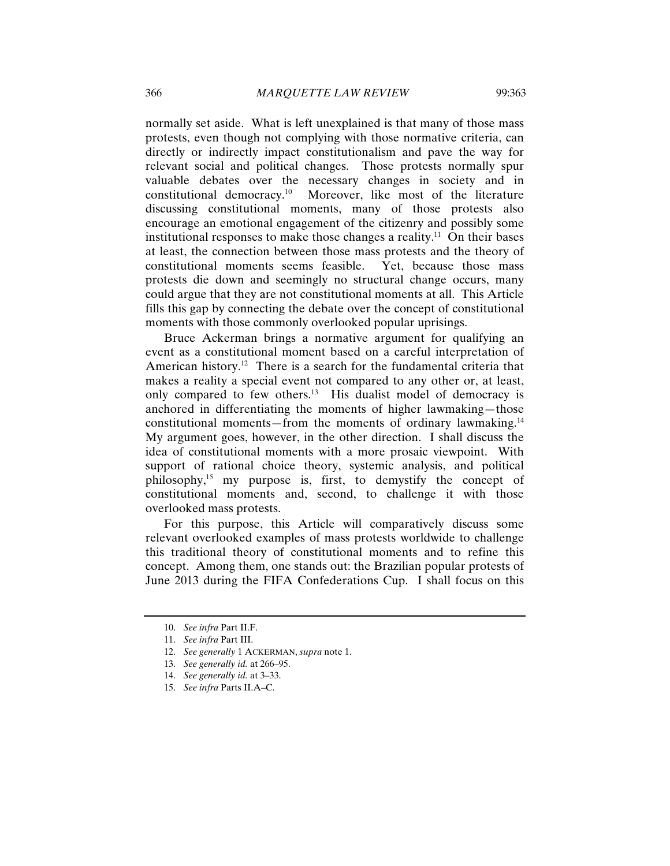normally set aside. What is left unexplained is that many of those mass protests, even though not complying with those normative criteria, can directly or indirectly impact constitutionalism and pave the way for relevant social and political changes. Those protests normally spur valuable debates over the necessary changes in society and in constitutional democracy.10 Moreover, like most of the literature discussing constitutional moments, many of those protests also encourage an emotional engagement of the citizenry and possibly some institutional responses to make those changes a reality.<sup>11</sup> On their bases at least, the connection between those mass protests and the theory of constitutional moments seems feasible. Yet, because those mass protests die down and seemingly no structural change occurs, many could argue that they are not constitutional moments at all. This Article fills this gap by connecting the debate over the concept of constitutional moments with those commonly overlooked popular uprisings.

Bruce Ackerman brings a normative argument for qualifying an event as a constitutional moment based on a careful interpretation of American history.<sup>12</sup> There is a search for the fundamental criteria that makes a reality a special event not compared to any other or, at least, only compared to few others.<sup>13</sup> His dualist model of democracy is anchored in differentiating the moments of higher lawmaking—those constitutional moments—from the moments of ordinary lawmaking.14 My argument goes, however, in the other direction. I shall discuss the idea of constitutional moments with a more prosaic viewpoint. With support of rational choice theory, systemic analysis, and political philosophy,15 my purpose is, first, to demystify the concept of constitutional moments and, second, to challenge it with those overlooked mass protests.

For this purpose, this Article will comparatively discuss some relevant overlooked examples of mass protests worldwide to challenge this traditional theory of constitutional moments and to refine this concept. Among them, one stands out: the Brazilian popular protests of June 2013 during the FIFA Confederations Cup. I shall focus on this

<sup>10.</sup> *See infra* Part II.F.

<sup>11.</sup> *See infra* Part III.

<sup>12.</sup> *See generally* 1 ACKERMAN, *supra* note 1.

<sup>13.</sup> *See generally id.* at 266–95.

<sup>14.</sup> *See generally id.* at 3–33.

<sup>15.</sup> *See infra* Parts II.A–C.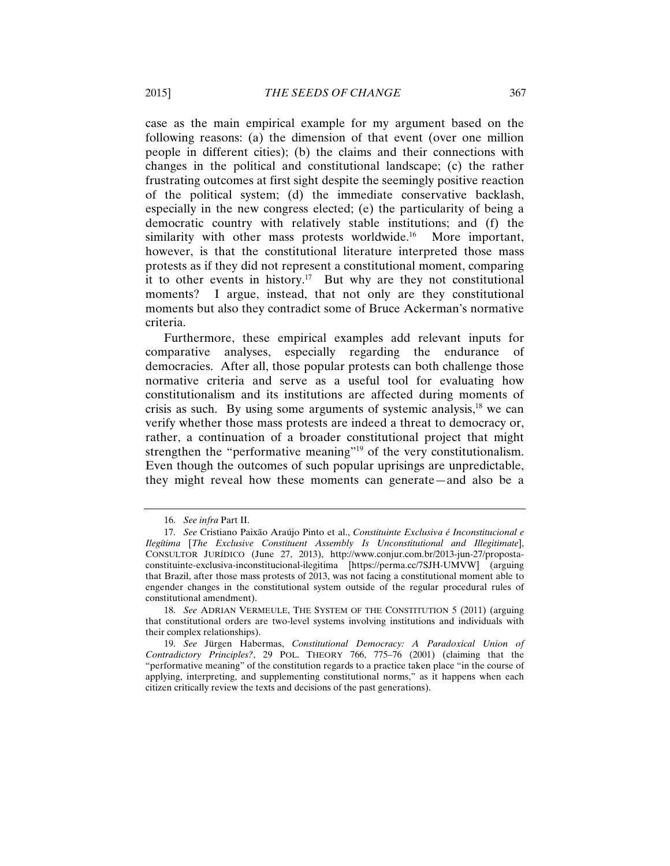case as the main empirical example for my argument based on the following reasons: (a) the dimension of that event (over one million people in different cities); (b) the claims and their connections with changes in the political and constitutional landscape; (c) the rather frustrating outcomes at first sight despite the seemingly positive reaction of the political system; (d) the immediate conservative backlash, especially in the new congress elected; (e) the particularity of being a democratic country with relatively stable institutions; and (f) the similarity with other mass protests worldwide.<sup>16</sup> More important, however, is that the constitutional literature interpreted those mass protests as if they did not represent a constitutional moment, comparing it to other events in history.<sup>17</sup> But why are they not constitutional moments? I argue, instead, that not only are they constitutional moments but also they contradict some of Bruce Ackerman's normative criteria.

Furthermore, these empirical examples add relevant inputs for comparative analyses, especially regarding the endurance of democracies. After all, those popular protests can both challenge those normative criteria and serve as a useful tool for evaluating how constitutionalism and its institutions are affected during moments of crisis as such. By using some arguments of systemic analysis, $18$  we can verify whether those mass protests are indeed a threat to democracy or, rather, a continuation of a broader constitutional project that might strengthen the "performative meaning"<sup>19</sup> of the very constitutionalism. Even though the outcomes of such popular uprisings are unpredictable, they might reveal how these moments can generate—and also be a

<sup>16.</sup> *See infra* Part II.

<sup>17.</sup> *See* Cristiano Paixão Araújo Pinto et al., *Constituinte Exclusiva é Inconstitucional e Ilegítima* [*The Exclusive Constituent Assembly Is Unconstitutional and Illegitimate*], CONSULTOR JURÍDICO (June 27, 2013), http://www.conjur.com.br/2013-jun-27/propostaconstituinte-exclusiva-inconstitucional-ilegitima [https://perma.cc/7SJH-UMVW] (arguing that Brazil, after those mass protests of 2013, was not facing a constitutional moment able to engender changes in the constitutional system outside of the regular procedural rules of constitutional amendment).

<sup>18.</sup> *See* ADRIAN VERMEULE, THE SYSTEM OF THE CONSTITUTION 5 (2011) (arguing that constitutional orders are two-level systems involving institutions and individuals with their complex relationships).

<sup>19.</sup> *See* Jürgen Habermas, *Constitutional Democracy: A Paradoxical Union of Contradictory Principles?*, 29 POL. THEORY 766, 775–76 (2001) (claiming that the "performative meaning" of the constitution regards to a practice taken place "in the course of applying, interpreting, and supplementing constitutional norms," as it happens when each citizen critically review the texts and decisions of the past generations).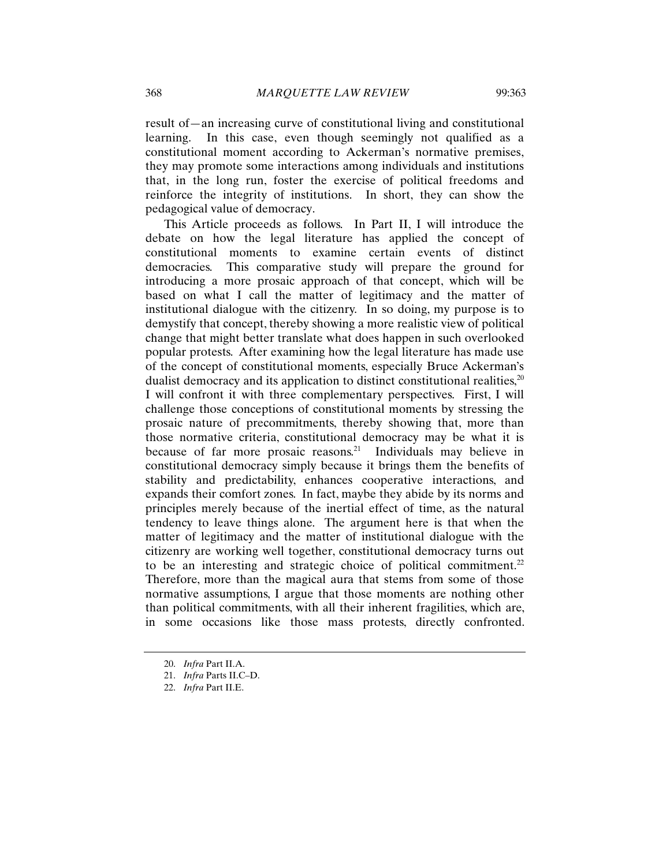result of—an increasing curve of constitutional living and constitutional learning. In this case, even though seemingly not qualified as a constitutional moment according to Ackerman's normative premises, they may promote some interactions among individuals and institutions that, in the long run, foster the exercise of political freedoms and reinforce the integrity of institutions. In short, they can show the pedagogical value of democracy.

This Article proceeds as follows. In Part II, I will introduce the debate on how the legal literature has applied the concept of constitutional moments to examine certain events of distinct democracies. This comparative study will prepare the ground for introducing a more prosaic approach of that concept, which will be based on what I call the matter of legitimacy and the matter of institutional dialogue with the citizenry. In so doing, my purpose is to demystify that concept, thereby showing a more realistic view of political change that might better translate what does happen in such overlooked popular protests. After examining how the legal literature has made use of the concept of constitutional moments, especially Bruce Ackerman's dualist democracy and its application to distinct constitutional realities,  $20$ I will confront it with three complementary perspectives. First, I will challenge those conceptions of constitutional moments by stressing the prosaic nature of precommitments, thereby showing that, more than those normative criteria, constitutional democracy may be what it is because of far more prosaic reasons.<sup>21</sup> Individuals may believe in constitutional democracy simply because it brings them the benefits of stability and predictability, enhances cooperative interactions, and expands their comfort zones. In fact, maybe they abide by its norms and principles merely because of the inertial effect of time, as the natural tendency to leave things alone. The argument here is that when the matter of legitimacy and the matter of institutional dialogue with the citizenry are working well together, constitutional democracy turns out to be an interesting and strategic choice of political commitment.<sup>22</sup> Therefore, more than the magical aura that stems from some of those normative assumptions, I argue that those moments are nothing other than political commitments, with all their inherent fragilities, which are, in some occasions like those mass protests, directly confronted.

<sup>20.</sup> *Infra* Part II.A.

<sup>21.</sup> *Infra* Parts II.C–D.

<sup>22.</sup> *Infra* Part II.E.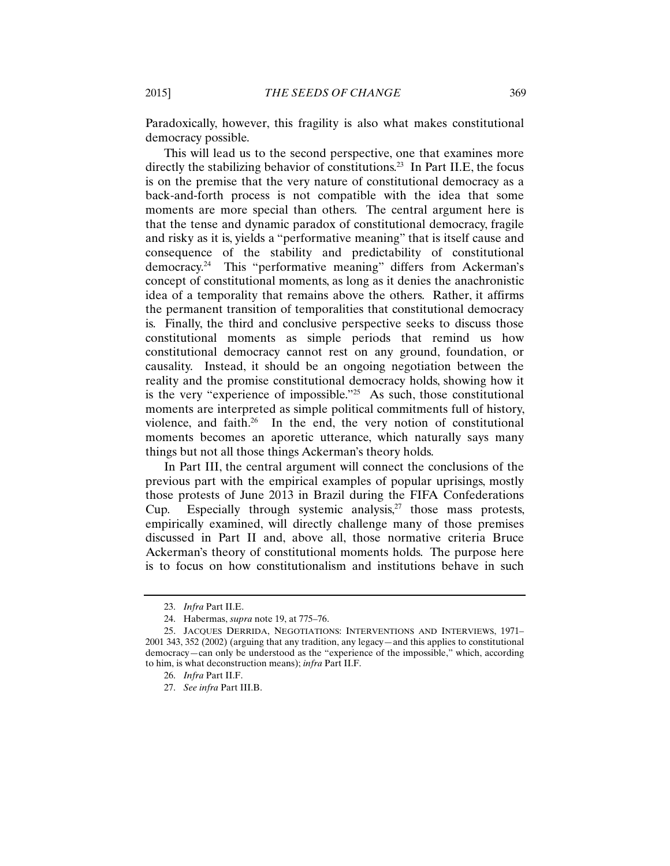Paradoxically, however, this fragility is also what makes constitutional democracy possible.

This will lead us to the second perspective, one that examines more directly the stabilizing behavior of constitutions.<sup>23</sup> In Part II.E, the focus is on the premise that the very nature of constitutional democracy as a back-and-forth process is not compatible with the idea that some moments are more special than others. The central argument here is that the tense and dynamic paradox of constitutional democracy, fragile and risky as it is, yields a "performative meaning" that is itself cause and consequence of the stability and predictability of constitutional democracy.24 This "performative meaning" differs from Ackerman's concept of constitutional moments, as long as it denies the anachronistic idea of a temporality that remains above the others. Rather, it affirms the permanent transition of temporalities that constitutional democracy is. Finally, the third and conclusive perspective seeks to discuss those constitutional moments as simple periods that remind us how constitutional democracy cannot rest on any ground, foundation, or causality. Instead, it should be an ongoing negotiation between the reality and the promise constitutional democracy holds, showing how it is the very "experience of impossible."25 As such, those constitutional moments are interpreted as simple political commitments full of history, violence, and faith. $26$  In the end, the very notion of constitutional moments becomes an aporetic utterance, which naturally says many things but not all those things Ackerman's theory holds.

In Part III, the central argument will connect the conclusions of the previous part with the empirical examples of popular uprisings, mostly those protests of June 2013 in Brazil during the FIFA Confederations Cup. Especially through systemic analysis, $27$  those mass protests, empirically examined, will directly challenge many of those premises discussed in Part II and, above all, those normative criteria Bruce Ackerman's theory of constitutional moments holds. The purpose here is to focus on how constitutionalism and institutions behave in such

<sup>23.</sup> *Infra* Part II.E.

<sup>24.</sup> Habermas, *supra* note 19, at 775–76.

<sup>25.</sup> JACQUES DERRIDA, NEGOTIATIONS: INTERVENTIONS AND INTERVIEWS, 1971– 2001 343, 352 (2002) (arguing that any tradition, any legacy—and this applies to constitutional democracy—can only be understood as the "experience of the impossible," which, according to him, is what deconstruction means); *infra* Part II.F.

<sup>26.</sup> *Infra* Part II.F.

<sup>27.</sup> *See infra* Part III.B.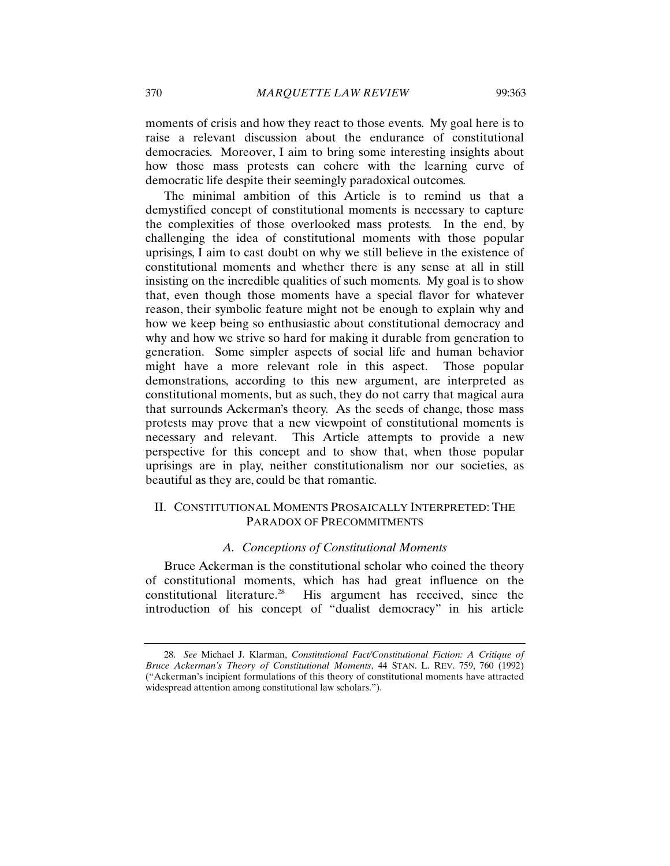moments of crisis and how they react to those events. My goal here is to raise a relevant discussion about the endurance of constitutional democracies. Moreover, I aim to bring some interesting insights about how those mass protests can cohere with the learning curve of democratic life despite their seemingly paradoxical outcomes.

The minimal ambition of this Article is to remind us that a demystified concept of constitutional moments is necessary to capture the complexities of those overlooked mass protests. In the end, by challenging the idea of constitutional moments with those popular uprisings, I aim to cast doubt on why we still believe in the existence of constitutional moments and whether there is any sense at all in still insisting on the incredible qualities of such moments. My goal is to show that, even though those moments have a special flavor for whatever reason, their symbolic feature might not be enough to explain why and how we keep being so enthusiastic about constitutional democracy and why and how we strive so hard for making it durable from generation to generation. Some simpler aspects of social life and human behavior might have a more relevant role in this aspect. Those popular demonstrations, according to this new argument, are interpreted as constitutional moments, but as such, they do not carry that magical aura that surrounds Ackerman's theory. As the seeds of change, those mass protests may prove that a new viewpoint of constitutional moments is necessary and relevant. This Article attempts to provide a new perspective for this concept and to show that, when those popular uprisings are in play, neither constitutionalism nor our societies, as beautiful as they are, could be that romantic.

# II. CONSTITUTIONAL MOMENTS PROSAICALLY INTERPRETED: THE PARADOX OF PRECOMMITMENTS

# *A. Conceptions of Constitutional Moments*

Bruce Ackerman is the constitutional scholar who coined the theory of constitutional moments, which has had great influence on the constitutional literature.28 His argument has received, since the introduction of his concept of "dualist democracy" in his article

<sup>28.</sup> *See* Michael J. Klarman, *Constitutional Fact/Constitutional Fiction: A Critique of Bruce Ackerman's Theory of Constitutional Moments*, 44 STAN. L. REV. 759, 760 (1992) ("Ackerman's incipient formulations of this theory of constitutional moments have attracted widespread attention among constitutional law scholars.").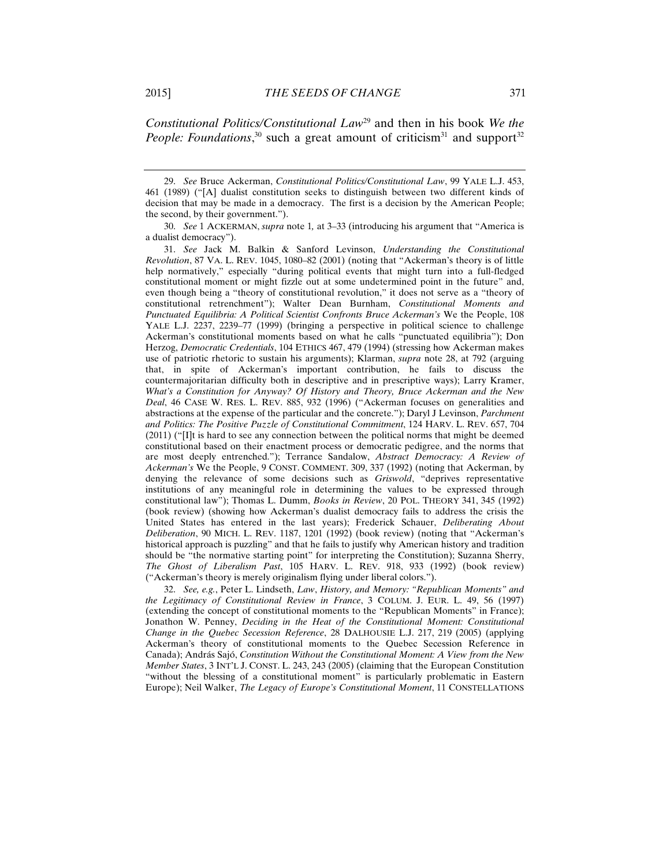*Constitutional Politics/Constitutional Law*<sup>29</sup> and then in his book *We the People: Foundations*,<sup>30</sup> such a great amount of criticism<sup>31</sup> and support<sup>32</sup>

29. *See* Bruce Ackerman, *Constitutional Politics/Constitutional Law*, 99 YALE L.J. 453, 461 (1989) ("[A] dualist constitution seeks to distinguish between two different kinds of decision that may be made in a democracy. The first is a decision by the American People; the second, by their government.").

30. *See* 1 ACKERMAN, *supra* note 1*,* at 3–33 (introducing his argument that "America is a dualist democracy").

31. *See* Jack M. Balkin & Sanford Levinson, *Understanding the Constitutional Revolution*, 87 VA. L. REV. 1045, 1080–82 (2001) (noting that "Ackerman's theory is of little help normatively," especially "during political events that might turn into a full-fledged constitutional moment or might fizzle out at some undetermined point in the future" and, even though being a "theory of constitutional revolution," it does not serve as a "theory of constitutional retrenchment"); Walter Dean Burnham, *Constitutional Moments and Punctuated Equilibria: A Political Scientist Confronts Bruce Ackerman's* We the People, 108 YALE L.J. 2237, 2239–77 (1999) (bringing a perspective in political science to challenge Ackerman's constitutional moments based on what he calls "punctuated equilibria"); Don Herzog, *Democratic Credentials*, 104 ETHICS 467, 479 (1994) (stressing how Ackerman makes use of patriotic rhetoric to sustain his arguments); Klarman, *supra* note 28, at 792 (arguing that, in spite of Ackerman's important contribution, he fails to discuss the countermajoritarian difficulty both in descriptive and in prescriptive ways); Larry Kramer, *What's a Constitution for Anyway? Of History and Theory, Bruce Ackerman and the New Deal*, 46 CASE W. RES. L. REV. 885, 932 (1996) ("Ackerman focuses on generalities and abstractions at the expense of the particular and the concrete."); Daryl J Levinson, *Parchment and Politics: The Positive Puzzle of Constitutional Commitment*, 124 HARV. L. REV. 657, 704 (2011) ("[I]t is hard to see any connection between the political norms that might be deemed constitutional based on their enactment process or democratic pedigree, and the norms that are most deeply entrenched."); Terrance Sandalow, *Abstract Democracy: A Review of Ackerman's* We the People, 9 CONST. COMMENT. 309, 337 (1992) (noting that Ackerman, by denying the relevance of some decisions such as *Griswold*, "deprives representative institutions of any meaningful role in determining the values to be expressed through constitutional law"); Thomas L. Dumm, *Books in Review*, 20 POL. THEORY 341, 345 (1992) (book review) (showing how Ackerman's dualist democracy fails to address the crisis the United States has entered in the last years); Frederick Schauer, *Deliberating About Deliberation*, 90 MICH. L. REV. 1187, 1201 (1992) (book review) (noting that "Ackerman's historical approach is puzzling" and that he fails to justify why American history and tradition should be "the normative starting point" for interpreting the Constitution); Suzanna Sherry, *The Ghost of Liberalism Past*, 105 HARV. L. REV. 918, 933 (1992) (book review) ("Ackerman's theory is merely originalism flying under liberal colors.").

32. *See, e.g.*, Peter L. Lindseth, *Law*, *History, and Memory: "Republican Moments" and the Legitimacy of Constitutional Review in France*, 3 COLUM. J. EUR. L. 49, 56 (1997) (extending the concept of constitutional moments to the "Republican Moments" in France); Jonathon W. Penney, *Deciding in the Heat of the Constitutional Moment: Constitutional Change in the Quebec Secession Reference*, 28 DALHOUSIE L.J. 217, 219 (2005) (applying Ackerman's theory of constitutional moments to the Quebec Secession Reference in Canada); András Sajó, *Constitution Without the Constitutional Moment: A View from the New Member States*, 3 INT'L J. CONST. L. 243, 243 (2005) (claiming that the European Constitution "without the blessing of a constitutional moment" is particularly problematic in Eastern Europe); Neil Walker, *The Legacy of Europe's Constitutional Moment*, 11 CONSTELLATIONS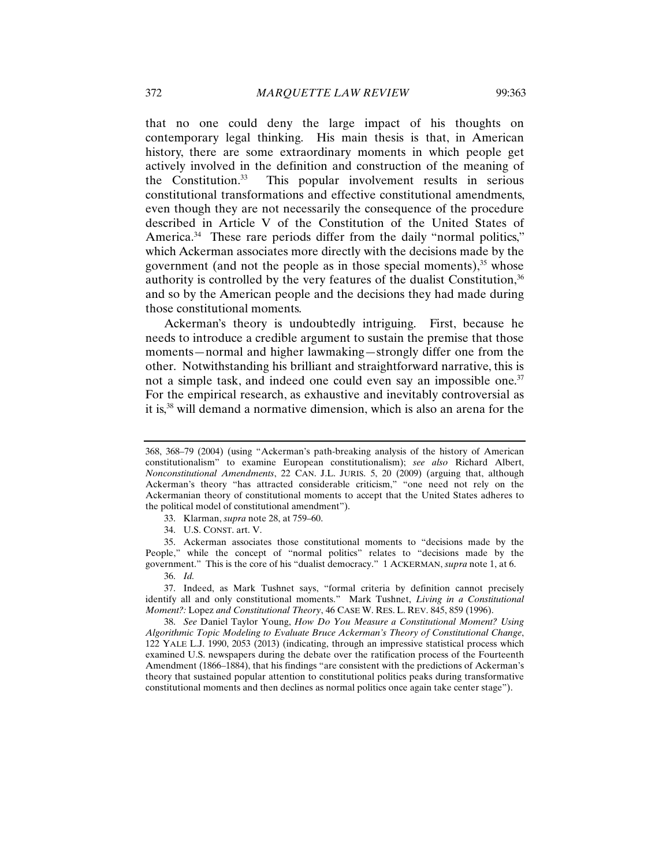that no one could deny the large impact of his thoughts on contemporary legal thinking. His main thesis is that, in American history, there are some extraordinary moments in which people get actively involved in the definition and construction of the meaning of the Constitution.33 This popular involvement results in serious constitutional transformations and effective constitutional amendments, even though they are not necessarily the consequence of the procedure described in Article V of the Constitution of the United States of America.<sup>34</sup> These rare periods differ from the daily "normal politics," which Ackerman associates more directly with the decisions made by the government (and not the people as in those special moments), $35$  whose authority is controlled by the very features of the dualist Constitution,  $36$ and so by the American people and the decisions they had made during those constitutional moments.

Ackerman's theory is undoubtedly intriguing. First, because he needs to introduce a credible argument to sustain the premise that those moments—normal and higher lawmaking—strongly differ one from the other. Notwithstanding his brilliant and straightforward narrative, this is not a simple task, and indeed one could even say an impossible one.<sup>37</sup> For the empirical research, as exhaustive and inevitably controversial as it is,38 will demand a normative dimension, which is also an arena for the

35. Ackerman associates those constitutional moments to "decisions made by the People," while the concept of "normal politics" relates to "decisions made by the government." This is the core of his "dualist democracy." 1 ACKERMAN, *supra* note 1, at 6.

<sup>368, 368–79 (2004) (</sup>using "Ackerman's path-breaking analysis of the history of American constitutionalism" to examine European constitutionalism); *see also* Richard Albert, *Nonconstitutional Amendments*, 22 CAN. J.L. JURIS. 5, 20 (2009) (arguing that, although Ackerman's theory "has attracted considerable criticism," "one need not rely on the Ackermanian theory of constitutional moments to accept that the United States adheres to the political model of constitutional amendment").

<sup>33.</sup> Klarman, *supra* note 28, at 759–60.

<sup>34.</sup> U.S. CONST. art. V.

<sup>36.</sup> *Id.*

<sup>37.</sup> Indeed, as Mark Tushnet says, "formal criteria by definition cannot precisely identify all and only constitutional moments." Mark Tushnet, *Living in a Constitutional Moment?:* Lopez *and Constitutional Theory*, 46 CASE W. RES. L. REV. 845, 859 (1996).

<sup>38.</sup> *See* Daniel Taylor Young, *How Do You Measure a Constitutional Moment? Using Algorithmic Topic Modeling to Evaluate Bruce Ackerman's Theory of Constitutional Change*, 122 YALE L.J. 1990, 2053 (2013) (indicating, through an impressive statistical process which examined U.S. newspapers during the debate over the ratification process of the Fourteenth Amendment (1866–1884), that his findings "are consistent with the predictions of Ackerman's theory that sustained popular attention to constitutional politics peaks during transformative constitutional moments and then declines as normal politics once again take center stage").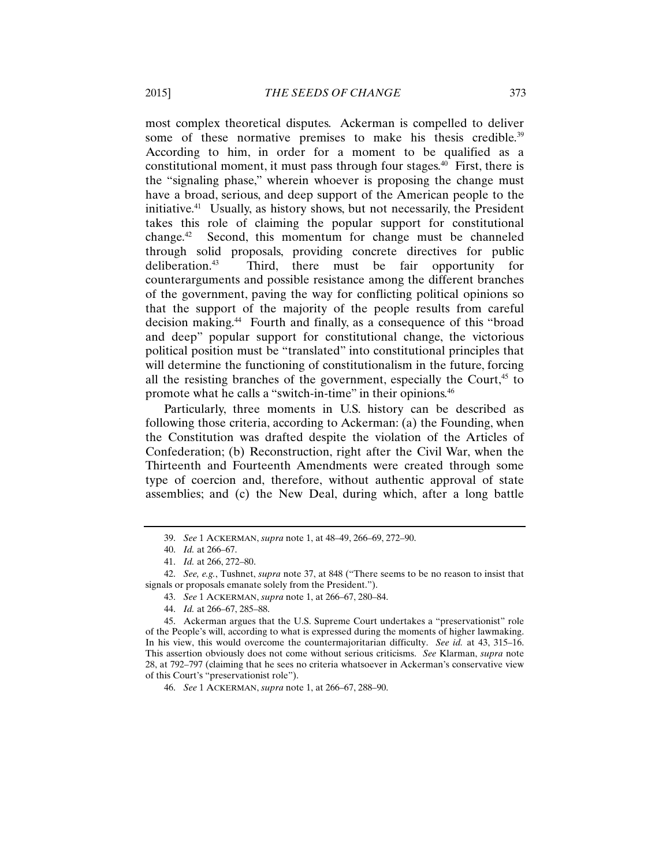most complex theoretical disputes. Ackerman is compelled to deliver some of these normative premises to make his thesis credible.<sup>39</sup> According to him, in order for a moment to be qualified as a constitutional moment, it must pass through four stages.<sup>40</sup> First, there is the "signaling phase," wherein whoever is proposing the change must have a broad, serious, and deep support of the American people to the initiative.41 Usually, as history shows, but not necessarily, the President takes this role of claiming the popular support for constitutional change.42 Second, this momentum for change must be channeled through solid proposals, providing concrete directives for public deliberation.43 Third, there must be fair opportunity for counterarguments and possible resistance among the different branches of the government, paving the way for conflicting political opinions so that the support of the majority of the people results from careful decision making.44 Fourth and finally, as a consequence of this "broad and deep" popular support for constitutional change, the victorious political position must be "translated" into constitutional principles that will determine the functioning of constitutionalism in the future, forcing all the resisting branches of the government, especially the Court, $45$  to promote what he calls a "switch-in-time" in their opinions.46

Particularly, three moments in U.S. history can be described as following those criteria, according to Ackerman: (a) the Founding, when the Constitution was drafted despite the violation of the Articles of Confederation; (b) Reconstruction, right after the Civil War, when the Thirteenth and Fourteenth Amendments were created through some type of coercion and, therefore, without authentic approval of state assemblies; and (c) the New Deal, during which, after a long battle

<sup>39.</sup> *See* 1 ACKERMAN, *supra* note 1, at 48–49, 266–69, 272–90.

<sup>40.</sup> *Id.* at 266–67.

<sup>41.</sup> *Id.* at 266, 272–80.

<sup>42.</sup> *See, e.g.*, Tushnet, *supra* note 37, at 848 ("There seems to be no reason to insist that signals or proposals emanate solely from the President.").

<sup>43.</sup> *See* 1 ACKERMAN, *supra* note 1, at 266–67, 280–84.

<sup>44.</sup> *Id.* at 266–67, 285–88.

<sup>45.</sup> Ackerman argues that the U.S. Supreme Court undertakes a "preservationist" role of the People's will, according to what is expressed during the moments of higher lawmaking. In his view, this would overcome the countermajoritarian difficulty. *See id.* at 43, 315–16. This assertion obviously does not come without serious criticisms. *See* Klarman, *supra* note 28, at 792–797 (claiming that he sees no criteria whatsoever in Ackerman's conservative view of this Court's "preservationist role").

<sup>46.</sup> *See* 1 ACKERMAN, *supra* note 1, at 266–67, 288–90.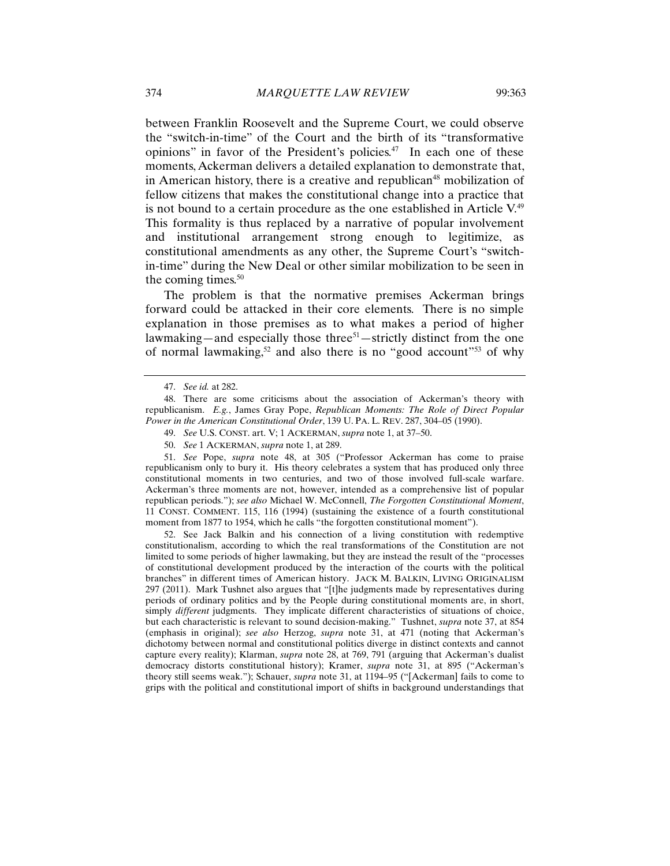between Franklin Roosevelt and the Supreme Court, we could observe the "switch-in-time" of the Court and the birth of its "transformative opinions" in favor of the President's policies. $47$  In each one of these moments, Ackerman delivers a detailed explanation to demonstrate that, in American history, there is a creative and republican<sup>48</sup> mobilization of fellow citizens that makes the constitutional change into a practice that is not bound to a certain procedure as the one established in Article  $V<sup>49</sup>$ This formality is thus replaced by a narrative of popular involvement and institutional arrangement strong enough to legitimize, as constitutional amendments as any other, the Supreme Court's "switchin-time" during the New Deal or other similar mobilization to be seen in the coming times.<sup>50</sup>

The problem is that the normative premises Ackerman brings forward could be attacked in their core elements. There is no simple explanation in those premises as to what makes a period of higher lawmaking—and especially those three<sup>51</sup>—strictly distinct from the one of normal lawmaking,<sup>52</sup> and also there is no "good account"<sup>53</sup> of why

50. *See* 1 ACKERMAN, *supra* note 1, at 289.

51. *See* Pope, *supra* note 48, at 305 ("Professor Ackerman has come to praise republicanism only to bury it. His theory celebrates a system that has produced only three constitutional moments in two centuries, and two of those involved full-scale warfare. Ackerman's three moments are not, however, intended as a comprehensive list of popular republican periods."); *see also* Michael W. McConnell, *The Forgotten Constitutional Moment*, 11 CONST. COMMENT. 115, 116 (1994) (sustaining the existence of a fourth constitutional moment from 1877 to 1954, which he calls "the forgotten constitutional moment").

52. See Jack Balkin and his connection of a living constitution with redemptive constitutionalism, according to which the real transformations of the Constitution are not limited to some periods of higher lawmaking, but they are instead the result of the "processes of constitutional development produced by the interaction of the courts with the political branches" in different times of American history. JACK M. BALKIN, LIVING ORIGINALISM 297 (2011). Mark Tushnet also argues that "[t]he judgments made by representatives during periods of ordinary politics and by the People during constitutional moments are, in short, simply *different* judgments. They implicate different characteristics of situations of choice, but each characteristic is relevant to sound decision-making." Tushnet, *supra* note 37, at 854 (emphasis in original); *see also* Herzog, *supra* note 31, at 471 (noting that Ackerman's dichotomy between normal and constitutional politics diverge in distinct contexts and cannot capture every reality); Klarman, *supra* note 28, at 769, 791 (arguing that Ackerman's dualist democracy distorts constitutional history); Kramer, *supra* note 31, at 895 ("Ackerman's theory still seems weak."); Schauer, *supra* note 31, at 1194–95 ("[Ackerman] fails to come to grips with the political and constitutional import of shifts in background understandings that

<sup>47.</sup> *See id.* at 282.

<sup>48.</sup> There are some criticisms about the association of Ackerman's theory with republicanism. *E.g.*, James Gray Pope, *Republican Moments: The Role of Direct Popular Power in the American Constitutional Order*, 139 U. PA. L. REV. 287, 304–05 (1990).

<sup>49.</sup> *See* U.S. CONST. art. V; 1 ACKERMAN, *supra* note 1, at 37–50.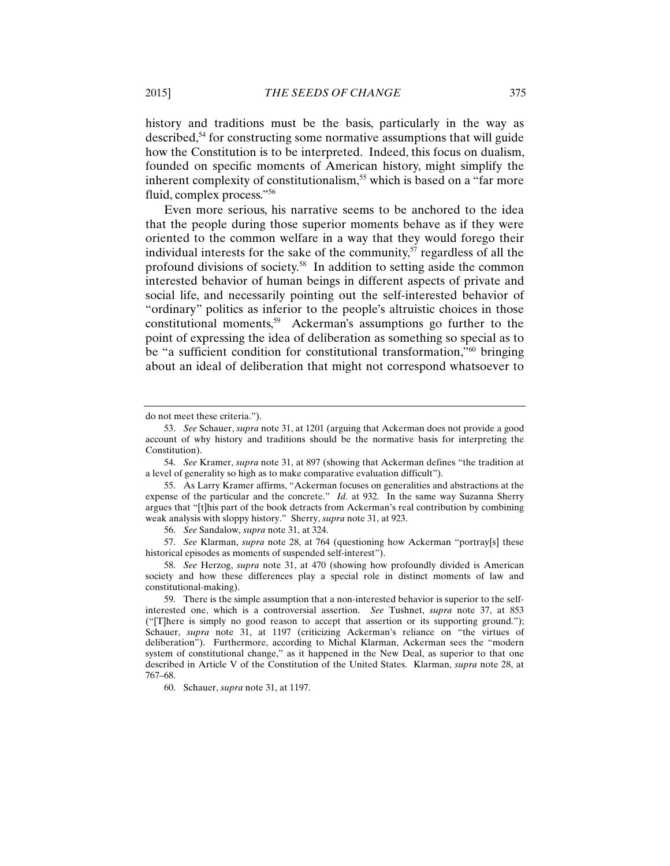history and traditions must be the basis, particularly in the way as described,54 for constructing some normative assumptions that will guide how the Constitution is to be interpreted. Indeed, this focus on dualism, founded on specific moments of American history, might simplify the inherent complexity of constitutionalism,<sup>55</sup> which is based on a "far more" fluid, complex process."56

Even more serious, his narrative seems to be anchored to the idea that the people during those superior moments behave as if they were oriented to the common welfare in a way that they would forego their individual interests for the sake of the community, $57$  regardless of all the profound divisions of society.58 In addition to setting aside the common interested behavior of human beings in different aspects of private and social life, and necessarily pointing out the self-interested behavior of "ordinary" politics as inferior to the people's altruistic choices in those constitutional moments,<sup>59</sup> Ackerman's assumptions go further to the point of expressing the idea of deliberation as something so special as to be "a sufficient condition for constitutional transformation,"60 bringing about an ideal of deliberation that might not correspond whatsoever to

do not meet these criteria.").

<sup>53.</sup> *See* Schauer, *supra* note 31, at 1201 (arguing that Ackerman does not provide a good account of why history and traditions should be the normative basis for interpreting the Constitution).

<sup>54.</sup> *See* Kramer, *supra* note 31, at 897 (showing that Ackerman defines "the tradition at a level of generality so high as to make comparative evaluation difficult").

<sup>55.</sup> As Larry Kramer affirms, "Ackerman focuses on generalities and abstractions at the expense of the particular and the concrete." *Id.* at 932. In the same way Suzanna Sherry argues that "[t]his part of the book detracts from Ackerman's real contribution by combining weak analysis with sloppy history." Sherry, *supra* note 31, at 923.

<sup>56.</sup> *See* Sandalow, *supra* note 31, at 324.

<sup>57.</sup> *See* Klarman, *supra* note 28, at 764 (questioning how Ackerman "portray[s] these historical episodes as moments of suspended self-interest").

<sup>58.</sup> *See* Herzog, *supra* note 31, at 470 (showing how profoundly divided is American society and how these differences play a special role in distinct moments of law and constitutional-making).

<sup>59.</sup> There is the simple assumption that a non-interested behavior is superior to the selfinterested one, which is a controversial assertion. *See* Tushnet, *supra* note 37, at 853 ("[T]here is simply no good reason to accept that assertion or its supporting ground."); Schauer, *supra* note 31, at 1197 (criticizing Ackerman's reliance on "the virtues of deliberation"). Furthermore, according to Michal Klarman, Ackerman sees the "modern system of constitutional change," as it happened in the New Deal, as superior to that one described in Article V of the Constitution of the United States. Klarman, *supra* note 28, at 767–68.

<sup>60.</sup> Schauer, *supra* note 31, at 1197.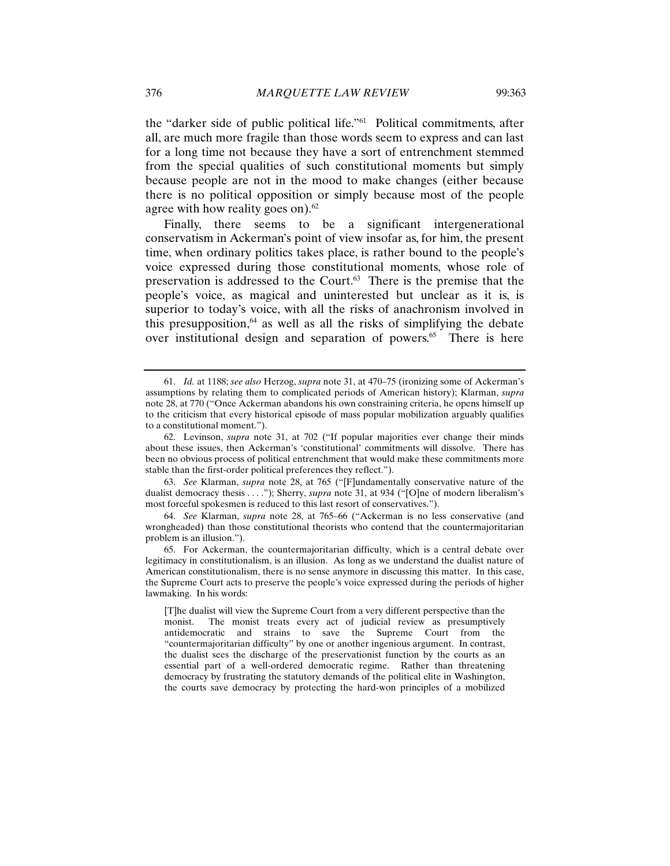the "darker side of public political life."61 Political commitments, after all, are much more fragile than those words seem to express and can last for a long time not because they have a sort of entrenchment stemmed from the special qualities of such constitutional moments but simply because people are not in the mood to make changes (either because there is no political opposition or simply because most of the people agree with how reality goes on). $62$ 

Finally, there seems to be a significant intergenerational conservatism in Ackerman's point of view insofar as, for him, the present time, when ordinary politics takes place, is rather bound to the people's voice expressed during those constitutional moments, whose role of preservation is addressed to the Court.<sup>63</sup> There is the premise that the people's voice, as magical and uninterested but unclear as it is, is superior to today's voice, with all the risks of anachronism involved in this presupposition, $64$  as well as all the risks of simplifying the debate over institutional design and separation of powers.<sup>65</sup> There is here

63. *See* Klarman, *supra* note 28, at 765 ("[F]undamentally conservative nature of the dualist democracy thesis . . . ."); Sherry, *supra* note 31, at 934 ("[O]ne of modern liberalism's most forceful spokesmen is reduced to this last resort of conservatives.").

64. *See* Klarman, *supra* note 28, at 765–66 ("Ackerman is no less conservative (and wrongheaded) than those constitutional theorists who contend that the countermajoritarian problem is an illusion.").

65. For Ackerman, the countermajoritarian difficulty, which is a central debate over legitimacy in constitutionalism, is an illusion. As long as we understand the dualist nature of American constitutionalism, there is no sense anymore in discussing this matter. In this case, the Supreme Court acts to preserve the people's voice expressed during the periods of higher lawmaking. In his words:

[T]he dualist will view the Supreme Court from a very different perspective than the monist. The monist treats every act of judicial review as presumptively antidemocratic and strains to save the Supreme Court from the "countermajoritarian difficulty" by one or another ingenious argument. In contrast, the dualist sees the discharge of the preservationist function by the courts as an essential part of a well-ordered democratic regime. Rather than threatening democracy by frustrating the statutory demands of the political elite in Washington, the courts save democracy by protecting the hard-won principles of a mobilized

<sup>61.</sup> *Id.* at 1188; *see also* Herzog, *supra* note 31, at 470–75 (ironizing some of Ackerman's assumptions by relating them to complicated periods of American history); Klarman, *supra*  note 28, at 770 ("Once Ackerman abandons his own constraining criteria, he opens himself up to the criticism that every historical episode of mass popular mobilization arguably qualifies to a constitutional moment.").

<sup>62.</sup> Levinson, *supra* note 31, at 702 ("If popular majorities ever change their minds about these issues, then Ackerman's 'constitutional' commitments will dissolve. There has been no obvious process of political entrenchment that would make these commitments more stable than the first-order political preferences they reflect.").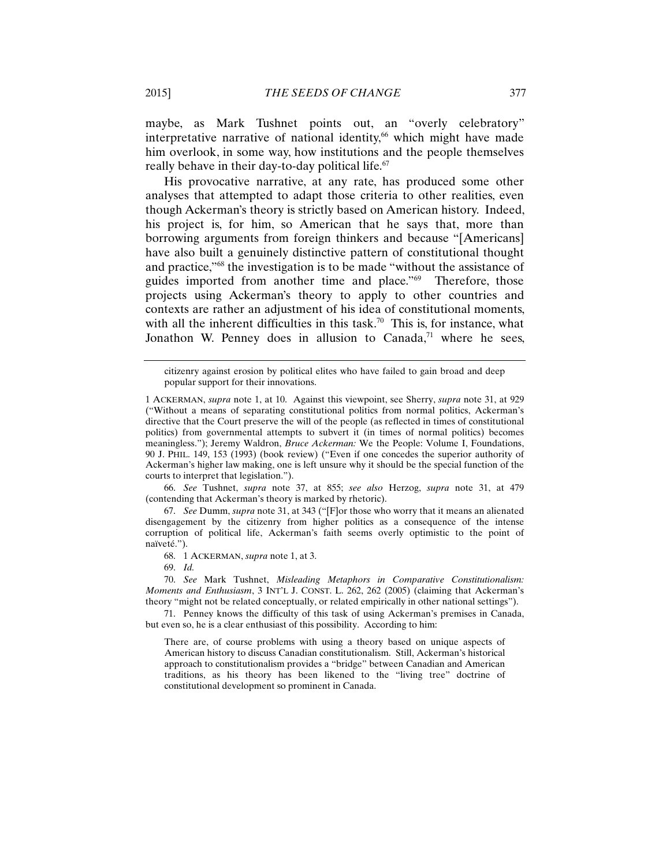maybe, as Mark Tushnet points out, an "overly celebratory" interpretative narrative of national identity, $66$  which might have made him overlook, in some way, how institutions and the people themselves really behave in their day-to-day political life.<sup>67</sup>

His provocative narrative, at any rate, has produced some other analyses that attempted to adapt those criteria to other realities, even though Ackerman's theory is strictly based on American history. Indeed, his project is, for him, so American that he says that, more than borrowing arguments from foreign thinkers and because "[Americans] have also built a genuinely distinctive pattern of constitutional thought and practice,"68 the investigation is to be made "without the assistance of guides imported from another time and place."69 Therefore, those projects using Ackerman's theory to apply to other countries and contexts are rather an adjustment of his idea of constitutional moments, with all the inherent difficulties in this task.<sup>70</sup> This is, for instance, what Jonathon W. Penney does in allusion to Canada, $71$  where he sees,

66. *See* Tushnet, *supra* note 37, at 855; *see also* Herzog, *supra* note 31, at 479 (contending that Ackerman's theory is marked by rhetoric).

67. *See* Dumm, *supra* note 31, at 343 ("[F]or those who worry that it means an alienated disengagement by the citizenry from higher politics as a consequence of the intense corruption of political life, Ackerman's faith seems overly optimistic to the point of naïveté.").

68. 1 ACKERMAN, *supra* note 1, at 3.

69. *Id.*

70. *See* Mark Tushnet, *Misleading Metaphors in Comparative Constitutionalism: Moments and Enthusiasm*, 3 INT'L J. CONST. L. 262, 262 (2005) (claiming that Ackerman's theory "might not be related conceptually, or related empirically in other national settings").

71. Penney knows the difficulty of this task of using Ackerman's premises in Canada, but even so, he is a clear enthusiast of this possibility. According to him:

There are, of course problems with using a theory based on unique aspects of American history to discuss Canadian constitutionalism. Still, Ackerman's historical approach to constitutionalism provides a "bridge" between Canadian and American traditions, as his theory has been likened to the "living tree" doctrine of constitutional development so prominent in Canada.

citizenry against erosion by political elites who have failed to gain broad and deep popular support for their innovations.

<sup>1</sup> ACKERMAN, *supra* note 1, at 10. Against this viewpoint, see Sherry, *supra* note 31, at 929 ("Without a means of separating constitutional politics from normal politics, Ackerman's directive that the Court preserve the will of the people (as reflected in times of constitutional politics) from governmental attempts to subvert it (in times of normal politics) becomes meaningless."); Jeremy Waldron, *Bruce Ackerman:* We the People: Volume I, Foundations, 90 J. PHIL. 149, 153 (1993) (book review) ("Even if one concedes the superior authority of Ackerman's higher law making, one is left unsure why it should be the special function of the courts to interpret that legislation.").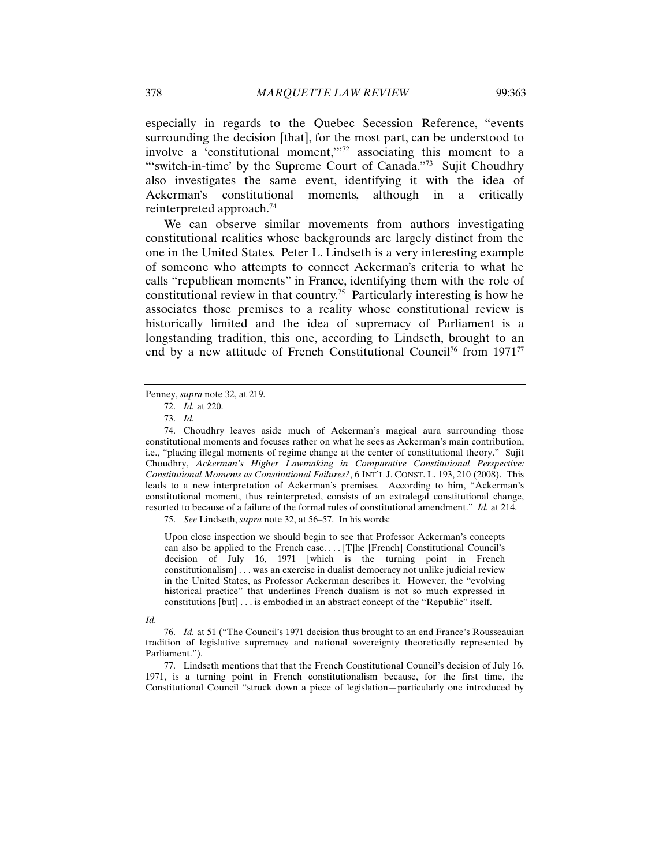especially in regards to the Quebec Secession Reference, "events surrounding the decision [that], for the most part, can be understood to involve a 'constitutional moment,'"72 associating this moment to a "'switch-in-time' by the Supreme Court of Canada."<sup>73</sup> Sujit Choudhry also investigates the same event, identifying it with the idea of Ackerman's constitutional moments, although in a critically reinterpreted approach.74

We can observe similar movements from authors investigating constitutional realities whose backgrounds are largely distinct from the one in the United States. Peter L. Lindseth is a very interesting example of someone who attempts to connect Ackerman's criteria to what he calls "republican moments" in France, identifying them with the role of constitutional review in that country.<sup>75</sup> Particularly interesting is how he associates those premises to a reality whose constitutional review is historically limited and the idea of supremacy of Parliament is a longstanding tradition, this one, according to Lindseth, brought to an end by a new attitude of French Constitutional Council<sup>76</sup> from 1971<sup>77</sup>

75. *See* Lindseth, *supra* note 32, at 56–57. In his words:

Upon close inspection we should begin to see that Professor Ackerman's concepts can also be applied to the French case. . . . [T]he [French] Constitutional Council's decision of July 16, 1971 [which is the turning point in French constitutionalism] . . . was an exercise in dualist democracy not unlike judicial review in the United States, as Professor Ackerman describes it. However, the "evolving historical practice" that underlines French dualism is not so much expressed in constitutions [but] . . . is embodied in an abstract concept of the "Republic" itself.

#### *Id.*

Penney, *supra* note 32, at 219.

<sup>72.</sup> *Id.* at 220.

<sup>73.</sup> *Id.*

<sup>74.</sup> Choudhry leaves aside much of Ackerman's magical aura surrounding those constitutional moments and focuses rather on what he sees as Ackerman's main contribution, i.e., "placing illegal moments of regime change at the center of constitutional theory." Sujit Choudhry, *Ackerman's Higher Lawmaking in Comparative Constitutional Perspective: Constitutional Moments as Constitutional Failures?*, 6 INT'L J. CONST. L. 193, 210 (2008). This leads to a new interpretation of Ackerman's premises. According to him, "Ackerman's constitutional moment, thus reinterpreted, consists of an extralegal constitutional change, resorted to because of a failure of the formal rules of constitutional amendment." *Id.* at 214.

<sup>76.</sup> *Id.* at 51 ("The Council's 1971 decision thus brought to an end France's Rousseauian tradition of legislative supremacy and national sovereignty theoretically represented by Parliament.").

<sup>77.</sup> Lindseth mentions that that the French Constitutional Council's decision of July 16, 1971, is a turning point in French constitutionalism because, for the first time, the Constitutional Council "struck down a piece of legislation—particularly one introduced by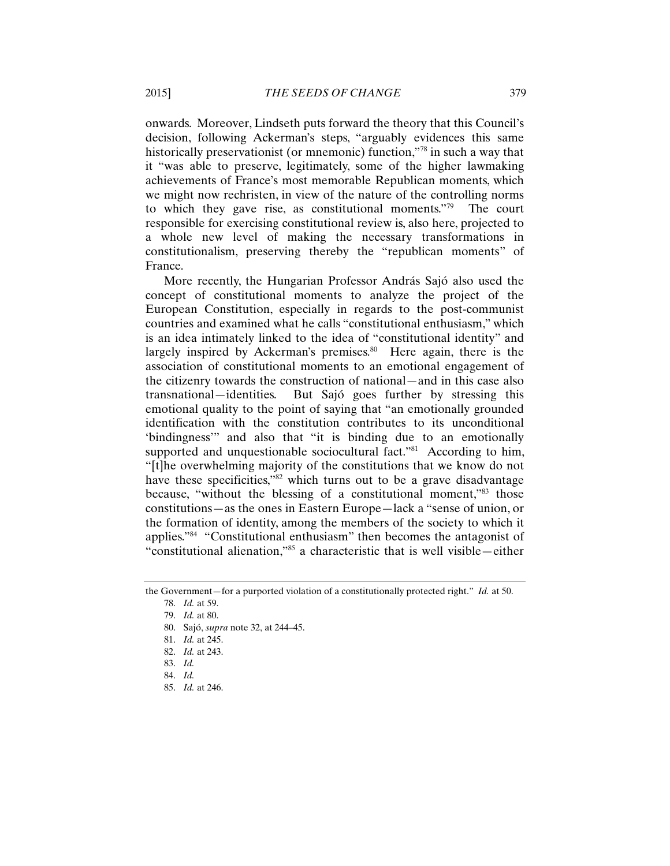onwards. Moreover, Lindseth puts forward the theory that this Council's decision, following Ackerman's steps, "arguably evidences this same historically preservationist (or mnemonic) function,"<sup>78</sup> in such a way that it "was able to preserve, legitimately, some of the higher lawmaking achievements of France's most memorable Republican moments, which we might now rechristen, in view of the nature of the controlling norms to which they gave rise, as constitutional moments."79 The court responsible for exercising constitutional review is, also here, projected to a whole new level of making the necessary transformations in constitutionalism, preserving thereby the "republican moments" of France.

More recently, the Hungarian Professor András Sajó also used the concept of constitutional moments to analyze the project of the European Constitution, especially in regards to the post-communist countries and examined what he calls "constitutional enthusiasm," which is an idea intimately linked to the idea of "constitutional identity" and largely inspired by Ackerman's premises.<sup>80</sup> Here again, there is the association of constitutional moments to an emotional engagement of the citizenry towards the construction of national—and in this case also transnational—identities. But Sajó goes further by stressing this emotional quality to the point of saying that "an emotionally grounded identification with the constitution contributes to its unconditional 'bindingness'" and also that "it is binding due to an emotionally supported and unquestionable sociocultural fact."<sup>81</sup> According to him, "[t]he overwhelming majority of the constitutions that we know do not have these specificities,"<sup>82</sup> which turns out to be a grave disadvantage because, "without the blessing of a constitutional moment,"83 those constitutions—as the ones in Eastern Europe—lack a "sense of union, or the formation of identity, among the members of the society to which it applies."84 "Constitutional enthusiasm" then becomes the antagonist of "constitutional alienation,"85 a characteristic that is well visible—either

the Government—for a purported violation of a constitutionally protected right." *Id.* at 50.

<sup>78.</sup> *Id.* at 59.

<sup>79.</sup> *Id.* at 80.

<sup>80.</sup> Sajó, *supra* note 32, at 244–45.

<sup>81.</sup> *Id.* at 245.

<sup>82.</sup> *Id.* at 243.

<sup>83.</sup> *Id.*

<sup>84.</sup> *Id.*

<sup>85.</sup> *Id.* at 246.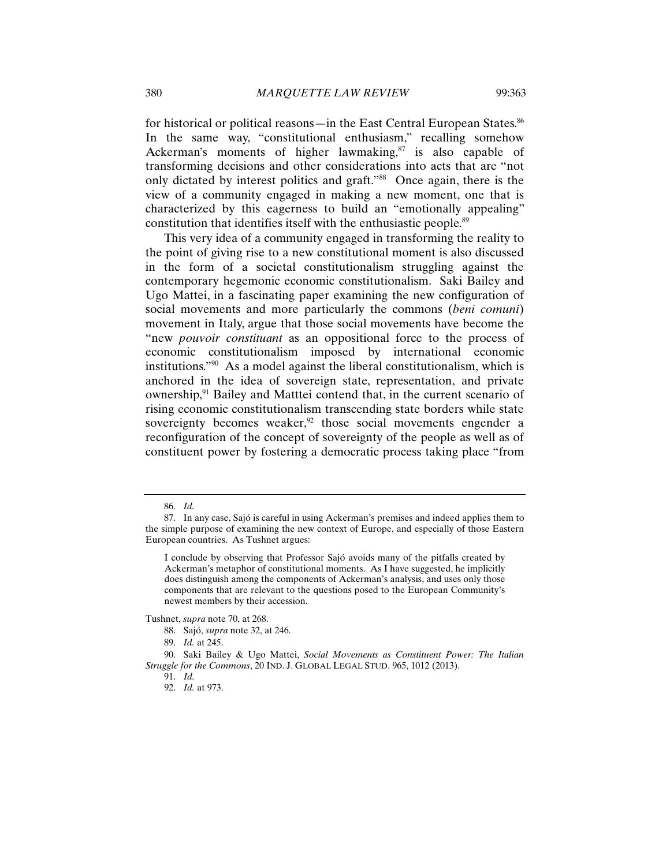for historical or political reasons—in the East Central European States.<sup>86</sup> In the same way, "constitutional enthusiasm," recalling somehow Ackerman's moments of higher lawmaking, $s^7$  is also capable of transforming decisions and other considerations into acts that are "not only dictated by interest politics and graft."88 Once again, there is the view of a community engaged in making a new moment, one that is characterized by this eagerness to build an "emotionally appealing" constitution that identifies itself with the enthusiastic people.<sup>89</sup>

This very idea of a community engaged in transforming the reality to the point of giving rise to a new constitutional moment is also discussed in the form of a societal constitutionalism struggling against the contemporary hegemonic economic constitutionalism. Saki Bailey and Ugo Mattei, in a fascinating paper examining the new configuration of social movements and more particularly the commons (*beni comuni*) movement in Italy, argue that those social movements have become the "new *pouvoir constituant* as an oppositional force to the process of economic constitutionalism imposed by international economic institutions."90 As a model against the liberal constitutionalism, which is anchored in the idea of sovereign state, representation, and private ownership,<sup>91</sup> Bailey and Matttei contend that, in the current scenario of rising economic constitutionalism transcending state borders while state sovereignty becomes weaker, $92$  those social movements engender a reconfiguration of the concept of sovereignty of the people as well as of constituent power by fostering a democratic process taking place "from

Tushnet, *supra* note 70, at 268.

<sup>86.</sup> *Id.*

<sup>87.</sup> In any case, Sajó is careful in using Ackerman's premises and indeed applies them to the simple purpose of examining the new context of Europe, and especially of those Eastern European countries. As Tushnet argues:

I conclude by observing that Professor Sajó avoids many of the pitfalls created by Ackerman's metaphor of constitutional moments. As I have suggested, he implicitly does distinguish among the components of Ackerman's analysis, and uses only those components that are relevant to the questions posed to the European Community's newest members by their accession.

<sup>88.</sup> Sajó, *supra* note 32, at 246.

<sup>89.</sup> *Id.* at 245.

<sup>90.</sup> Saki Bailey & Ugo Mattei, *Social Movements as Constituent Power: The Italian Struggle for the Commons*, 20 IND. J. GLOBAL LEGAL STUD. 965, 1012 (2013).

<sup>91.</sup> *Id.* 

<sup>92.</sup> *Id.* at 973.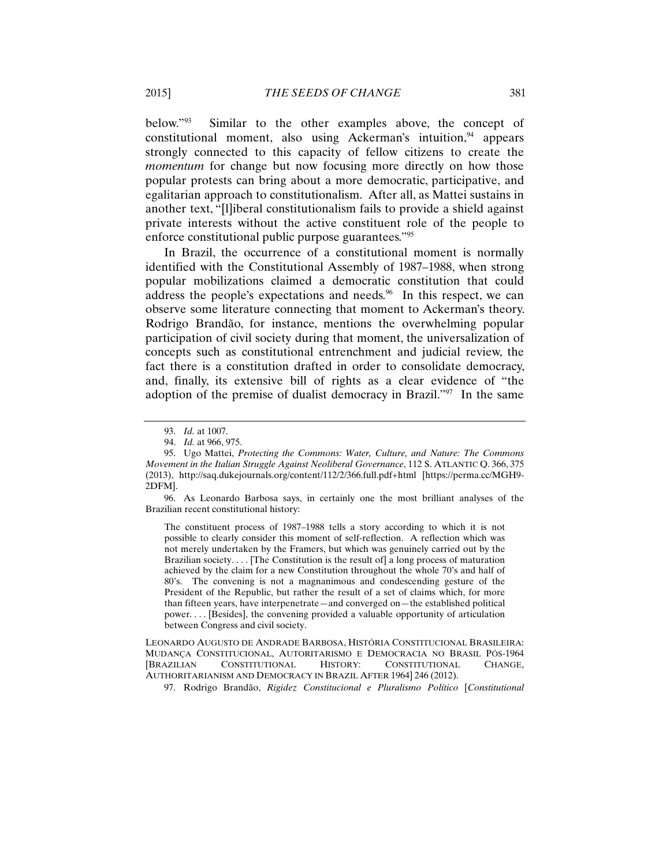below."93 Similar to the other examples above, the concept of constitutional moment, also using Ackerman's intuition, $94$  appears strongly connected to this capacity of fellow citizens to create the *momentum* for change but now focusing more directly on how those popular protests can bring about a more democratic, participative, and egalitarian approach to constitutionalism. After all, as Mattei sustains in another text, "[l]iberal constitutionalism fails to provide a shield against private interests without the active constituent role of the people to enforce constitutional public purpose guarantees."95

In Brazil, the occurrence of a constitutional moment is normally identified with the Constitutional Assembly of 1987–1988, when strong popular mobilizations claimed a democratic constitution that could address the people's expectations and needs.<sup>96</sup> In this respect, we can observe some literature connecting that moment to Ackerman's theory. Rodrigo Brandão, for instance, mentions the overwhelming popular participation of civil society during that moment, the universalization of concepts such as constitutional entrenchment and judicial review, the fact there is a constitution drafted in order to consolidate democracy, and, finally, its extensive bill of rights as a clear evidence of "the adoption of the premise of dualist democracy in Brazil."97 In the same

The constituent process of 1987–1988 tells a story according to which it is not possible to clearly consider this moment of self-reflection. A reflection which was not merely undertaken by the Framers, but which was genuinely carried out by the Brazilian society.... [The Constitution is the result of] a long process of maturation achieved by the claim for a new Constitution throughout the whole 70's and half of 80's. The convening is not a magnanimous and condescending gesture of the President of the Republic, but rather the result of a set of claims which, for more than fifteen years, have interpenetrate—and converged on—the established political power. . . . [Besides], the convening provided a valuable opportunity of articulation between Congress and civil society.

LEONARDO AUGUSTO DE ANDRADE BARBOSA, HISTÓRIA CONSTITUCIONAL BRASILEIRA: MUDANÇA CONSTITUCIONAL, AUTORITARISMO E DEMOCRACIA NO BRASIL PÓS-1964 [BRAZILIAN CONSTITUTIONAL HISTORY: CONSTITUTIONAL CHANGE, AUTHORITARIANISM AND DEMOCRACY IN BRAZIL AFTER 1964] 246 (2012).

97. Rodrigo Brandão, *Rigidez Constitucional e Pluralismo Político* [*Constitutional* 

<sup>93.</sup> *Id.* at 1007.

<sup>94.</sup> *Id.* at 966, 975.

<sup>95.</sup> Ugo Mattei, *Protecting the Commons: Water, Culture, and Nature: The Commons Movement in the Italian Struggle Against Neoliberal Governance*, 112 S. ATLANTIC Q. 366, 375 (2013), http://saq.dukejournals.org/content/112/2/366.full.pdf+html [https://perma.cc/MGH9- 2DFM].

<sup>96.</sup> As Leonardo Barbosa says, in certainly one the most brilliant analyses of the Brazilian recent constitutional history: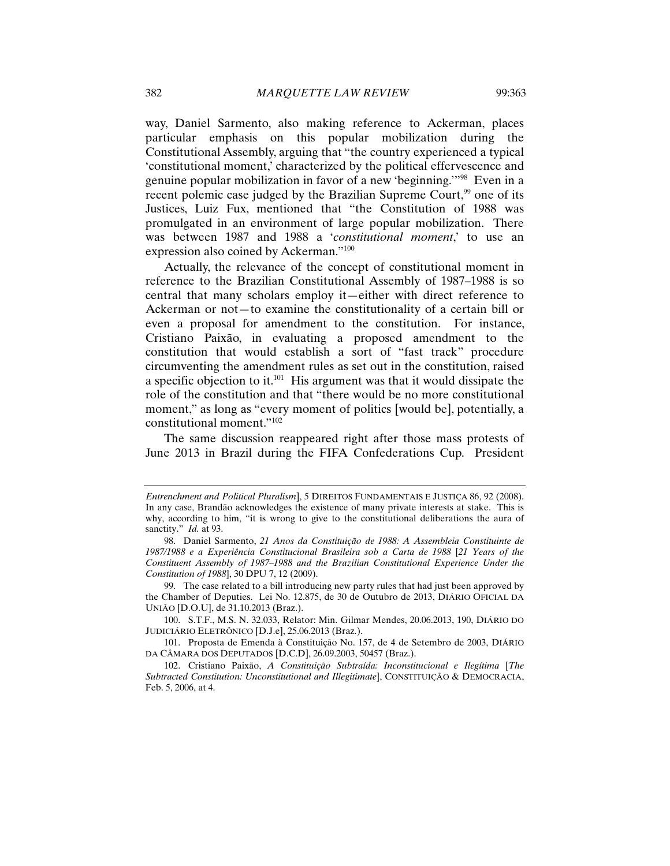way, Daniel Sarmento, also making reference to Ackerman, places particular emphasis on this popular mobilization during the Constitutional Assembly, arguing that "the country experienced a typical 'constitutional moment,' characterized by the political effervescence and genuine popular mobilization in favor of a new 'beginning.'"98 Even in a recent polemic case judged by the Brazilian Supreme Court,<sup>99</sup> one of its Justices, Luiz Fux, mentioned that "the Constitution of 1988 was promulgated in an environment of large popular mobilization. There was between 1987 and 1988 a '*constitutional moment*,' to use an expression also coined by Ackerman."100

Actually, the relevance of the concept of constitutional moment in reference to the Brazilian Constitutional Assembly of 1987–1988 is so central that many scholars employ it—either with direct reference to Ackerman or not—to examine the constitutionality of a certain bill or even a proposal for amendment to the constitution. For instance, Cristiano Paixão, in evaluating a proposed amendment to the constitution that would establish a sort of "fast track" procedure circumventing the amendment rules as set out in the constitution, raised a specific objection to it.<sup>101</sup> His argument was that it would dissipate the role of the constitution and that "there would be no more constitutional moment," as long as "every moment of politics [would be], potentially, a constitutional moment."102

The same discussion reappeared right after those mass protests of June 2013 in Brazil during the FIFA Confederations Cup. President

*Entrenchment and Political Pluralism*], 5 DIREITOS FUNDAMENTAIS E JUSTIÇA 86, 92 (2008). In any case, Brandão acknowledges the existence of many private interests at stake. This is why, according to him, "it is wrong to give to the constitutional deliberations the aura of sanctity." *Id.* at 93.

<sup>98.</sup> Daniel Sarmento, *21 Anos da Constituição de 1988: A Assembleia Constituinte de 1987/1988 e a Experiência Constitucional Brasileira sob a Carta de 1988* [*21 Years of the Constituent Assembly of 1987–1988 and the Brazilian Constitutional Experience Under the Constitution of 1988*], 30 DPU 7, 12 (2009).

<sup>99.</sup> The case related to a bill introducing new party rules that had just been approved by the Chamber of Deputies. Lei No. 12.875, de 30 de Outubro de 2013, DIÁRIO OFICIAL DA UNIÃO [D.O.U], de 31.10.2013 (Braz.).

<sup>100.</sup> S.T.F., M.S. N. 32.033, Relator: Min. Gilmar Mendes, 20.06.2013, 190, DIÁRIO DO JUDICIÁRIO ELETRÔNICO [D.J.e], 25.06.2013 (Braz.).

<sup>101.</sup> Proposta de Emenda à Constituição No. 157, de 4 de Setembro de 2003, DIÁRIO DA CÂMARA DOS DEPUTADOS [D.C.D], 26.09.2003, 50457 (Braz.).

<sup>102.</sup> Cristiano Paixão, *A Constituição Subtraída: Inconstitucional e Ilegítima* [*The Subtracted Constitution: Unconstitutional and Illegitimate*], CONSTITUIÇÃO & DEMOCRACIA, Feb. 5, 2006, at 4.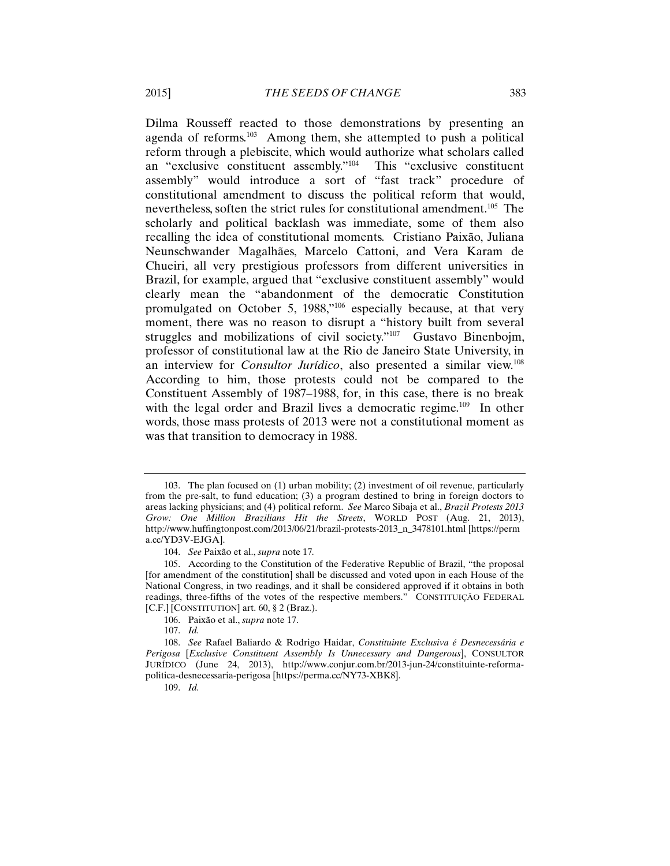Dilma Rousseff reacted to those demonstrations by presenting an agenda of reforms.103 Among them, she attempted to push a political reform through a plebiscite, which would authorize what scholars called an "exclusive constituent assembly."104 This "exclusive constituent assembly" would introduce a sort of "fast track" procedure of constitutional amendment to discuss the political reform that would, nevertheless, soften the strict rules for constitutional amendment.<sup>105</sup> The scholarly and political backlash was immediate, some of them also recalling the idea of constitutional moments. Cristiano Paixão, Juliana Neunschwander Magalhães, Marcelo Cattoni, and Vera Karam de Chueiri, all very prestigious professors from different universities in Brazil, for example, argued that "exclusive constituent assembly" would clearly mean the "abandonment of the democratic Constitution promulgated on October 5, 1988,"106 especially because, at that very moment, there was no reason to disrupt a "history built from several struggles and mobilizations of civil society."<sup>107</sup> Gustavo Binenbojm, professor of constitutional law at the Rio de Janeiro State University, in an interview for *Consultor Jurídico*, also presented a similar view.108 According to him, those protests could not be compared to the Constituent Assembly of 1987–1988, for, in this case, there is no break with the legal order and Brazil lives a democratic regime.<sup>109</sup> In other words, those mass protests of 2013 were not a constitutional moment as was that transition to democracy in 1988.

109. *Id.*

<sup>103.</sup> The plan focused on (1) urban mobility; (2) investment of oil revenue, particularly from the pre-salt, to fund education; (3) a program destined to bring in foreign doctors to areas lacking physicians; and (4) political reform. *See* Marco Sibaja et al., *Brazil Protests 2013 Grow: One Million Brazilians Hit the Streets*, WORLD POST (Aug. 21, 2013), http://www.huffingtonpost.com/2013/06/21/brazil-protests-2013\_n\_3478101.html [https://perm a.cc/YD3V-EJGA].

<sup>104.</sup> *See* Paixão et al., *supra* note 17*.*

<sup>105.</sup> According to the Constitution of the Federative Republic of Brazil, "the proposal [for amendment of the constitution] shall be discussed and voted upon in each House of the National Congress, in two readings, and it shall be considered approved if it obtains in both readings, three-fifths of the votes of the respective members." CONSTITUIÇÃO FEDERAL [C.F.] [CONSTITUTION] art. 60, § 2 (Braz.).

<sup>106.</sup> Paixão et al., *supra* note 17.

<sup>107.</sup> *Id.*

<sup>108.</sup> *See* Rafael Baliardo & Rodrigo Haidar, *Constituinte Exclusiva é Desnecessária e Perigosa* [*Exclusive Constituent Assembly Is Unnecessary and Dangerous*], CONSULTOR JURÍDICO (June 24, 2013), http://www.conjur.com.br/2013-jun-24/constituinte-reformapolitica-desnecessaria-perigosa [https://perma.cc/NY73-XBK8].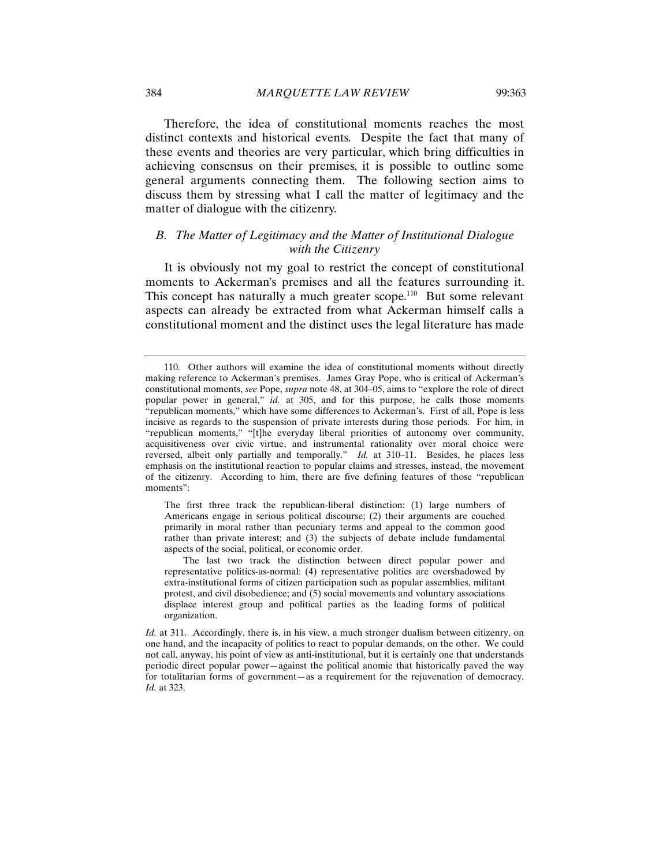Therefore, the idea of constitutional moments reaches the most distinct contexts and historical events. Despite the fact that many of these events and theories are very particular, which bring difficulties in achieving consensus on their premises, it is possible to outline some general arguments connecting them. The following section aims to discuss them by stressing what I call the matter of legitimacy and the

# *B. The Matter of Legitimacy and the Matter of Institutional Dialogue with the Citizenry*

matter of dialogue with the citizenry.

It is obviously not my goal to restrict the concept of constitutional moments to Ackerman's premises and all the features surrounding it. This concept has naturally a much greater scope.<sup>110</sup> But some relevant aspects can already be extracted from what Ackerman himself calls a constitutional moment and the distinct uses the legal literature has made

The first three track the republican-liberal distinction: (1) large numbers of Americans engage in serious political discourse; (2) their arguments are couched primarily in moral rather than pecuniary terms and appeal to the common good rather than private interest; and (3) the subjects of debate include fundamental aspects of the social, political, or economic order.

The last two track the distinction between direct popular power and representative politics-as-normal: (4) representative politics are overshadowed by extra-institutional forms of citizen participation such as popular assemblies, militant protest, and civil disobedience; and (5) social movements and voluntary associations displace interest group and political parties as the leading forms of political organization.

<sup>110.</sup> Other authors will examine the idea of constitutional moments without directly making reference to Ackerman's premises. James Gray Pope, who is critical of Ackerman's constitutional moments, *see* Pope, *supra* note 48, at 304–05, aims to "explore the role of direct popular power in general," *id.* at 305, and for this purpose, he calls those moments "republican moments," which have some differences to Ackerman's. First of all, Pope is less incisive as regards to the suspension of private interests during those periods. For him, in "republican moments," "[t]he everyday liberal priorities of autonomy over community, acquisitiveness over civic virtue, and instrumental rationality over moral choice were reversed, albeit only partially and temporally." *Id.* at 310–11. Besides, he places less emphasis on the institutional reaction to popular claims and stresses, instead, the movement of the citizenry. According to him, there are five defining features of those "republican moments":

*Id.* at 311. Accordingly, there is, in his view, a much stronger dualism between citizenry, on one hand, and the incapacity of politics to react to popular demands, on the other. We could not call, anyway, his point of view as anti-institutional, but it is certainly one that understands periodic direct popular power—against the political anomie that historically paved the way for totalitarian forms of government—as a requirement for the rejuvenation of democracy. *Id.* at 323.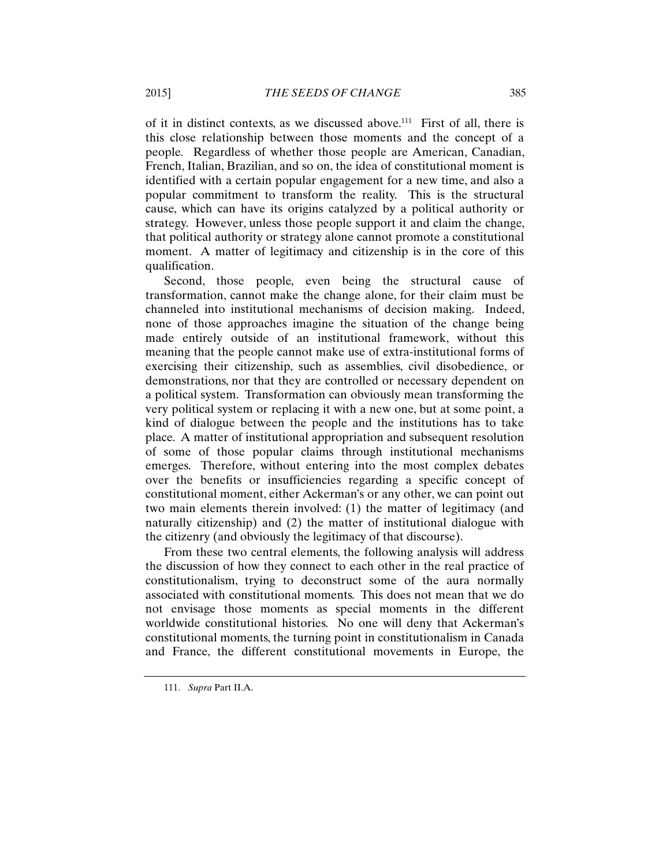of it in distinct contexts, as we discussed above.<sup>111</sup> First of all, there is this close relationship between those moments and the concept of a people*.* Regardless of whether those people are American, Canadian, French, Italian, Brazilian, and so on, the idea of constitutional moment is identified with a certain popular engagement for a new time, and also a popular commitment to transform the reality. This is the structural cause, which can have its origins catalyzed by a political authority or strategy. However, unless those people support it and claim the change, that political authority or strategy alone cannot promote a constitutional moment. A matter of legitimacy and citizenship is in the core of this qualification.

Second, those people*,* even being the structural cause of transformation, cannot make the change alone, for their claim must be channeled into institutional mechanisms of decision making. Indeed, none of those approaches imagine the situation of the change being made entirely outside of an institutional framework, without this meaning that the people cannot make use of extra-institutional forms of exercising their citizenship, such as assemblies, civil disobedience, or demonstrations, nor that they are controlled or necessary dependent on a political system. Transformation can obviously mean transforming the very political system or replacing it with a new one, but at some point, a kind of dialogue between the people and the institutions has to take place. A matter of institutional appropriation and subsequent resolution of some of those popular claims through institutional mechanisms emerges. Therefore, without entering into the most complex debates over the benefits or insufficiencies regarding a specific concept of constitutional moment, either Ackerman's or any other, we can point out two main elements therein involved: (1) the matter of legitimacy (and naturally citizenship) and (2) the matter of institutional dialogue with the citizenry (and obviously the legitimacy of that discourse).

From these two central elements, the following analysis will address the discussion of how they connect to each other in the real practice of constitutionalism, trying to deconstruct some of the aura normally associated with constitutional moments. This does not mean that we do not envisage those moments as special moments in the different worldwide constitutional histories. No one will deny that Ackerman's constitutional moments, the turning point in constitutionalism in Canada and France, the different constitutional movements in Europe, the

111. *Supra* Part II.A.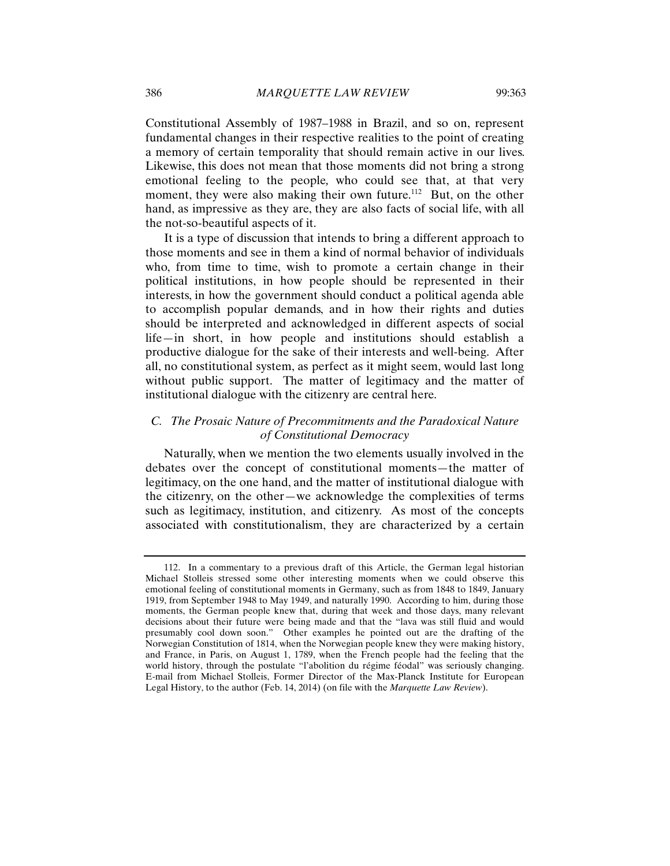Constitutional Assembly of 1987–1988 in Brazil, and so on, represent fundamental changes in their respective realities to the point of creating a memory of certain temporality that should remain active in our lives. Likewise, this does not mean that those moments did not bring a strong emotional feeling to the people*,* who could see that, at that very moment, they were also making their own future.<sup>112</sup> But, on the other hand, as impressive as they are, they are also facts of social life, with all the not-so-beautiful aspects of it.

It is a type of discussion that intends to bring a different approach to those moments and see in them a kind of normal behavior of individuals who, from time to time, wish to promote a certain change in their political institutions, in how people should be represented in their interests, in how the government should conduct a political agenda able to accomplish popular demands, and in how their rights and duties should be interpreted and acknowledged in different aspects of social life—in short, in how people and institutions should establish a productive dialogue for the sake of their interests and well-being. After all, no constitutional system, as perfect as it might seem, would last long without public support. The matter of legitimacy and the matter of institutional dialogue with the citizenry are central here.

# *C. The Prosaic Nature of Precommitments and the Paradoxical Nature of Constitutional Democracy*

Naturally, when we mention the two elements usually involved in the debates over the concept of constitutional moments—the matter of legitimacy, on the one hand, and the matter of institutional dialogue with the citizenry, on the other—we acknowledge the complexities of terms such as legitimacy, institution, and citizenry. As most of the concepts associated with constitutionalism, they are characterized by a certain

<sup>112.</sup> In a commentary to a previous draft of this Article, the German legal historian Michael Stolleis stressed some other interesting moments when we could observe this emotional feeling of constitutional moments in Germany, such as from 1848 to 1849, January 1919, from September 1948 to May 1949, and naturally 1990. According to him, during those moments, the German people knew that, during that week and those days, many relevant decisions about their future were being made and that the "lava was still fluid and would presumably cool down soon." Other examples he pointed out are the drafting of the Norwegian Constitution of 1814, when the Norwegian people knew they were making history, and France, in Paris, on August 1, 1789, when the French people had the feeling that the world history, through the postulate "l'abolition du régime féodal" was seriously changing. E-mail from Michael Stolleis, Former Director of the Max-Planck Institute for European Legal History, to the author (Feb. 14, 2014) (on file with the *Marquette Law Review*).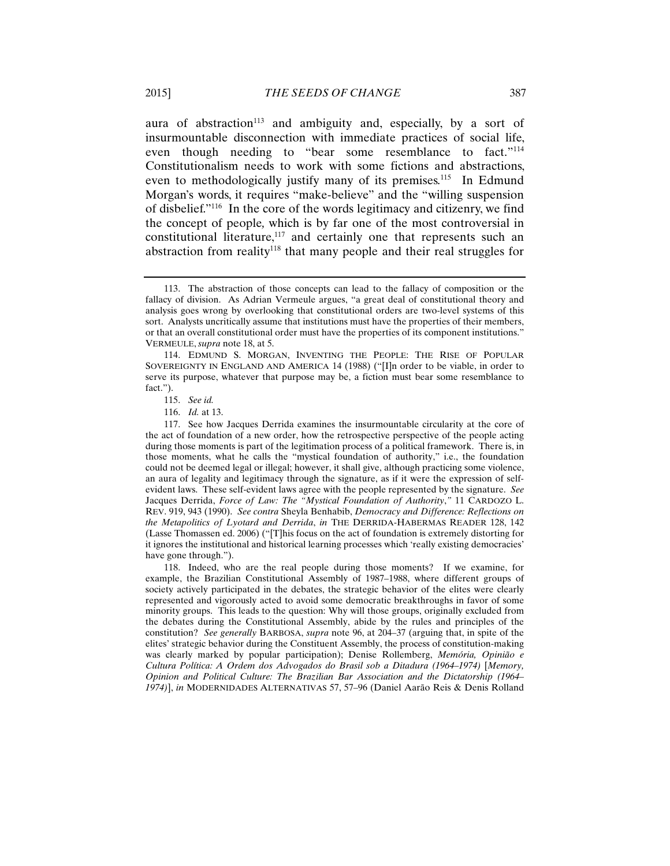aura of abstraction<sup>113</sup> and ambiguity and, especially, by a sort of insurmountable disconnection with immediate practices of social life, even though needing to "bear some resemblance to fact."114 Constitutionalism needs to work with some fictions and abstractions, even to methodologically justify many of its premises.<sup>115</sup> In Edmund Morgan's words, it requires "make-believe" and the "willing suspension of disbelief."116 In the core of the words legitimacy and citizenry, we find the concept of people*,* which is by far one of the most controversial in constitutional literature,<sup>117</sup> and certainly one that represents such an abstraction from reality<sup>118</sup> that many people and their real struggles for

118. Indeed, who are the real people during those moments? If we examine, for example, the Brazilian Constitutional Assembly of 1987–1988, where different groups of society actively participated in the debates, the strategic behavior of the elites were clearly represented and vigorously acted to avoid some democratic breakthroughs in favor of some minority groups. This leads to the question: Why will those groups, originally excluded from the debates during the Constitutional Assembly, abide by the rules and principles of the constitution? *See generally* BARBOSA, *supra* note 96, at 204–37 (arguing that, in spite of the elites' strategic behavior during the Constituent Assembly, the process of constitution-making was clearly marked by popular participation); Denise Rollemberg, *Memória, Opinião e Cultura Política: A Ordem dos Advogados do Brasil sob a Ditadura (1964*–*1974)* [*Memory, Opinion and Political Culture: The Brazilian Bar Association and the Dictatorship (1964*– *1974)*], *in* MODERNIDADES ALTERNATIVAS 57, 57–96 (Daniel Aarão Reis & Denis Rolland

<sup>113.</sup> The abstraction of those concepts can lead to the fallacy of composition or the fallacy of division. As Adrian Vermeule argues, "a great deal of constitutional theory and analysis goes wrong by overlooking that constitutional orders are two-level systems of this sort. Analysts uncritically assume that institutions must have the properties of their members, or that an overall constitutional order must have the properties of its component institutions." VERMEULE, *supra* note 18, at 5.

<sup>114.</sup> EDMUND S. MORGAN, INVENTING THE PEOPLE: THE RISE OF POPULAR SOVEREIGNTY IN ENGLAND AND AMERICA 14 (1988) ("[I]n order to be viable, in order to serve its purpose, whatever that purpose may be, a fiction must bear some resemblance to fact.").

<sup>115.</sup> *See id.*

<sup>116.</sup> *Id.* at 13.

<sup>117.</sup> See how Jacques Derrida examines the insurmountable circularity at the core of the act of foundation of a new order, how the retrospective perspective of the people acting during those moments is part of the legitimation process of a political framework. There is, in those moments, what he calls the "mystical foundation of authority," i.e., the foundation could not be deemed legal or illegal; however, it shall give, although practicing some violence, an aura of legality and legitimacy through the signature, as if it were the expression of selfevident laws. These self-evident laws agree with the people represented by the signature. *See* Jacques Derrida, *Force of Law: The "Mystical Foundation of Authority*,*"* 11 CARDOZO L. REV. 919, 943 (1990). *See contra* Sheyla Benhabib, *Democracy and Difference: Reflections on the Metapolitics of Lyotard and Derrida*, *in* THE DERRIDA-HABERMAS READER 128, 142 (Lasse Thomassen ed. 2006) ("[T]his focus on the act of foundation is extremely distorting for it ignores the institutional and historical learning processes which 'really existing democracies' have gone through.").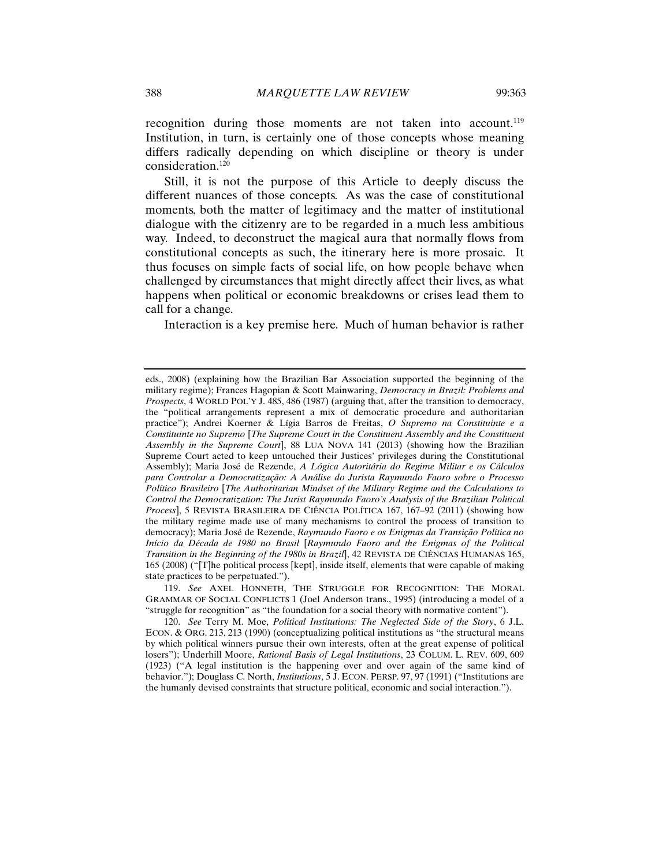recognition during those moments are not taken into account.<sup>119</sup> Institution, in turn, is certainly one of those concepts whose meaning differs radically depending on which discipline or theory is under consideration.120

Still, it is not the purpose of this Article to deeply discuss the different nuances of those concepts. As was the case of constitutional moments, both the matter of legitimacy and the matter of institutional dialogue with the citizenry are to be regarded in a much less ambitious way. Indeed, to deconstruct the magical aura that normally flows from constitutional concepts as such, the itinerary here is more prosaic. It thus focuses on simple facts of social life, on how people behave when challenged by circumstances that might directly affect their lives, as what happens when political or economic breakdowns or crises lead them to call for a change.

Interaction is a key premise here. Much of human behavior is rather

eds., 2008) (explaining how the Brazilian Bar Association supported the beginning of the military regime); Frances Hagopian & Scott Mainwaring, *Democracy in Brazil: Problems and Prospects*, 4 WORLD POL'Y J. 485, 486 (1987) (arguing that, after the transition to democracy, the "political arrangements represent a mix of democratic procedure and authoritarian practice"); Andrei Koerner & Lígia Barros de Freitas, *O Supremo na Constituinte e a Constituinte no Supremo* [*The Supreme Court in the Constituent Assembly and the Constituent Assembly in the Supreme Court*], 88 LUA NOVA 141 (2013) (showing how the Brazilian Supreme Court acted to keep untouched their Justices' privileges during the Constitutional Assembly); Maria José de Rezende, *A Lógica Autoritária do Regime Militar e os Cálculos para Controlar a Democratização: A Análise do Jurista Raymundo Faoro sobre o Processo Político Brasileiro* [*The Authoritarian Mindset of the Military Regime and the Calculations to Control the Democratization: The Jurist Raymundo Faoro's Analysis of the Brazilian Political Process*], 5 REVISTA BRASILEIRA DE CIÊNCIA POLÍTICA 167, 167–92 (2011) (showing how the military regime made use of many mechanisms to control the process of transition to democracy); Maria José de Rezende, *Raymundo Faoro e os Enigmas da Transição Política no Início da Década de 1980 no Brasil* [*Raymundo Faoro and the Enigmas of the Political Transition in the Beginning of the 1980s in Brazil*], 42 REVISTA DE CIÊNCIAS HUMANAS 165, 165 (2008) ("[T]he political process [kept], inside itself, elements that were capable of making state practices to be perpetuated.").

<sup>119.</sup> *See* AXEL HONNETH, THE STRUGGLE FOR RECOGNITION: THE MORAL GRAMMAR OF SOCIAL CONFLICTS 1 (Joel Anderson trans., 1995) (introducing a model of a "struggle for recognition" as "the foundation for a social theory with normative content").

<sup>120.</sup> *See* Terry M. Moe, *Political Institutions: The Neglected Side of the Story*, 6 J.L. ECON. & ORG. 213, 213 (1990) (conceptualizing political institutions as "the structural means by which political winners pursue their own interests, often at the great expense of political losers"); Underhill Moore, *Rational Basis of Legal Institutions*, 23 COLUM. L. REV. 609, 609 (1923) ("A legal institution is the happening over and over again of the same kind of behavior."); Douglass C. North, *Institutions*, 5 J. ECON. PERSP. 97, 97 (1991) ("Institutions are the humanly devised constraints that structure political, economic and social interaction.").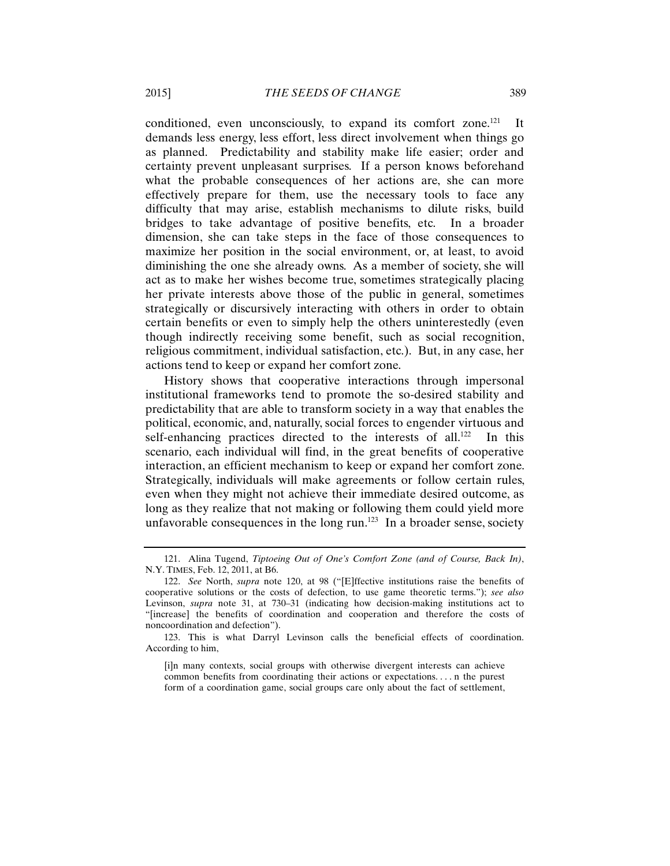conditioned, even unconsciously, to expand its comfort zone.<sup>121</sup> It demands less energy, less effort, less direct involvement when things go as planned. Predictability and stability make life easier; order and certainty prevent unpleasant surprises. If a person knows beforehand what the probable consequences of her actions are, she can more effectively prepare for them, use the necessary tools to face any difficulty that may arise, establish mechanisms to dilute risks, build bridges to take advantage of positive benefits, etc. In a broader dimension, she can take steps in the face of those consequences to maximize her position in the social environment, or, at least, to avoid diminishing the one she already owns. As a member of society, she will act as to make her wishes become true, sometimes strategically placing her private interests above those of the public in general, sometimes strategically or discursively interacting with others in order to obtain certain benefits or even to simply help the others uninterestedly (even though indirectly receiving some benefit, such as social recognition, religious commitment, individual satisfaction, etc.). But, in any case, her actions tend to keep or expand her comfort zone.

History shows that cooperative interactions through impersonal institutional frameworks tend to promote the so-desired stability and predictability that are able to transform society in a way that enables the political, economic, and, naturally, social forces to engender virtuous and self-enhancing practices directed to the interests of all.<sup>122</sup> In this scenario, each individual will find, in the great benefits of cooperative interaction, an efficient mechanism to keep or expand her comfort zone. Strategically, individuals will make agreements or follow certain rules, even when they might not achieve their immediate desired outcome, as long as they realize that not making or following them could yield more unfavorable consequences in the long run. $123$  In a broader sense, society

<sup>121.</sup> Alina Tugend, *Tiptoeing Out of One's Comfort Zone (and of Course, Back In)*, N.Y. TIMES, Feb. 12, 2011, at B6.

<sup>122.</sup> *See* North, *supra* note 120, at 98 ("[E]ffective institutions raise the benefits of cooperative solutions or the costs of defection, to use game theoretic terms."); *see also*  Levinson, *supra* note 31, at 730–31 (indicating how decision-making institutions act to "[increase] the benefits of coordination and cooperation and therefore the costs of noncoordination and defection").

<sup>123.</sup> This is what Darryl Levinson calls the beneficial effects of coordination. According to him,

<sup>[</sup>i]n many contexts, social groups with otherwise divergent interests can achieve common benefits from coordinating their actions or expectations. . . . n the purest form of a coordination game, social groups care only about the fact of settlement,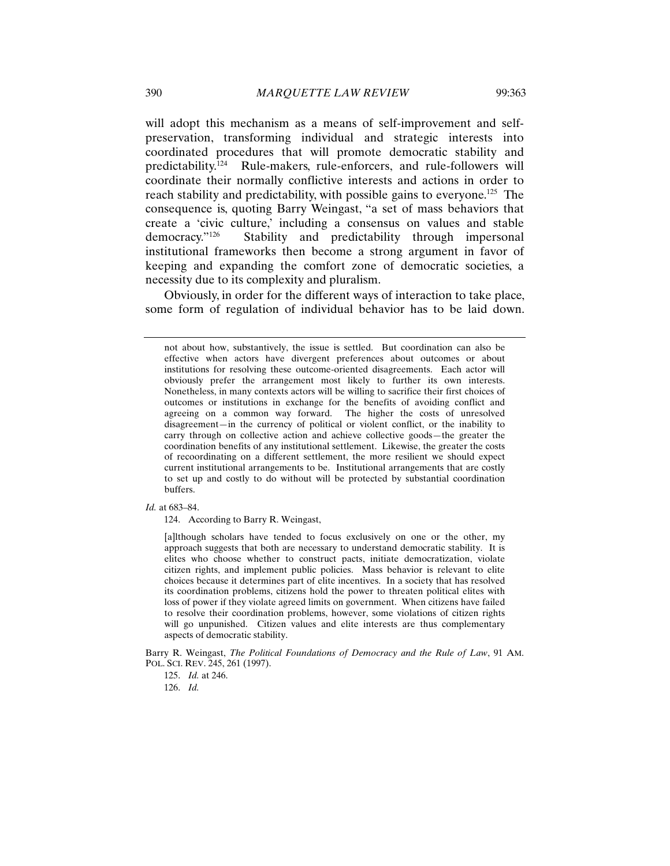will adopt this mechanism as a means of self-improvement and selfpreservation, transforming individual and strategic interests into coordinated procedures that will promote democratic stability and predictability.124 Rule-makers, rule-enforcers, and rule-followers will coordinate their normally conflictive interests and actions in order to reach stability and predictability, with possible gains to everyone.<sup>125</sup> The consequence is, quoting Barry Weingast, "a set of mass behaviors that create a 'civic culture,' including a consensus on values and stable democracy."126 Stability and predictability through impersonal institutional frameworks then become a strong argument in favor of keeping and expanding the comfort zone of democratic societies, a necessity due to its complexity and pluralism.

Obviously, in order for the different ways of interaction to take place, some form of regulation of individual behavior has to be laid down.

*Id.* at 683–84.

124. According to Barry R. Weingast,

[a]lthough scholars have tended to focus exclusively on one or the other, my approach suggests that both are necessary to understand democratic stability. It is elites who choose whether to construct pacts, initiate democratization, violate citizen rights, and implement public policies. Mass behavior is relevant to elite choices because it determines part of elite incentives. In a society that has resolved its coordination problems, citizens hold the power to threaten political elites with loss of power if they violate agreed limits on government. When citizens have failed to resolve their coordination problems, however, some violations of citizen rights will go unpunished. Citizen values and elite interests are thus complementary aspects of democratic stability.

Barry R. Weingast, *The Political Foundations of Democracy and the Rule of Law*, 91 AM. POL. SCI. REV. 245, 261 (1997).

126. *Id.*

not about how, substantively, the issue is settled. But coordination can also be effective when actors have divergent preferences about outcomes or about institutions for resolving these outcome-oriented disagreements. Each actor will obviously prefer the arrangement most likely to further its own interests. Nonetheless, in many contexts actors will be willing to sacrifice their first choices of outcomes or institutions in exchange for the benefits of avoiding conflict and agreeing on a common way forward. The higher the costs of unresolved disagreement—in the currency of political or violent conflict, or the inability to carry through on collective action and achieve collective goods—the greater the coordination benefits of any institutional settlement. Likewise, the greater the costs of recoordinating on a different settlement, the more resilient we should expect current institutional arrangements to be. Institutional arrangements that are costly to set up and costly to do without will be protected by substantial coordination buffers.

<sup>125.</sup> *Id.* at 246.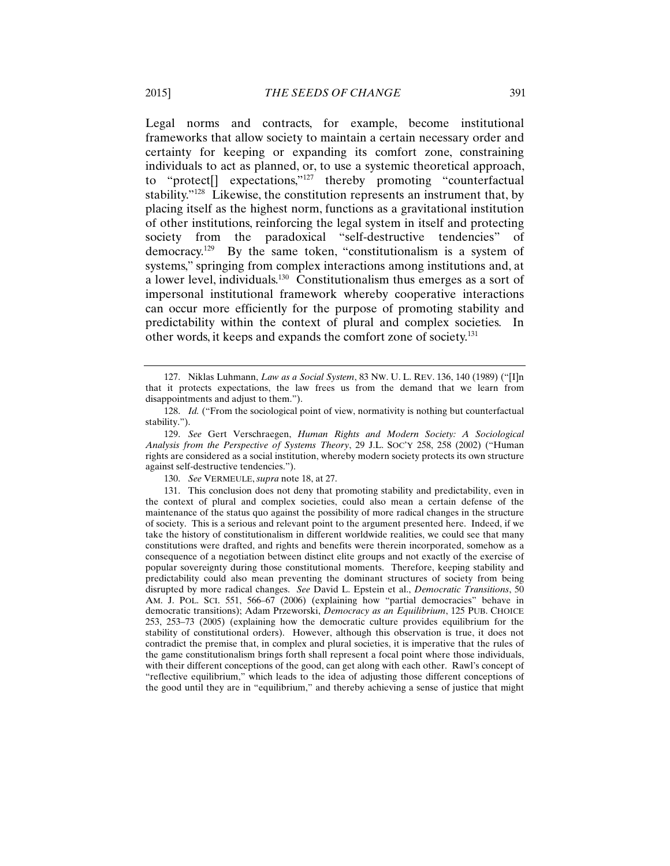Legal norms and contracts, for example, become institutional frameworks that allow society to maintain a certain necessary order and certainty for keeping or expanding its comfort zone, constraining individuals to act as planned, or, to use a systemic theoretical approach, to "protect[] expectations,"127 thereby promoting "counterfactual stability."128 Likewise, the constitution represents an instrument that, by placing itself as the highest norm, functions as a gravitational institution of other institutions, reinforcing the legal system in itself and protecting society from the paradoxical "self-destructive tendencies" of democracy.129 By the same token, "constitutionalism is a system of systems," springing from complex interactions among institutions and, at a lower level, individuals.130 Constitutionalism thus emerges as a sort of impersonal institutional framework whereby cooperative interactions can occur more efficiently for the purpose of promoting stability and predictability within the context of plural and complex societies. In other words, it keeps and expands the comfort zone of society.131

130. *See* VERMEULE, *supra* note 18, at 27.

131. This conclusion does not deny that promoting stability and predictability, even in the context of plural and complex societies, could also mean a certain defense of the maintenance of the status quo against the possibility of more radical changes in the structure of society. This is a serious and relevant point to the argument presented here. Indeed, if we take the history of constitutionalism in different worldwide realities, we could see that many constitutions were drafted, and rights and benefits were therein incorporated, somehow as a consequence of a negotiation between distinct elite groups and not exactly of the exercise of popular sovereignty during those constitutional moments. Therefore, keeping stability and predictability could also mean preventing the dominant structures of society from being disrupted by more radical changes. *See* David L. Epstein et al., *Democratic Transitions*, 50 AM. J. POL. SCI. 551, 566–67 (2006) (explaining how "partial democracies" behave in democratic transitions); Adam Przeworski, *Democracy as an Equilibrium*, 125 PUB. CHOICE 253, 253–73 (2005) (explaining how the democratic culture provides equilibrium for the stability of constitutional orders). However, although this observation is true, it does not contradict the premise that, in complex and plural societies, it is imperative that the rules of the game constitutionalism brings forth shall represent a focal point where those individuals, with their different conceptions of the good, can get along with each other. Rawl's concept of "reflective equilibrium," which leads to the idea of adjusting those different conceptions of the good until they are in "equilibrium," and thereby achieving a sense of justice that might

<sup>127.</sup> Niklas Luhmann, *Law as a Social System*, 83 NW. U. L. REV. 136, 140 (1989) ("[I]n that it protects expectations, the law frees us from the demand that we learn from disappointments and adjust to them.").

<sup>128.</sup> *Id.* ("From the sociological point of view, normativity is nothing but counterfactual stability.").

<sup>129.</sup> *See* Gert Verschraegen, *Human Rights and Modern Society: A Sociological Analysis from the Perspective of Systems Theory*, 29 J.L. SOC'Y 258, 258 (2002) ("Human rights are considered as a social institution, whereby modern society protects its own structure against self-destructive tendencies.").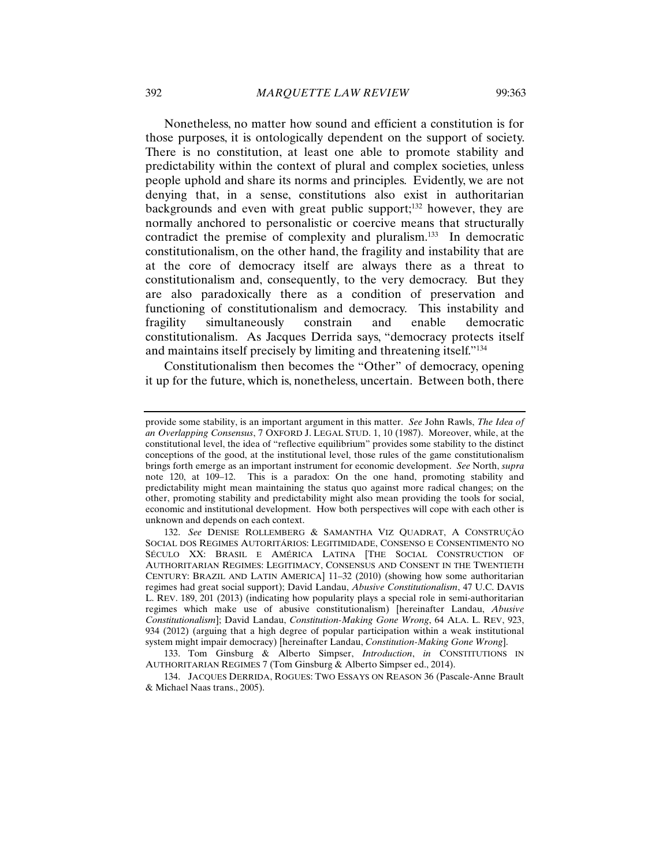Nonetheless, no matter how sound and efficient a constitution is for those purposes, it is ontologically dependent on the support of society. There is no constitution, at least one able to promote stability and predictability within the context of plural and complex societies, unless people uphold and share its norms and principles. Evidently, we are not denying that, in a sense, constitutions also exist in authoritarian backgrounds and even with great public support;<sup>132</sup> however, they are normally anchored to personalistic or coercive means that structurally contradict the premise of complexity and pluralism.<sup>133</sup> In democratic constitutionalism, on the other hand, the fragility and instability that are at the core of democracy itself are always there as a threat to constitutionalism and, consequently, to the very democracy. But they are also paradoxically there as a condition of preservation and functioning of constitutionalism and democracy. This instability and fragility simultaneously constrain and enable democratic constitutionalism. As Jacques Derrida says, "democracy protects itself and maintains itself precisely by limiting and threatening itself."134

Constitutionalism then becomes the "Other" of democracy, opening it up for the future, which is, nonetheless, uncertain. Between both, there

provide some stability, is an important argument in this matter. *See* John Rawls, *The Idea of an Overlapping Consensus*, 7 OXFORD J. LEGAL STUD. 1, 10 (1987). Moreover, while, at the constitutional level, the idea of "reflective equilibrium" provides some stability to the distinct conceptions of the good, at the institutional level, those rules of the game constitutionalism brings forth emerge as an important instrument for economic development. *See* North, *supra*  note 120, at 109–12. This is a paradox: On the one hand, promoting stability and predictability might mean maintaining the status quo against more radical changes; on the other, promoting stability and predictability might also mean providing the tools for social, economic and institutional development. How both perspectives will cope with each other is unknown and depends on each context.

<sup>132.</sup> *See* DENISE ROLLEMBERG & SAMANTHA VIZ QUADRAT, A CONSTRUÇÃO SOCIAL DOS REGIMES AUTORITÁRIOS: LEGITIMIDADE, CONSENSO E CONSENTIMENTO NO SÉCULO XX: BRASIL E AMÉRICA LATINA [THE SOCIAL CONSTRUCTION OF AUTHORITARIAN REGIMES: LEGITIMACY, CONSENSUS AND CONSENT IN THE TWENTIETH CENTURY: BRAZIL AND LATIN AMERICA] 11–32 (2010) (showing how some authoritarian regimes had great social support); David Landau, *Abusive Constitutionalism*, 47 U.C. DAVIS L. REV. 189, 201 (2013) (indicating how popularity plays a special role in semi-authoritarian regimes which make use of abusive constitutionalism) [hereinafter Landau, *Abusive Constitutionalism*]; David Landau, *Constitution-Making Gone Wrong*, 64 ALA. L. REV, 923, 934 (2012) (arguing that a high degree of popular participation within a weak institutional system might impair democracy) [hereinafter Landau, *Constitution-Making Gone Wrong*].

<sup>133.</sup> Tom Ginsburg & Alberto Simpser, *Introduction*, *in* CONSTITUTIONS IN AUTHORITARIAN REGIMES 7 (Tom Ginsburg & Alberto Simpser ed., 2014).

<sup>134.</sup> JACQUES DERRIDA, ROGUES: TWO ESSAYS ON REASON 36 (Pascale-Anne Brault & Michael Naas trans., 2005).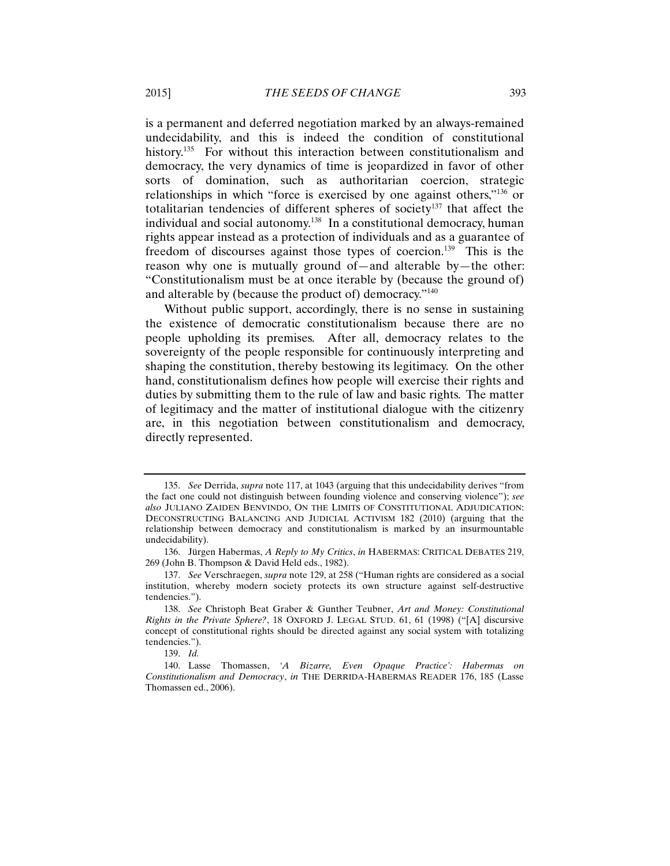is a permanent and deferred negotiation marked by an always-remained undecidability, and this is indeed the condition of constitutional history.<sup>135</sup> For without this interaction between constitutionalism and democracy, the very dynamics of time is jeopardized in favor of other sorts of domination, such as authoritarian coercion, strategic relationships in which "force is exercised by one against others,"136 or totalitarian tendencies of different spheres of society<sup>137</sup> that affect the individual and social autonomy.138 In a constitutional democracy, human rights appear instead as a protection of individuals and as a guarantee of freedom of discourses against those types of coercion.<sup>139</sup> This is the reason why one is mutually ground of—and alterable by—the other: "Constitutionalism must be at once iterable by (because the ground of) and alterable by (because the product of) democracy."140

Without public support, accordingly, there is no sense in sustaining the existence of democratic constitutionalism because there are no people upholding its premises. After all, democracy relates to the sovereignty of the people responsible for continuously interpreting and shaping the constitution, thereby bestowing its legitimacy. On the other hand, constitutionalism defines how people will exercise their rights and duties by submitting them to the rule of law and basic rights. The matter of legitimacy and the matter of institutional dialogue with the citizenry are, in this negotiation between constitutionalism and democracy, directly represented.

<sup>135.</sup> *See* Derrida, *supra* note 117, at 1043 (arguing that this undecidability derives "from the fact one could not distinguish between founding violence and conserving violence"); *see also* JULIANO ZAIDEN BENVINDO, ON THE LIMITS OF CONSTITUTIONAL ADJUDICATION: DECONSTRUCTING BALANCING AND JUDICIAL ACTIVISM 182 (2010) (arguing that the relationship between democracy and constitutionalism is marked by an insurmountable undecidability).

<sup>136.</sup> Jürgen Habermas, *A Reply to My Critics*, *in* HABERMAS: CRITICAL DEBATES 219, 269 (John B. Thompson & David Held eds., 1982).

<sup>137.</sup> *See* Verschraegen, *supra* note 129, at 258 ("Human rights are considered as a social institution, whereby modern society protects its own structure against self-destructive tendencies.").

<sup>138.</sup> *See* Christoph Beat Graber & Gunther Teubner, *Art and Money: Constitutional Rights in the Private Sphere?*, 18 OXFORD J. LEGAL STUD. 61, 61 (1998) ("[A] discursive concept of constitutional rights should be directed against any social system with totalizing tendencies.").

<sup>139.</sup> *Id.*

<sup>140.</sup> Lasse Thomassen, *'A Bizarre, Even Opaque Practice': Habermas on Constitutionalism and Democracy*, *in* THE DERRIDA-HABERMAS READER 176, 185 (Lasse Thomassen ed., 2006).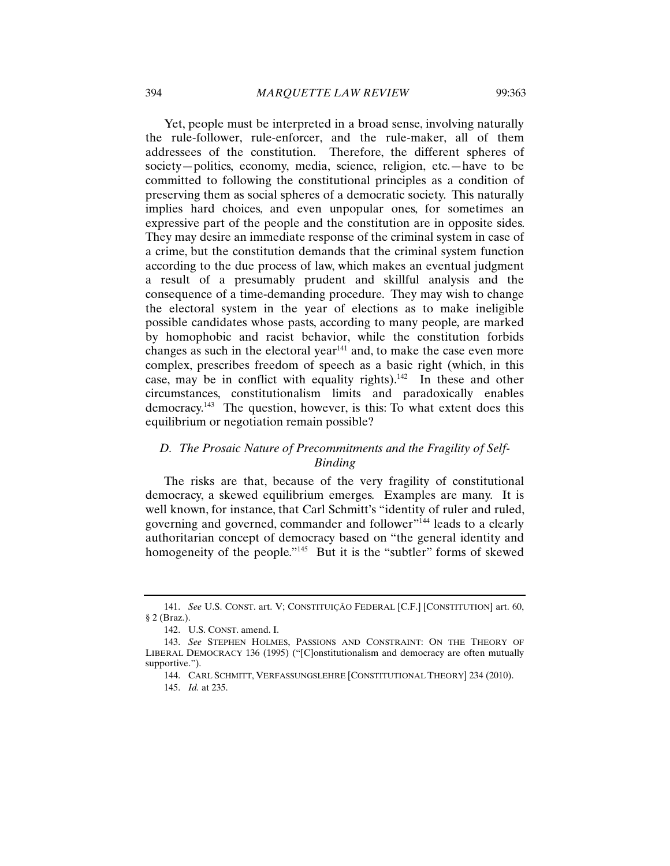Yet, people must be interpreted in a broad sense, involving naturally the rule-follower, rule-enforcer, and the rule-maker, all of them addressees of the constitution. Therefore, the different spheres of society—politics, economy, media, science, religion, etc.—have to be committed to following the constitutional principles as a condition of preserving them as social spheres of a democratic society. This naturally implies hard choices, and even unpopular ones, for sometimes an expressive part of the people and the constitution are in opposite sides. They may desire an immediate response of the criminal system in case of a crime, but the constitution demands that the criminal system function according to the due process of law, which makes an eventual judgment a result of a presumably prudent and skillful analysis and the consequence of a time-demanding procedure. They may wish to change the electoral system in the year of elections as to make ineligible possible candidates whose pasts, according to many people*,* are marked by homophobic and racist behavior, while the constitution forbids changes as such in the electoral year<sup>141</sup> and, to make the case even more complex, prescribes freedom of speech as a basic right (which, in this case, may be in conflict with equality rights).<sup>142</sup> In these and other circumstances, constitutionalism limits and paradoxically enables democracy.143 The question, however, is this: To what extent does this equilibrium or negotiation remain possible?

# *D. The Prosaic Nature of Precommitments and the Fragility of Self-Binding*

The risks are that, because of the very fragility of constitutional democracy, a skewed equilibrium emerges. Examples are many. It is well known, for instance, that Carl Schmitt's "identity of ruler and ruled, governing and governed, commander and follower"144 leads to a clearly authoritarian concept of democracy based on "the general identity and homogeneity of the people."<sup>145</sup> But it is the "subtler" forms of skewed

<sup>141.</sup> *See* U.S. CONST. art. V; CONSTITUIÇÃO FEDERAL [C.F.] [CONSTITUTION] art. 60, § 2 (Braz.).

<sup>142.</sup> U.S. CONST. amend. I.

<sup>143.</sup> *See* STEPHEN HOLMES, PASSIONS AND CONSTRAINT: ON THE THEORY OF LIBERAL DEMOCRACY 136 (1995) ("[C]onstitutionalism and democracy are often mutually supportive.").

<sup>144.</sup> CARL SCHMITT, VERFASSUNGSLEHRE [CONSTITUTIONAL THEORY] 234 (2010). 145. *Id.* at 235.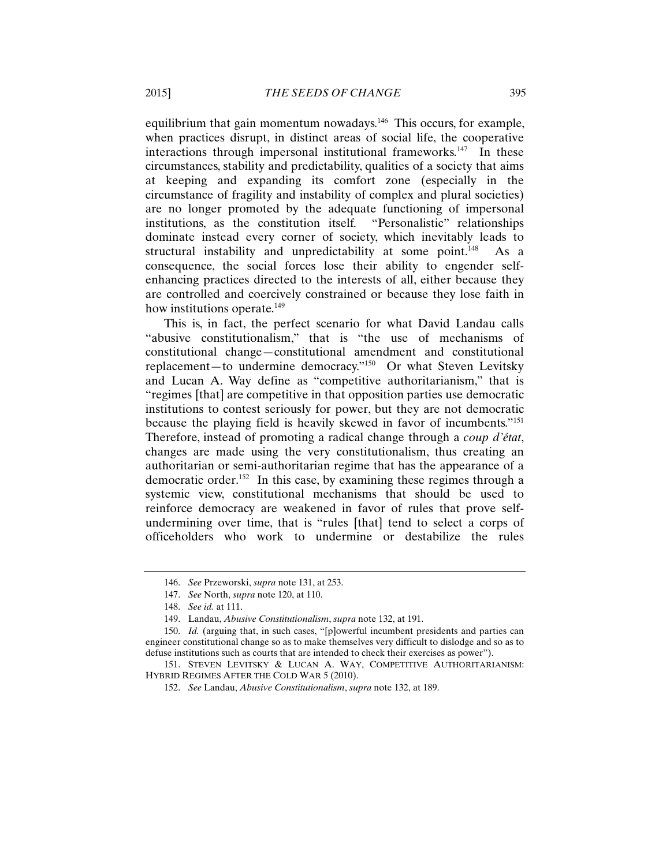equilibrium that gain momentum nowadays.<sup>146</sup> This occurs, for example, when practices disrupt, in distinct areas of social life, the cooperative interactions through impersonal institutional frameworks.<sup>147</sup> In these circumstances, stability and predictability, qualities of a society that aims at keeping and expanding its comfort zone (especially in the circumstance of fragility and instability of complex and plural societies) are no longer promoted by the adequate functioning of impersonal institutions, as the constitution itself. "Personalistic" relationships dominate instead every corner of society, which inevitably leads to structural instability and unpredictability at some point.<sup>148</sup> As a consequence, the social forces lose their ability to engender selfenhancing practices directed to the interests of all, either because they are controlled and coercively constrained or because they lose faith in how institutions operate.<sup>149</sup>

This is, in fact, the perfect scenario for what David Landau calls "abusive constitutionalism," that is "the use of mechanisms of constitutional change—constitutional amendment and constitutional replacement—to undermine democracy."150 Or what Steven Levitsky and Lucan A. Way define as "competitive authoritarianism," that is "regimes [that] are competitive in that opposition parties use democratic institutions to contest seriously for power, but they are not democratic because the playing field is heavily skewed in favor of incumbents."151 Therefore, instead of promoting a radical change through a *coup d'état*, changes are made using the very constitutionalism, thus creating an authoritarian or semi-authoritarian regime that has the appearance of a democratic order.152 In this case, by examining these regimes through a systemic view, constitutional mechanisms that should be used to reinforce democracy are weakened in favor of rules that prove selfundermining over time, that is "rules [that] tend to select a corps of officeholders who work to undermine or destabilize the rules

<sup>146.</sup> *See* Przeworski, *supra* note 131, at 253.

<sup>147.</sup> *See* North, *supra* note 120, at 110.

<sup>148.</sup> *See id.* at 111.

<sup>149.</sup> Landau, *Abusive Constitutionalism*, *supra* note 132, at 191.

<sup>150.</sup> *Id.* (arguing that, in such cases, "[p]owerful incumbent presidents and parties can engineer constitutional change so as to make themselves very difficult to dislodge and so as to defuse institutions such as courts that are intended to check their exercises as power").

<sup>151.</sup> STEVEN LEVITSKY & LUCAN A. WAY, COMPETITIVE AUTHORITARIANISM: HYBRID REGIMES AFTER THE COLD WAR 5 (2010).

<sup>152.</sup> *See* Landau, *Abusive Constitutionalism*, *supra* note 132, at 189.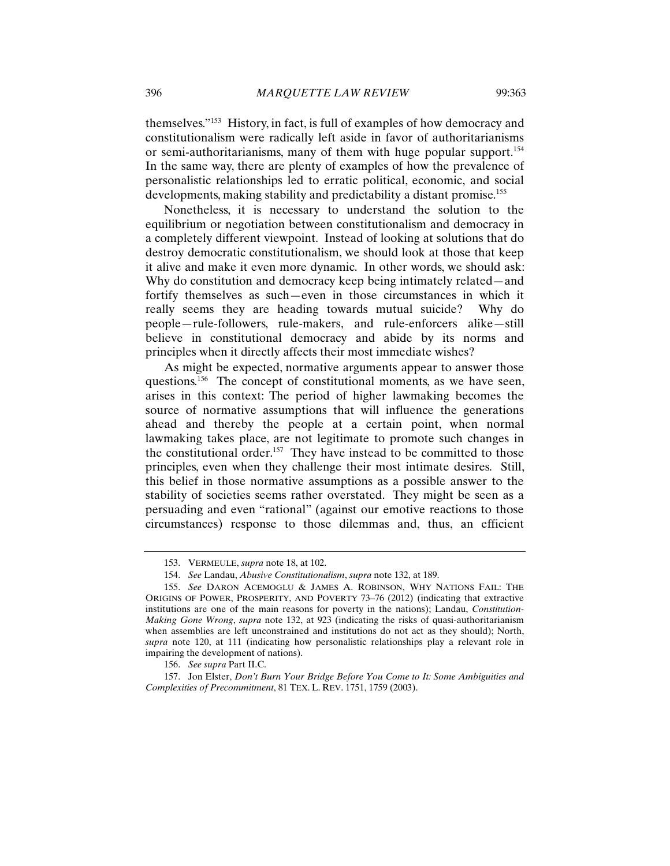themselves."153 History, in fact, is full of examples of how democracy and constitutionalism were radically left aside in favor of authoritarianisms or semi-authoritarianisms, many of them with huge popular support.154 In the same way, there are plenty of examples of how the prevalence of personalistic relationships led to erratic political, economic, and social developments, making stability and predictability a distant promise.155

Nonetheless, it is necessary to understand the solution to the equilibrium or negotiation between constitutionalism and democracy in a completely different viewpoint. Instead of looking at solutions that do destroy democratic constitutionalism, we should look at those that keep it alive and make it even more dynamic. In other words, we should ask: Why do constitution and democracy keep being intimately related—and fortify themselves as such—even in those circumstances in which it really seems they are heading towards mutual suicide? Why do people*—*rule-followers, rule-makers, and rule-enforcers alike—still believe in constitutional democracy and abide by its norms and principles when it directly affects their most immediate wishes?

As might be expected, normative arguments appear to answer those questions.156 The concept of constitutional moments, as we have seen, arises in this context: The period of higher lawmaking becomes the source of normative assumptions that will influence the generations ahead and thereby the people at a certain point, when normal lawmaking takes place, are not legitimate to promote such changes in the constitutional order.<sup>157</sup> They have instead to be committed to those principles, even when they challenge their most intimate desires. Still, this belief in those normative assumptions as a possible answer to the stability of societies seems rather overstated. They might be seen as a persuading and even "rational" (against our emotive reactions to those circumstances) response to those dilemmas and, thus, an efficient

<sup>153.</sup> VERMEULE, *supra* note 18, at 102.

<sup>154.</sup> *See* Landau, *Abusive Constitutionalism*, *supra* note 132, at 189.

<sup>155.</sup> *See* DARON ACEMOGLU & JAMES A. ROBINSON, WHY NATIONS FAIL: THE ORIGINS OF POWER, PROSPERITY, AND POVERTY 73–76 (2012) (indicating that extractive institutions are one of the main reasons for poverty in the nations); Landau, *Constitution-Making Gone Wrong*, *supra* note 132, at 923 (indicating the risks of quasi-authoritarianism when assemblies are left unconstrained and institutions do not act as they should); North, *supra* note 120, at 111 (indicating how personalistic relationships play a relevant role in impairing the development of nations).

<sup>156.</sup> *See supra* Part II.C.

<sup>157.</sup> Jon Elster, *Don't Burn Your Bridge Before You Come to It: Some Ambiguities and Complexities of Precommitment*, 81 TEX. L. REV. 1751, 1759 (2003).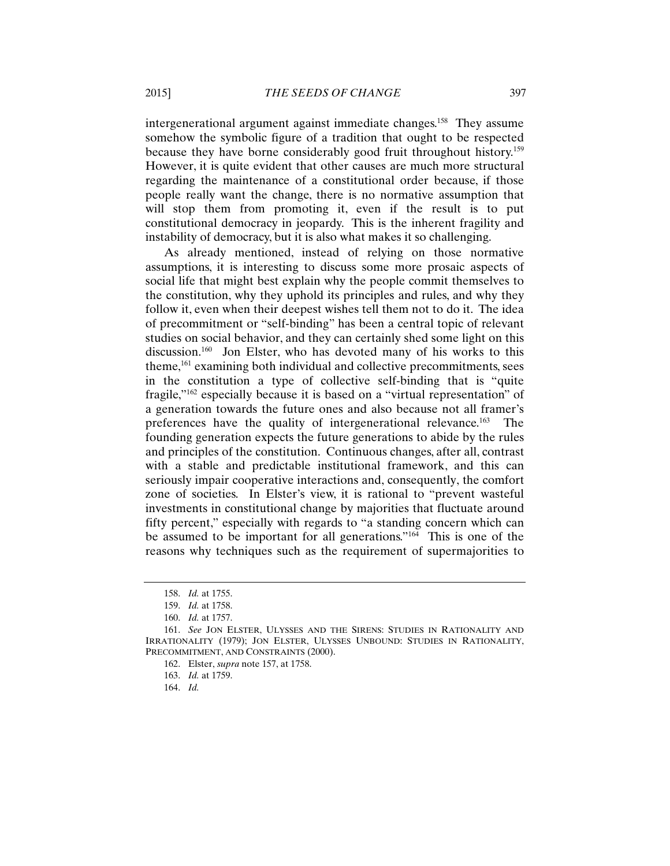intergenerational argument against immediate changes.<sup>158</sup> They assume somehow the symbolic figure of a tradition that ought to be respected because they have borne considerably good fruit throughout history.159 However, it is quite evident that other causes are much more structural regarding the maintenance of a constitutional order because, if those people really want the change, there is no normative assumption that will stop them from promoting it, even if the result is to put constitutional democracy in jeopardy. This is the inherent fragility and instability of democracy, but it is also what makes it so challenging.

As already mentioned, instead of relying on those normative assumptions, it is interesting to discuss some more prosaic aspects of social life that might best explain why the people commit themselves to the constitution, why they uphold its principles and rules, and why they follow it, even when their deepest wishes tell them not to do it. The idea of precommitment or "self-binding" has been a central topic of relevant studies on social behavior, and they can certainly shed some light on this discussion.<sup>160</sup> Jon Elster, who has devoted many of his works to this theme,<sup>161</sup> examining both individual and collective precommitments, sees in the constitution a type of collective self-binding that is "quite fragile,"162 especially because it is based on a "virtual representation" of a generation towards the future ones and also because not all framer's preferences have the quality of intergenerational relevance.163 The founding generation expects the future generations to abide by the rules and principles of the constitution. Continuous changes, after all, contrast with a stable and predictable institutional framework, and this can seriously impair cooperative interactions and, consequently, the comfort zone of societies. In Elster's view, it is rational to "prevent wasteful investments in constitutional change by majorities that fluctuate around fifty percent," especially with regards to "a standing concern which can be assumed to be important for all generations."164 This is one of the reasons why techniques such as the requirement of supermajorities to

<sup>158.</sup> *Id.* at 1755.

<sup>159.</sup> *Id.* at 1758.

<sup>160.</sup> *Id.* at 1757.

<sup>161.</sup> *See* JON ELSTER, ULYSSES AND THE SIRENS: STUDIES IN RATIONALITY AND IRRATIONALITY (1979); JON ELSTER, ULYSSES UNBOUND: STUDIES IN RATIONALITY, PRECOMMITMENT, AND CONSTRAINTS (2000).

<sup>162.</sup> Elster, *supra* note 157, at 1758.

<sup>163.</sup> *Id.* at 1759.

<sup>164.</sup> *Id.*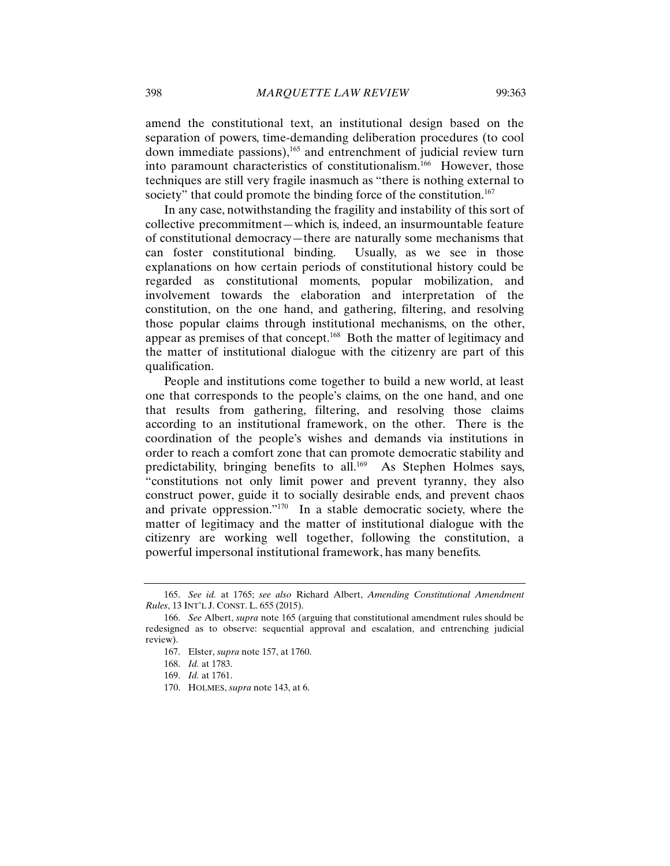society" that could promote the binding force of the constitution.<sup>167</sup>

amend the constitutional text, an institutional design based on the separation of powers, time-demanding deliberation procedures (to cool down immediate passions),<sup>165</sup> and entrenchment of judicial review turn into paramount characteristics of constitutionalism.<sup>166</sup> However, those techniques are still very fragile inasmuch as "there is nothing external to

In any case, notwithstanding the fragility and instability of this sort of collective precommitment—which is, indeed, an insurmountable feature of constitutional democracy—there are naturally some mechanisms that can foster constitutional binding. Usually, as we see in those explanations on how certain periods of constitutional history could be regarded as constitutional moments, popular mobilization, and involvement towards the elaboration and interpretation of the constitution, on the one hand, and gathering, filtering, and resolving those popular claims through institutional mechanisms, on the other, appear as premises of that concept.168 Both the matter of legitimacy and the matter of institutional dialogue with the citizenry are part of this qualification.

People and institutions come together to build a new world, at least one that corresponds to the people's claims, on the one hand, and one that results from gathering, filtering, and resolving those claims according to an institutional framework, on the other. There is the coordination of the people's wishes and demands via institutions in order to reach a comfort zone that can promote democratic stability and predictability, bringing benefits to all.<sup>169</sup> As Stephen Holmes says, "constitutions not only limit power and prevent tyranny, they also construct power, guide it to socially desirable ends, and prevent chaos and private oppression."170 In a stable democratic society, where the matter of legitimacy and the matter of institutional dialogue with the citizenry are working well together, following the constitution, a powerful impersonal institutional framework, has many benefits.

<sup>165.</sup> *See id.* at 1765; *see also* Richard Albert, *Amending Constitutional Amendment Rules*, 13 INT'L J. CONST. L. 655 (2015).

<sup>166.</sup> *See* Albert, *supra* note 165 (arguing that constitutional amendment rules should be redesigned as to observe: sequential approval and escalation, and entrenching judicial review).

<sup>167.</sup> Elster, *supra* note 157, at 1760.

<sup>168.</sup> *Id.* at 1783.

<sup>169.</sup> *Id.* at 1761.

<sup>170.</sup> HOLMES, *supra* note 143, at 6.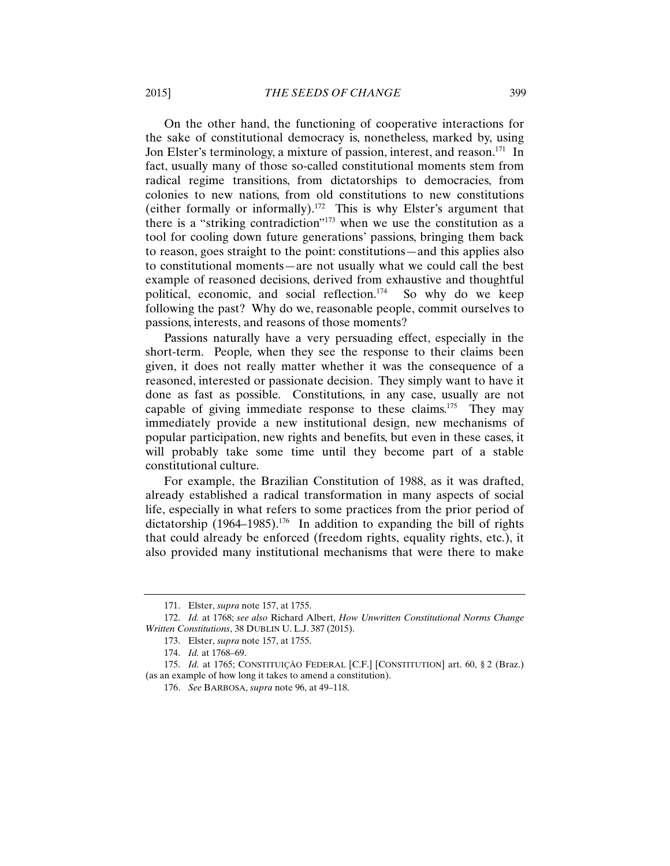On the other hand, the functioning of cooperative interactions for the sake of constitutional democracy is, nonetheless, marked by, using Jon Elster's terminology, a mixture of passion, interest, and reason.<sup>171</sup> In fact, usually many of those so-called constitutional moments stem from radical regime transitions, from dictatorships to democracies, from colonies to new nations, from old constitutions to new constitutions (either formally or informally).<sup>172</sup> This is why Elster's argument that there is a "striking contradiction"<sup>173</sup> when we use the constitution as a tool for cooling down future generations' passions, bringing them back to reason, goes straight to the point: constitutions—and this applies also to constitutional moments—are not usually what we could call the best example of reasoned decisions, derived from exhaustive and thoughtful political, economic, and social reflection.174 So why do we keep following the past? Why do we, reasonable people, commit ourselves to passions, interests, and reasons of those moments?

Passions naturally have a very persuading effect, especially in the short-term. People*,* when they see the response to their claims been given, it does not really matter whether it was the consequence of a reasoned, interested or passionate decision. They simply want to have it done as fast as possible. Constitutions, in any case, usually are not capable of giving immediate response to these claims.<sup>175</sup> They may immediately provide a new institutional design, new mechanisms of popular participation, new rights and benefits, but even in these cases, it will probably take some time until they become part of a stable constitutional culture.

For example, the Brazilian Constitution of 1988, as it was drafted, already established a radical transformation in many aspects of social life, especially in what refers to some practices from the prior period of dictatorship  $(1964-1985)$ .<sup>176</sup> In addition to expanding the bill of rights that could already be enforced (freedom rights, equality rights, etc.), it also provided many institutional mechanisms that were there to make

<sup>171.</sup> Elster, *supra* note 157, at 1755.

<sup>172.</sup> *Id.* at 1768; *see also* Richard Albert, *How Unwritten Constitutional Norms Change Written Constitutions*, 38 DUBLIN U. L.J. 387 (2015).

<sup>173.</sup> Elster, *supra* note 157, at 1755.

<sup>174.</sup> *Id.* at 1768–69.

<sup>175.</sup> *Id.* at 1765; CONSTITUIÇÃO FEDERAL [C.F.] [CONSTITUTION] art. 60, § 2 (Braz.) (as an example of how long it takes to amend a constitution).

<sup>176.</sup> *See* BARBOSA, *supra* note 96, at 49–118.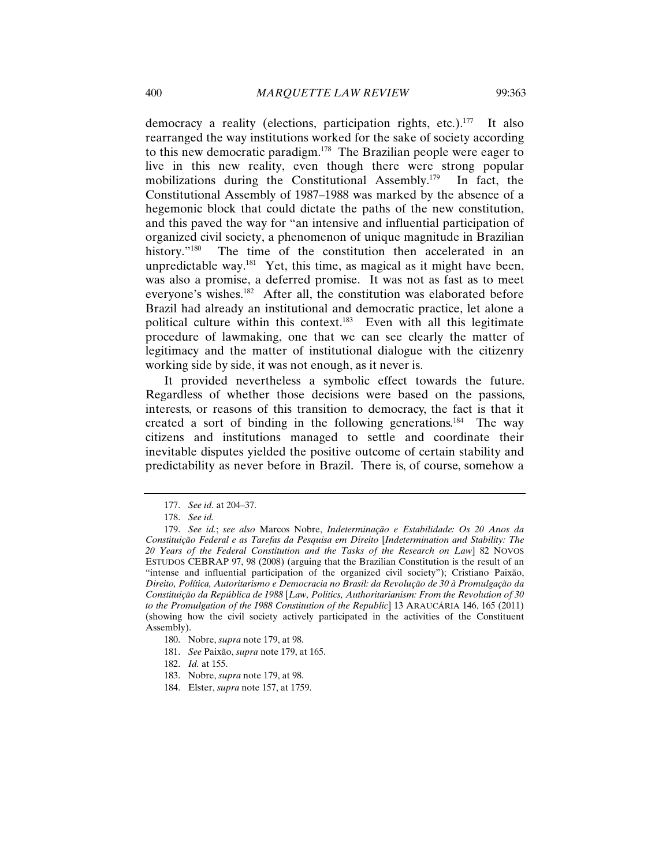democracy a reality (elections, participation rights, etc.).<sup>177</sup> It also rearranged the way institutions worked for the sake of society according to this new democratic paradigm.178 The Brazilian people were eager to live in this new reality, even though there were strong popular mobilizations during the Constitutional Assembly.179 In fact, the Constitutional Assembly of 1987–1988 was marked by the absence of a hegemonic block that could dictate the paths of the new constitution, and this paved the way for "an intensive and influential participation of organized civil society, a phenomenon of unique magnitude in Brazilian history."<sup>180</sup> The time of the constitution then accelerated in an unpredictable way.<sup>181</sup> Yet, this time, as magical as it might have been, was also a promise, a deferred promise. It was not as fast as to meet everyone's wishes.<sup>182</sup> After all, the constitution was elaborated before Brazil had already an institutional and democratic practice, let alone a political culture within this context.<sup>183</sup> Even with all this legitimate procedure of lawmaking, one that we can see clearly the matter of legitimacy and the matter of institutional dialogue with the citizenry working side by side, it was not enough, as it never is.

It provided nevertheless a symbolic effect towards the future. Regardless of whether those decisions were based on the passions, interests, or reasons of this transition to democracy, the fact is that it created a sort of binding in the following generations.<sup>184</sup> The way citizens and institutions managed to settle and coordinate their inevitable disputes yielded the positive outcome of certain stability and predictability as never before in Brazil. There is, of course, somehow a

- 182. *Id.* at 155.
- 183. Nobre, *supra* note 179, at 98.
- 184. Elster, *supra* note 157, at 1759.

<sup>177.</sup> *See id.* at 204–37.

<sup>178.</sup> *See id.*

<sup>179.</sup> *See id.*; *see also* Marcos Nobre, *Indeterminação e Estabilidade: Os 20 Anos da Constituição Federal e as Tarefas da Pesquisa em Direito* [*Indetermination and Stability: The 20 Years of the Federal Constitution and the Tasks of the Research on Law*] 82 NOVOS ESTUDOS CEBRAP 97, 98 (2008) (arguing that the Brazilian Constitution is the result of an "intense and influential participation of the organized civil society"); Cristiano Paixão, *Direito, Política, Autoritarismo e Democracia no Brasil: da Revolução de 30 à Promulgação da Constituição da República de 1988* [*Law, Politics, Authoritarianism: From the Revolution of 30 to the Promulgation of the 1988 Constitution of the Republic*] 13 ARAUCÁRIA 146, 165 (2011) (showing how the civil society actively participated in the activities of the Constituent Assembly).

<sup>180.</sup> Nobre, *supra* note 179, at 98.

<sup>181.</sup> *See* Paixão, *supra* note 179, at 165.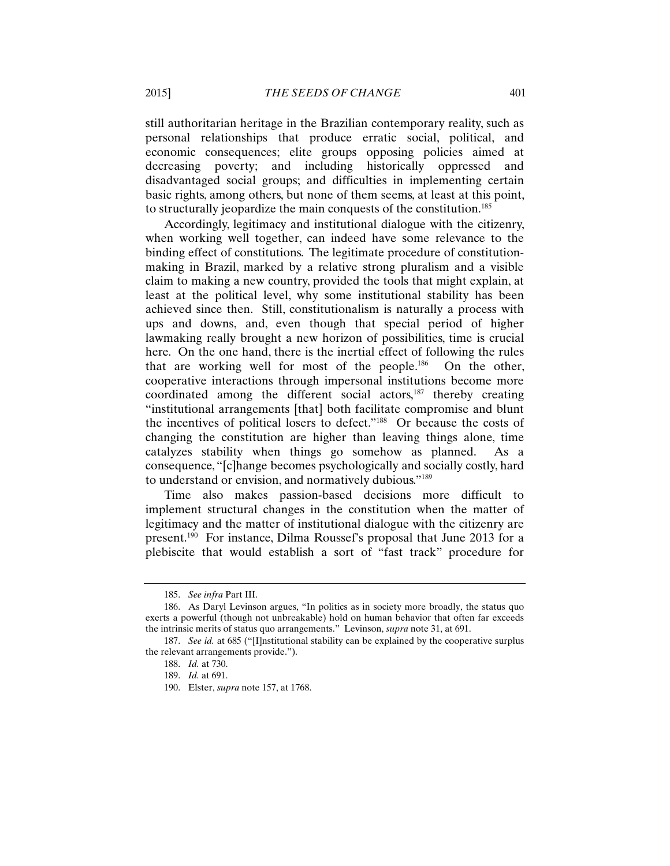still authoritarian heritage in the Brazilian contemporary reality, such as personal relationships that produce erratic social, political, and economic consequences; elite groups opposing policies aimed at decreasing poverty; and including historically oppressed and disadvantaged social groups; and difficulties in implementing certain basic rights, among others, but none of them seems, at least at this point, to structurally jeopardize the main conquests of the constitution.185

Accordingly, legitimacy and institutional dialogue with the citizenry, when working well together, can indeed have some relevance to the binding effect of constitutions. The legitimate procedure of constitutionmaking in Brazil, marked by a relative strong pluralism and a visible claim to making a new country, provided the tools that might explain, at least at the political level, why some institutional stability has been achieved since then. Still, constitutionalism is naturally a process with ups and downs, and, even though that special period of higher lawmaking really brought a new horizon of possibilities, time is crucial here. On the one hand, there is the inertial effect of following the rules that are working well for most of the people.<sup>186</sup> On the other, cooperative interactions through impersonal institutions become more coordinated among the different social actors,187 thereby creating "institutional arrangements [that] both facilitate compromise and blunt the incentives of political losers to defect."188 Or because the costs of changing the constitution are higher than leaving things alone, time catalyzes stability when things go somehow as planned. As a consequence, "[c]hange becomes psychologically and socially costly, hard to understand or envision, and normatively dubious."189

Time also makes passion-based decisions more difficult to implement structural changes in the constitution when the matter of legitimacy and the matter of institutional dialogue with the citizenry are present.190 For instance, Dilma Roussef's proposal that June 2013 for a plebiscite that would establish a sort of "fast track" procedure for

<sup>185.</sup> *See infra* Part III.

<sup>186.</sup> As Daryl Levinson argues, "In politics as in society more broadly, the status quo exerts a powerful (though not unbreakable) hold on human behavior that often far exceeds the intrinsic merits of status quo arrangements." Levinson, *supra* note 31, at 691.

<sup>187.</sup> *See id.* at 685 ("[I]nstitutional stability can be explained by the cooperative surplus the relevant arrangements provide.").

<sup>188.</sup> *Id.* at 730.

<sup>189.</sup> *Id.* at 691.

<sup>190.</sup> Elster, *supra* note 157, at 1768.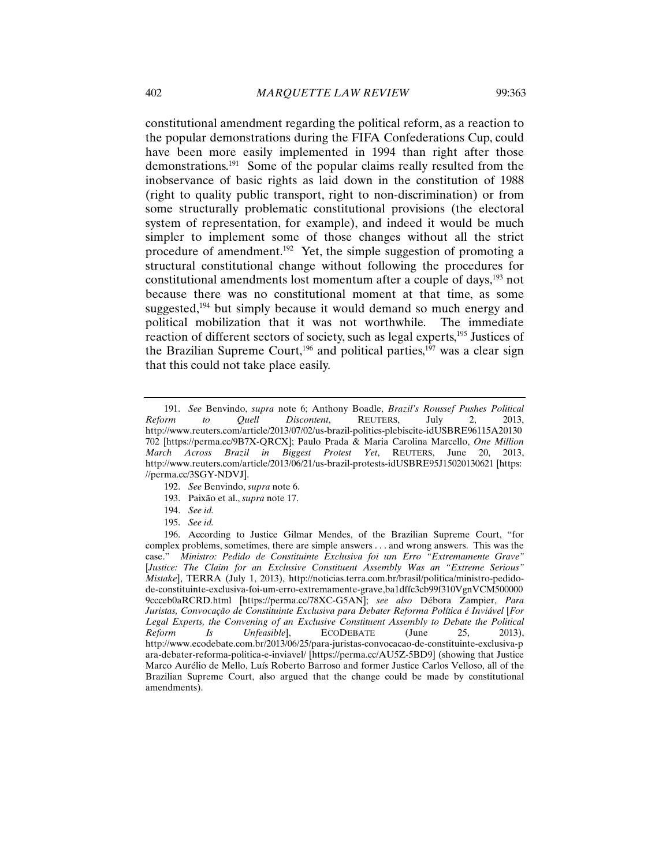constitutional amendment regarding the political reform, as a reaction to the popular demonstrations during the FIFA Confederations Cup, could have been more easily implemented in 1994 than right after those demonstrations.191 Some of the popular claims really resulted from the inobservance of basic rights as laid down in the constitution of 1988 (right to quality public transport, right to non-discrimination) or from some structurally problematic constitutional provisions (the electoral system of representation, for example), and indeed it would be much simpler to implement some of those changes without all the strict procedure of amendment.<sup>192</sup> Yet, the simple suggestion of promoting a structural constitutional change without following the procedures for constitutional amendments lost momentum after a couple of days,<sup>193</sup> not because there was no constitutional moment at that time, as some suggested, $194$  but simply because it would demand so much energy and political mobilization that it was not worthwhile. The immediate reaction of different sectors of society, such as legal experts,<sup>195</sup> Justices of the Brazilian Supreme Court,<sup>196</sup> and political parties,<sup>197</sup> was a clear sign that this could not take place easily.

- 192. *See* Benvindo, *supra* note 6.
- 193. Paixão et al., *supra* note 17.
- 194. *See id.*
- 195. *See id.*

<sup>191.</sup> *See* Benvindo, *supra* note 6; Anthony Boadle, *Brazil's Roussef Pushes Political Reform to Quell Discontent*, REUTERS, July 2, 2013, http://www.reuters.com/article/2013/07/02/us-brazil-politics-plebiscite-idUSBRE96115A20130 702 [https://perma.cc/9B7X-QRCX]; Paulo Prada & Maria Carolina Marcello, *One Million March Across Brazil in Biggest Protest Yet*, REUTERS, June 20, 2013, http://www.reuters.com/article/2013/06/21/us-brazil-protests-idUSBRE95J15020130621 [https: //perma.cc/3SGY-NDVJ].

<sup>196.</sup> According to Justice Gilmar Mendes, of the Brazilian Supreme Court, "for complex problems, sometimes, there are simple answers . . . and wrong answers. This was the case." *Ministro: Pedido de Constituinte Exclusiva foi um Erro "Extremamente Grave"*  [*Justice: The Claim for an Exclusive Constituent Assembly Was an "Extreme Serious" Mistake*], TERRA (July 1, 2013), http://noticias.terra.com.br/brasil/politica/ministro-pedidode-constituinte-exclusiva-foi-um-erro-extremamente-grave,ba1dffc3cb99f310VgnVCM500000 9ccceb0aRCRD.html [https://perma.cc/78XC-G5AN]; *see also* Débora Zampier, *Para Juristas, Convocação de Constituinte Exclusiva para Debater Reforma Política é Inviável* [*For Legal Experts, the Convening of an Exclusive Constituent Assembly to Debate the Political Reform Is Unfeasible*], ECODEBATE (June 25, 2013), *Reform Is Unfeasible*], ECODEBATE (June 25, 2013), http://www.ecodebate.com.br/2013/06/25/para-juristas-convocacao-de-constituinte-exclusiva-p ara-debater-reforma-politica-e-inviavel/ [https://perma.cc/AU5Z-5BD9] (showing that Justice Marco Aurélio de Mello, Luís Roberto Barroso and former Justice Carlos Velloso, all of the Brazilian Supreme Court, also argued that the change could be made by constitutional amendments).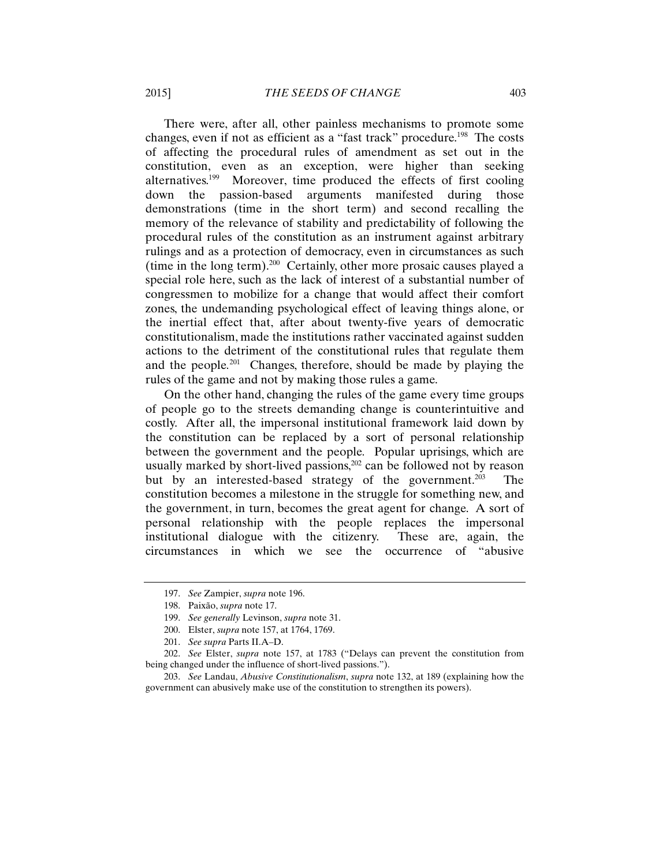There were, after all, other painless mechanisms to promote some changes, even if not as efficient as a "fast track" procedure.<sup>198</sup> The costs of affecting the procedural rules of amendment as set out in the constitution, even as an exception, were higher than seeking alternatives.<sup>199</sup> Moreover, time produced the effects of first cooling down the passion-based arguments manifested during those demonstrations (time in the short term) and second recalling the memory of the relevance of stability and predictability of following the procedural rules of the constitution as an instrument against arbitrary rulings and as a protection of democracy, even in circumstances as such (time in the long term).200 Certainly, other more prosaic causes played a special role here, such as the lack of interest of a substantial number of congressmen to mobilize for a change that would affect their comfort zones, the undemanding psychological effect of leaving things alone, or the inertial effect that, after about twenty-five years of democratic constitutionalism, made the institutions rather vaccinated against sudden actions to the detriment of the constitutional rules that regulate them and the people*.* <sup>201</sup>Changes, therefore, should be made by playing the rules of the game and not by making those rules a game.

On the other hand, changing the rules of the game every time groups of people go to the streets demanding change is counterintuitive and costly. After all, the impersonal institutional framework laid down by the constitution can be replaced by a sort of personal relationship between the government and the people*.* Popular uprisings, which are usually marked by short-lived passions, $202$  can be followed not by reason but by an interested-based strategy of the government.<sup>203</sup> The constitution becomes a milestone in the struggle for something new, and the government, in turn, becomes the great agent for change. A sort of personal relationship with the people replaces the impersonal institutional dialogue with the citizenry. These are, again, the circumstances in which we see the occurrence of "abusive

<sup>197.</sup> *See* Zampier, *supra* note 196.

<sup>198.</sup> Paixão, *supra* note 17.

<sup>199.</sup> *See generally* Levinson, *supra* note 31.

<sup>200.</sup> Elster, *supra* note 157, at 1764, 1769.

<sup>201.</sup> *See supra* Parts II.A–D.

<sup>202.</sup> *See* Elster, *supra* note 157, at 1783 ("Delays can prevent the constitution from being changed under the influence of short-lived passions.").

<sup>203.</sup> *See* Landau, *Abusive Constitutionalism*, *supra* note 132, at 189 (explaining how the government can abusively make use of the constitution to strengthen its powers).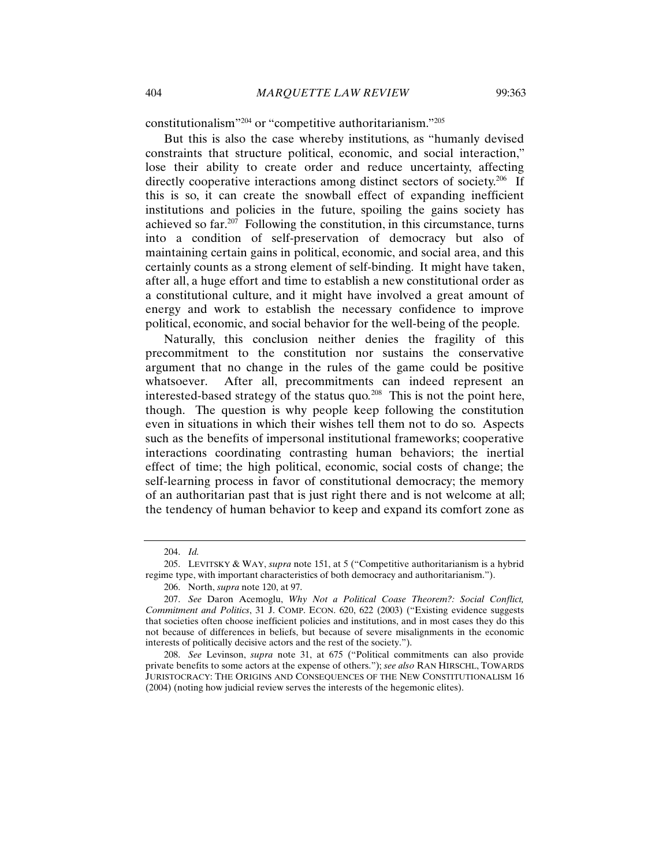constitutionalism"204 or "competitive authoritarianism."205

But this is also the case whereby institutions, as "humanly devised constraints that structure political, economic, and social interaction," lose their ability to create order and reduce uncertainty, affecting directly cooperative interactions among distinct sectors of society.<sup>206</sup> If this is so, it can create the snowball effect of expanding inefficient institutions and policies in the future, spoiling the gains society has achieved so far.<sup>207</sup> Following the constitution, in this circumstance, turns into a condition of self-preservation of democracy but also of maintaining certain gains in political, economic, and social area, and this certainly counts as a strong element of self-binding. It might have taken, after all, a huge effort and time to establish a new constitutional order as a constitutional culture, and it might have involved a great amount of energy and work to establish the necessary confidence to improve political, economic, and social behavior for the well-being of the people.

Naturally, this conclusion neither denies the fragility of this precommitment to the constitution nor sustains the conservative argument that no change in the rules of the game could be positive whatsoever. After all, precommitments can indeed represent an interested-based strategy of the status quo*.* <sup>208</sup>This is not the point here, though. The question is why people keep following the constitution even in situations in which their wishes tell them not to do so. Aspects such as the benefits of impersonal institutional frameworks; cooperative interactions coordinating contrasting human behaviors; the inertial effect of time; the high political, economic, social costs of change; the self-learning process in favor of constitutional democracy; the memory of an authoritarian past that is just right there and is not welcome at all; the tendency of human behavior to keep and expand its comfort zone as

<sup>204.</sup> *Id.*

<sup>205.</sup> LEVITSKY & WAY, *supra* note 151, at 5 ("Competitive authoritarianism is a hybrid regime type, with important characteristics of both democracy and authoritarianism.").

<sup>206.</sup> North, *supra* note 120, at 97.

<sup>207.</sup> *See* Daron Acemoglu, *Why Not a Political Coase Theorem?: Social Conflict, Commitment and Politics*, 31 J. COMP. ECON. 620, 622 (2003) ("Existing evidence suggests that societies often choose inefficient policies and institutions, and in most cases they do this not because of differences in beliefs, but because of severe misalignments in the economic interests of politically decisive actors and the rest of the society.").

<sup>208.</sup> *See* Levinson, *supra* note 31, at 675 ("Political commitments can also provide private benefits to some actors at the expense of others."); *see also* RAN HIRSCHL, TOWARDS JURISTOCRACY: THE ORIGINS AND CONSEQUENCES OF THE NEW CONSTITUTIONALISM 16 (2004) (noting how judicial review serves the interests of the hegemonic elites).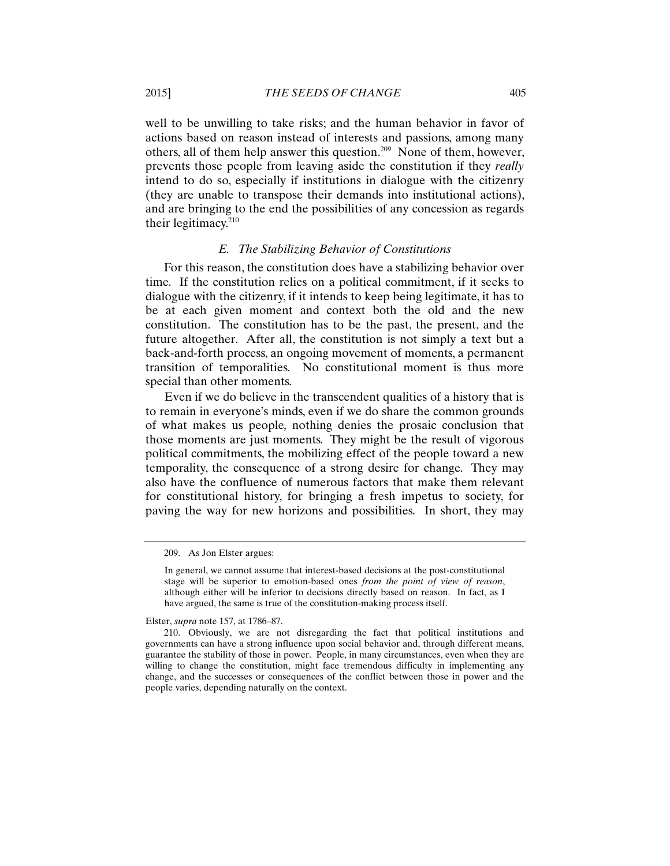well to be unwilling to take risks; and the human behavior in favor of actions based on reason instead of interests and passions, among many others, all of them help answer this question.209 None of them, however, prevents those people from leaving aside the constitution if they *really*  intend to do so, especially if institutions in dialogue with the citizenry (they are unable to transpose their demands into institutional actions), and are bringing to the end the possibilities of any concession as regards their legitimacy.210

#### *E. The Stabilizing Behavior of Constitutions*

For this reason, the constitution does have a stabilizing behavior over time. If the constitution relies on a political commitment, if it seeks to dialogue with the citizenry, if it intends to keep being legitimate, it has to be at each given moment and context both the old and the new constitution. The constitution has to be the past, the present, and the future altogether. After all, the constitution is not simply a text but a back-and-forth process, an ongoing movement of moments, a permanent transition of temporalities. No constitutional moment is thus more special than other moments.

Even if we do believe in the transcendent qualities of a history that is to remain in everyone's minds, even if we do share the common grounds of what makes us people*,* nothing denies the prosaic conclusion that those moments are just moments. They might be the result of vigorous political commitments, the mobilizing effect of the people toward a new temporality, the consequence of a strong desire for change. They may also have the confluence of numerous factors that make them relevant for constitutional history, for bringing a fresh impetus to society, for paving the way for new horizons and possibilities. In short, they may

Elster, *supra* note 157, at 1786–87.

<sup>209.</sup> As Jon Elster argues:

In general, we cannot assume that interest-based decisions at the post-constitutional stage will be superior to emotion-based ones *from the point of view of reason*, although either will be inferior to decisions directly based on reason. In fact, as I have argued, the same is true of the constitution-making process itself.

<sup>210.</sup> Obviously, we are not disregarding the fact that political institutions and governments can have a strong influence upon social behavior and, through different means, guarantee the stability of those in power. People, in many circumstances, even when they are willing to change the constitution, might face tremendous difficulty in implementing any change, and the successes or consequences of the conflict between those in power and the people varies, depending naturally on the context.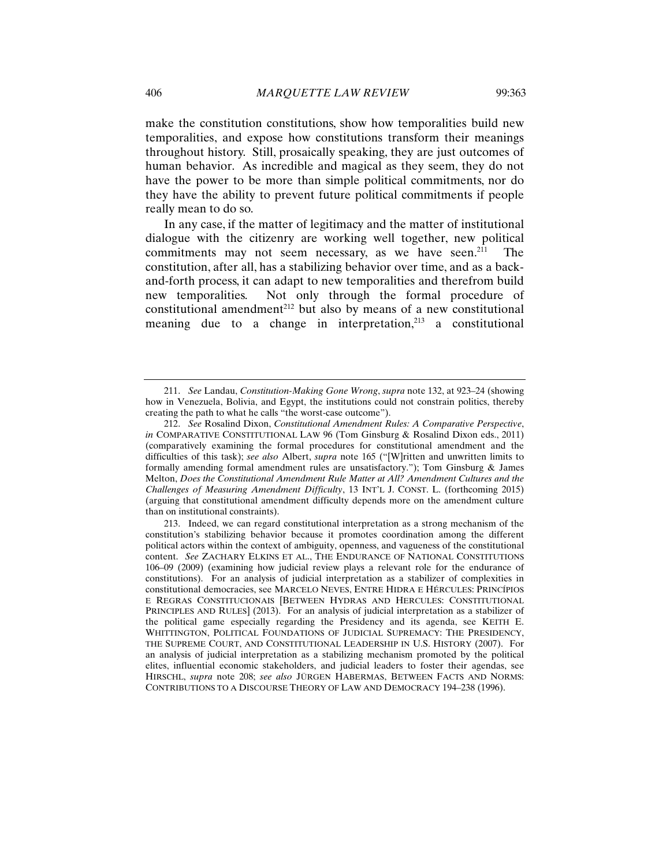make the constitution constitutions, show how temporalities build new temporalities, and expose how constitutions transform their meanings throughout history. Still, prosaically speaking, they are just outcomes of human behavior. As incredible and magical as they seem, they do not have the power to be more than simple political commitments, nor do they have the ability to prevent future political commitments if people really mean to do so.

In any case, if the matter of legitimacy and the matter of institutional dialogue with the citizenry are working well together, new political commitments may not seem necessary, as we have seen.<sup>211</sup> The constitution, after all, has a stabilizing behavior over time, and as a backand-forth process, it can adapt to new temporalities and therefrom build new temporalities. Not only through the formal procedure of constitutional amendment<sup>212</sup> but also by means of a new constitutional meaning due to a change in interpretation, $213$  a constitutional

<sup>211.</sup> *See* Landau, *Constitution-Making Gone Wrong*, *supra* note 132, at 923–24 (showing how in Venezuela, Bolivia, and Egypt, the institutions could not constrain politics, thereby creating the path to what he calls "the worst-case outcome").

<sup>212.</sup> *See* Rosalind Dixon, *Constitutional Amendment Rules: A Comparative Perspective*, *in* COMPARATIVE CONSTITUTIONAL LAW 96 (Tom Ginsburg & Rosalind Dixon eds., 2011) (comparatively examining the formal procedures for constitutional amendment and the difficulties of this task); *see also* Albert, *supra* note 165 ("[W]ritten and unwritten limits to formally amending formal amendment rules are unsatisfactory."); Tom Ginsburg & James Melton, *Does the Constitutional Amendment Rule Matter at All? Amendment Cultures and the Challenges of Measuring Amendment Difficulty*, 13 INT'L J. CONST. L. (forthcoming 2015) (arguing that constitutional amendment difficulty depends more on the amendment culture than on institutional constraints).

<sup>213.</sup> Indeed, we can regard constitutional interpretation as a strong mechanism of the constitution's stabilizing behavior because it promotes coordination among the different political actors within the context of ambiguity, openness, and vagueness of the constitutional content. *See* ZACHARY ELKINS ET AL., THE ENDURANCE OF NATIONAL CONSTITUTIONS 106–09 (2009) (examining how judicial review plays a relevant role for the endurance of constitutions). For an analysis of judicial interpretation as a stabilizer of complexities in constitutional democracies, see MARCELO NEVES, ENTRE HIDRA E HÉRCULES: PRINCÍPIOS E REGRAS CONSTITUCIONAIS [BETWEEN HYDRAS AND HERCULES: CONSTITUTIONAL PRINCIPLES AND RULES] (2013). For an analysis of judicial interpretation as a stabilizer of the political game especially regarding the Presidency and its agenda, see KEITH E. WHITTINGTON, POLITICAL FOUNDATIONS OF JUDICIAL SUPREMACY: THE PRESIDENCY, THE SUPREME COURT, AND CONSTITUTIONAL LEADERSHIP IN U.S. HISTORY (2007). For an analysis of judicial interpretation as a stabilizing mechanism promoted by the political elites, influential economic stakeholders, and judicial leaders to foster their agendas, see HIRSCHL, *supra* note 208; *see also* JÜRGEN HABERMAS, BETWEEN FACTS AND NORMS: CONTRIBUTIONS TO A DISCOURSE THEORY OF LAW AND DEMOCRACY 194–238 (1996).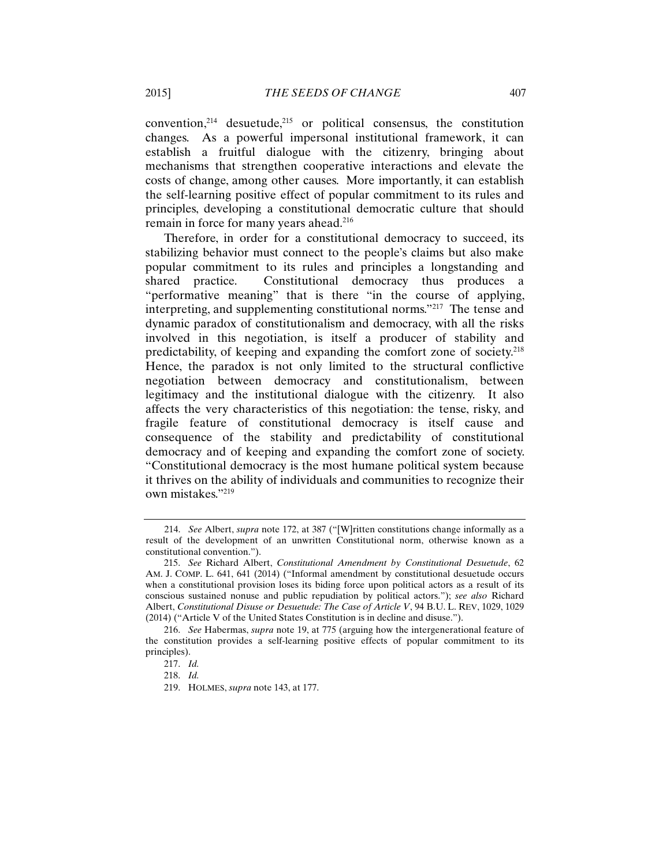convention, $2^{14}$  desuetude, $2^{15}$  or political consensus, the constitution changes. As a powerful impersonal institutional framework, it can establish a fruitful dialogue with the citizenry, bringing about mechanisms that strengthen cooperative interactions and elevate the costs of change, among other causes. More importantly, it can establish the self-learning positive effect of popular commitment to its rules and principles, developing a constitutional democratic culture that should remain in force for many years ahead.<sup>216</sup>

Therefore, in order for a constitutional democracy to succeed, its stabilizing behavior must connect to the people's claims but also make popular commitment to its rules and principles a longstanding and shared practice. Constitutional democracy thus produces a "performative meaning" that is there "in the course of applying, interpreting, and supplementing constitutional norms."217 The tense and dynamic paradox of constitutionalism and democracy, with all the risks involved in this negotiation, is itself a producer of stability and predictability, of keeping and expanding the comfort zone of society.218 Hence, the paradox is not only limited to the structural conflictive negotiation between democracy and constitutionalism, between legitimacy and the institutional dialogue with the citizenry. It also affects the very characteristics of this negotiation: the tense, risky, and fragile feature of constitutional democracy is itself cause and consequence of the stability and predictability of constitutional democracy and of keeping and expanding the comfort zone of society. "Constitutional democracy is the most humane political system because it thrives on the ability of individuals and communities to recognize their own mistakes."219

<sup>214.</sup> *See* Albert, *supra* note 172, at 387 ("[W]ritten constitutions change informally as a result of the development of an unwritten Constitutional norm, otherwise known as a constitutional convention.").

<sup>215.</sup> *See* Richard Albert, *Constitutional Amendment by Constitutional Desuetude*, 62 AM. J. COMP. L. 641, 641 (2014) ("Informal amendment by constitutional desuetude occurs when a constitutional provision loses its biding force upon political actors as a result of its conscious sustained nonuse and public repudiation by political actors."); *see also* Richard Albert, *Constitutional Disuse or Desuetude: The Case of Article V*, 94 B.U. L. REV, 1029, 1029 (2014) ("Article V of the United States Constitution is in decline and disuse.").

<sup>216.</sup> *See* Habermas, *supra* note 19, at 775 (arguing how the intergenerational feature of the constitution provides a self-learning positive effects of popular commitment to its principles).

<sup>217.</sup> *Id.*

<sup>218.</sup> *Id.*

<sup>219.</sup> HOLMES, *supra* note 143, at 177.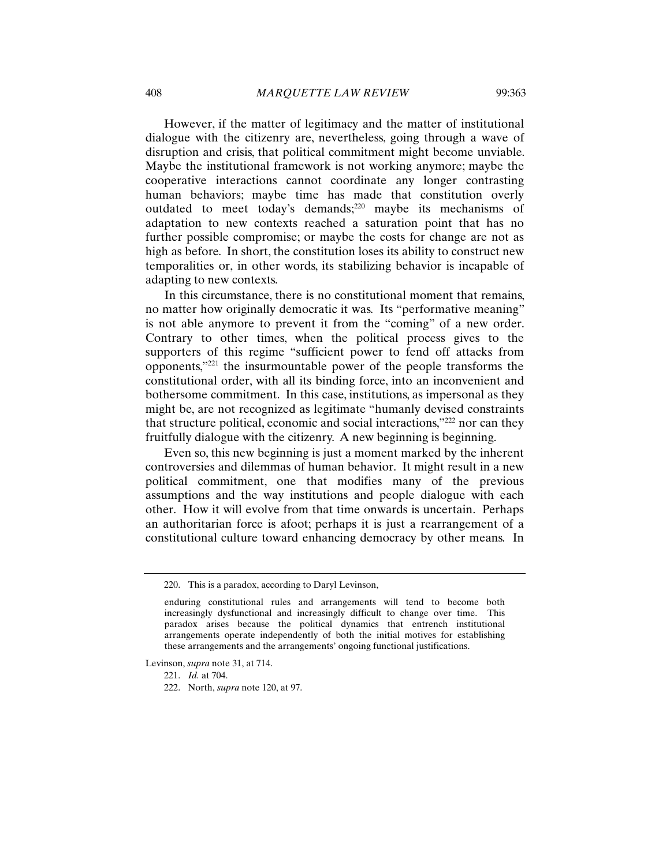However, if the matter of legitimacy and the matter of institutional dialogue with the citizenry are, nevertheless, going through a wave of disruption and crisis, that political commitment might become unviable. Maybe the institutional framework is not working anymore; maybe the cooperative interactions cannot coordinate any longer contrasting human behaviors; maybe time has made that constitution overly outdated to meet today's demands;<sup>220</sup> maybe its mechanisms of adaptation to new contexts reached a saturation point that has no further possible compromise; or maybe the costs for change are not as high as before. In short, the constitution loses its ability to construct new temporalities or, in other words, its stabilizing behavior is incapable of adapting to new contexts.

In this circumstance, there is no constitutional moment that remains, no matter how originally democratic it was. Its "performative meaning" is not able anymore to prevent it from the "coming" of a new order. Contrary to other times, when the political process gives to the supporters of this regime "sufficient power to fend off attacks from opponents,"221 the insurmountable power of the people transforms the constitutional order, with all its binding force, into an inconvenient and bothersome commitment. In this case, institutions, as impersonal as they might be, are not recognized as legitimate "humanly devised constraints that structure political, economic and social interactions,"222 nor can they fruitfully dialogue with the citizenry. A new beginning is beginning.

Even so, this new beginning is just a moment marked by the inherent controversies and dilemmas of human behavior. It might result in a new political commitment, one that modifies many of the previous assumptions and the way institutions and people dialogue with each other. How it will evolve from that time onwards is uncertain. Perhaps an authoritarian force is afoot; perhaps it is just a rearrangement of a constitutional culture toward enhancing democracy by other means. In

Levinson, *supra* note 31, at 714.

<sup>220.</sup> This is a paradox, according to Daryl Levinson,

enduring constitutional rules and arrangements will tend to become both increasingly dysfunctional and increasingly difficult to change over time. This paradox arises because the political dynamics that entrench institutional arrangements operate independently of both the initial motives for establishing these arrangements and the arrangements' ongoing functional justifications.

<sup>221.</sup> *Id.* at 704.

<sup>222.</sup> North, *supra* note 120, at 97.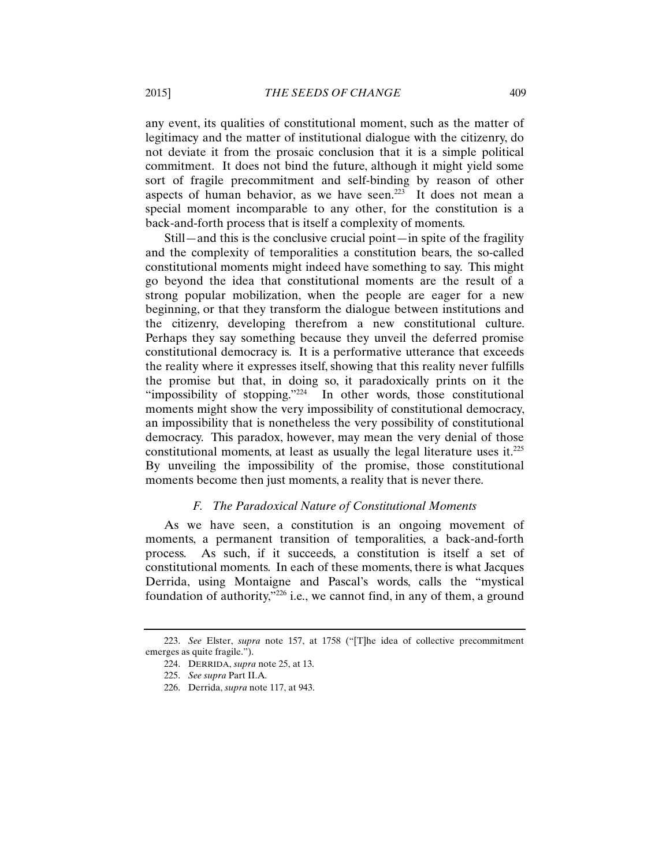any event, its qualities of constitutional moment, such as the matter of legitimacy and the matter of institutional dialogue with the citizenry, do not deviate it from the prosaic conclusion that it is a simple political commitment. It does not bind the future, although it might yield some sort of fragile precommitment and self-binding by reason of other aspects of human behavior, as we have seen.<sup>223</sup> It does not mean a special moment incomparable to any other, for the constitution is a back-and-forth process that is itself a complexity of moments.

Still—and this is the conclusive crucial point—in spite of the fragility and the complexity of temporalities a constitution bears, the so-called constitutional moments might indeed have something to say. This might go beyond the idea that constitutional moments are the result of a strong popular mobilization, when the people are eager for a new beginning, or that they transform the dialogue between institutions and the citizenry, developing therefrom a new constitutional culture. Perhaps they say something because they unveil the deferred promise constitutional democracy is. It is a performative utterance that exceeds the reality where it expresses itself, showing that this reality never fulfills the promise but that, in doing so, it paradoxically prints on it the "impossibility of stopping."<sup>224</sup> In other words, those constitutional moments might show the very impossibility of constitutional democracy, an impossibility that is nonetheless the very possibility of constitutional democracy. This paradox, however, may mean the very denial of those constitutional moments, at least as usually the legal literature uses it.225 By unveiling the impossibility of the promise, those constitutional moments become then just moments, a reality that is never there.

## *F. The Paradoxical Nature of Constitutional Moments*

As we have seen, a constitution is an ongoing movement of moments, a permanent transition of temporalities, a back-and-forth process. As such, if it succeeds, a constitution is itself a set of constitutional moments. In each of these moments, there is what Jacques Derrida, using Montaigne and Pascal's words, calls the "mystical foundation of authority," $226$  i.e., we cannot find, in any of them, a ground

<sup>223.</sup> *See* Elster, *supra* note 157, at 1758 ("[T]he idea of collective precommitment emerges as quite fragile.").

<sup>224.</sup> DERRIDA, *supra* note 25, at 13.

<sup>225.</sup> *See supra* Part II.A*.*

<sup>226.</sup> Derrida, *supra* note 117, at 943.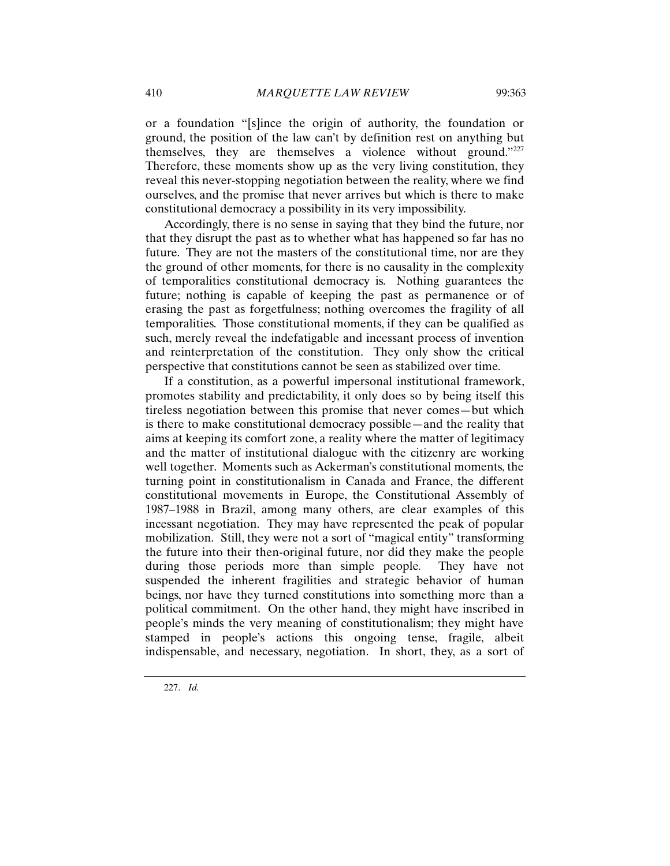or a foundation "[s]ince the origin of authority, the foundation or ground, the position of the law can't by definition rest on anything but themselves, they are themselves a violence without ground."227 Therefore, these moments show up as the very living constitution, they reveal this never-stopping negotiation between the reality, where we find ourselves, and the promise that never arrives but which is there to make constitutional democracy a possibility in its very impossibility.

Accordingly, there is no sense in saying that they bind the future, nor that they disrupt the past as to whether what has happened so far has no future. They are not the masters of the constitutional time, nor are they the ground of other moments, for there is no causality in the complexity of temporalities constitutional democracy is. Nothing guarantees the future; nothing is capable of keeping the past as permanence or of erasing the past as forgetfulness; nothing overcomes the fragility of all temporalities. Those constitutional moments, if they can be qualified as such, merely reveal the indefatigable and incessant process of invention and reinterpretation of the constitution. They only show the critical perspective that constitutions cannot be seen as stabilized over time.

If a constitution, as a powerful impersonal institutional framework, promotes stability and predictability, it only does so by being itself this tireless negotiation between this promise that never comes—but which is there to make constitutional democracy possible—and the reality that aims at keeping its comfort zone, a reality where the matter of legitimacy and the matter of institutional dialogue with the citizenry are working well together. Moments such as Ackerman's constitutional moments, the turning point in constitutionalism in Canada and France, the different constitutional movements in Europe, the Constitutional Assembly of 1987–1988 in Brazil, among many others, are clear examples of this incessant negotiation. They may have represented the peak of popular mobilization. Still, they were not a sort of "magical entity" transforming the future into their then-original future, nor did they make the people during those periods more than simple people*.* They have not suspended the inherent fragilities and strategic behavior of human beings, nor have they turned constitutions into something more than a political commitment. On the other hand, they might have inscribed in people's minds the very meaning of constitutionalism; they might have stamped in people's actions this ongoing tense, fragile, albeit indispensable, and necessary, negotiation. In short, they, as a sort of

227. *Id.*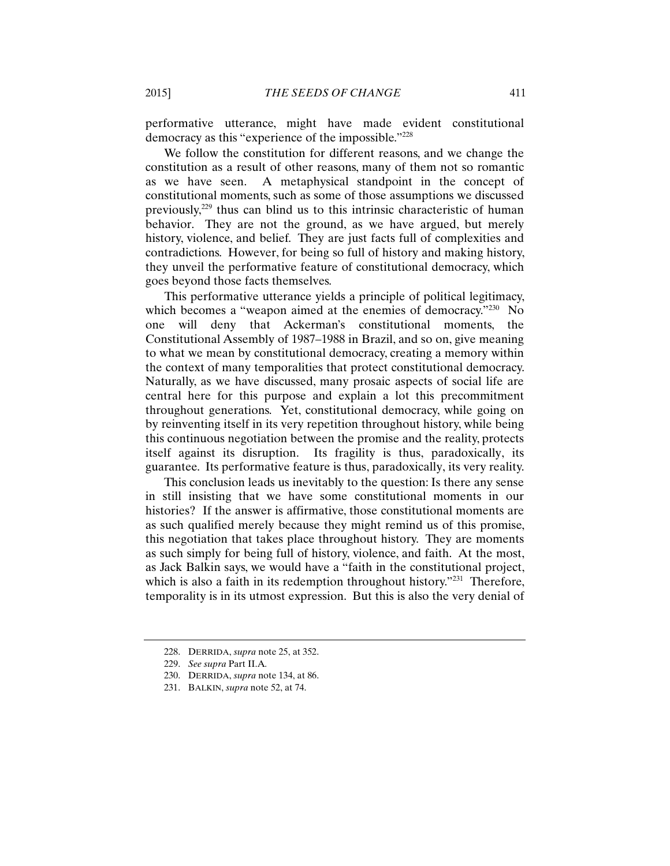performative utterance, might have made evident constitutional democracy as this "experience of the impossible."228

We follow the constitution for different reasons, and we change the constitution as a result of other reasons, many of them not so romantic as we have seen. A metaphysical standpoint in the concept of constitutional moments, such as some of those assumptions we discussed previously,229 thus can blind us to this intrinsic characteristic of human behavior. They are not the ground, as we have argued, but merely history, violence, and belief. They are just facts full of complexities and contradictions. However, for being so full of history and making history, they unveil the performative feature of constitutional democracy, which goes beyond those facts themselves.

This performative utterance yields a principle of political legitimacy, which becomes a "weapon aimed at the enemies of democracy."<sup>230</sup> No one will deny that Ackerman's constitutional moments, the Constitutional Assembly of 1987–1988 in Brazil, and so on, give meaning to what we mean by constitutional democracy, creating a memory within the context of many temporalities that protect constitutional democracy. Naturally, as we have discussed, many prosaic aspects of social life are central here for this purpose and explain a lot this precommitment throughout generations. Yet, constitutional democracy, while going on by reinventing itself in its very repetition throughout history, while being this continuous negotiation between the promise and the reality, protects itself against its disruption. Its fragility is thus, paradoxically, its guarantee. Its performative feature is thus, paradoxically, its very reality.

This conclusion leads us inevitably to the question: Is there any sense in still insisting that we have some constitutional moments in our histories? If the answer is affirmative, those constitutional moments are as such qualified merely because they might remind us of this promise, this negotiation that takes place throughout history. They are moments as such simply for being full of history, violence, and faith. At the most, as Jack Balkin says, we would have a "faith in the constitutional project, which is also a faith in its redemption throughout history."<sup>231</sup> Therefore, temporality is in its utmost expression. But this is also the very denial of

<sup>228.</sup> DERRIDA, *supra* note 25, at 352.

<sup>229.</sup> *See supra* Part II.A*.*

<sup>230.</sup> DERRIDA, *supra* note 134, at 86.

<sup>231.</sup> BALKIN, *supra* note 52, at 74.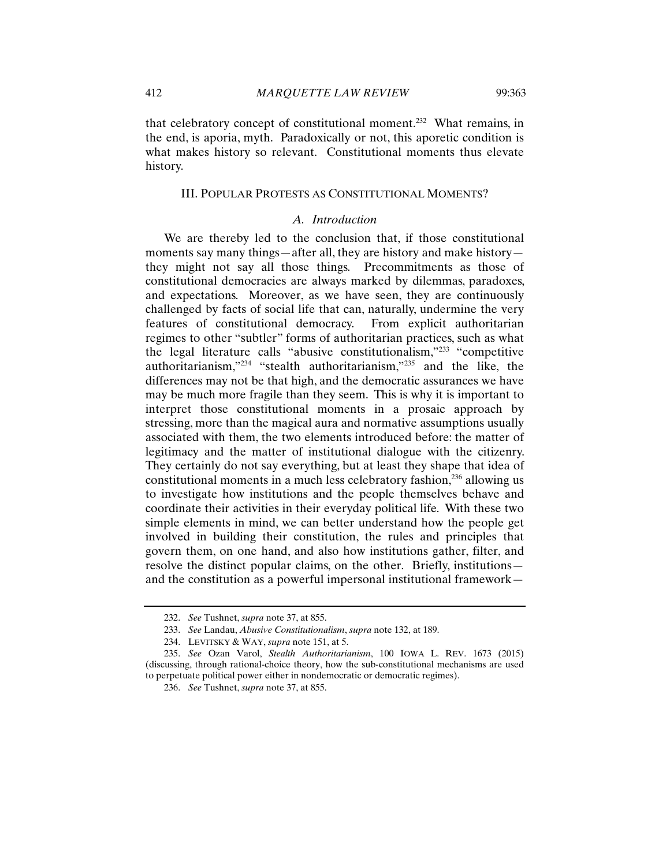that celebratory concept of constitutional moment.<sup>232</sup> What remains, in the end, is aporia, myth. Paradoxically or not, this aporetic condition is what makes history so relevant. Constitutional moments thus elevate history.

#### III. POPULAR PROTESTS AS CONSTITUTIONAL MOMENTS?

## *A. Introduction*

We are thereby led to the conclusion that, if those constitutional moments say many things—after all, they are history and make history they might not say all those things. Precommitments as those of constitutional democracies are always marked by dilemmas, paradoxes, and expectations. Moreover, as we have seen, they are continuously challenged by facts of social life that can, naturally, undermine the very features of constitutional democracy. From explicit authoritarian regimes to other "subtler" forms of authoritarian practices, such as what the legal literature calls "abusive constitutionalism,"233 "competitive authoritarianism,"234 "stealth authoritarianism,"235 and the like, the differences may not be that high, and the democratic assurances we have may be much more fragile than they seem. This is why it is important to interpret those constitutional moments in a prosaic approach by stressing, more than the magical aura and normative assumptions usually associated with them, the two elements introduced before: the matter of legitimacy and the matter of institutional dialogue with the citizenry. They certainly do not say everything, but at least they shape that idea of constitutional moments in a much less celebratory fashion,<sup>236</sup> allowing us to investigate how institutions and the people themselves behave and coordinate their activities in their everyday political life. With these two simple elements in mind, we can better understand how the people get involved in building their constitution, the rules and principles that govern them, on one hand, and also how institutions gather, filter, and resolve the distinct popular claims, on the other. Briefly, institutions and the constitution as a powerful impersonal institutional framework—

<sup>232.</sup> *See* Tushnet, *supra* note 37, at 855.

<sup>233.</sup> *See* Landau, *Abusive Constitutionalism*, *supra* note 132, at 189.

<sup>234.</sup> LEVITSKY & WAY, *supra* note 151, at 5.

<sup>235.</sup> *See* Ozan Varol, *Stealth Authoritarianism*, 100 IOWA L. REV. 1673 (2015) (discussing, through rational-choice theory, how the sub-constitutional mechanisms are used to perpetuate political power either in nondemocratic or democratic regimes).

<sup>236.</sup> *See* Tushnet, *supra* note 37, at 855.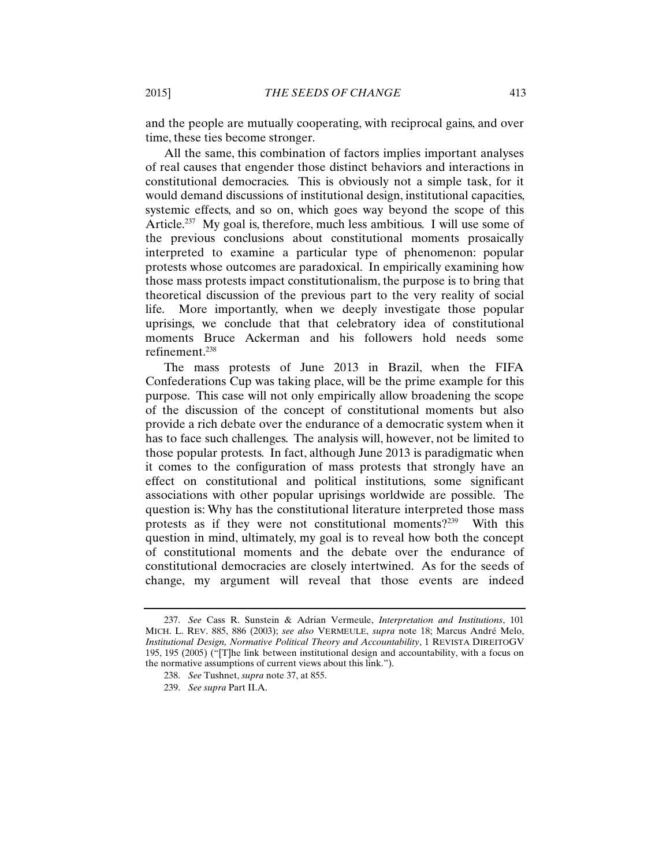and the people are mutually cooperating, with reciprocal gains, and over time, these ties become stronger.

All the same, this combination of factors implies important analyses of real causes that engender those distinct behaviors and interactions in constitutional democracies. This is obviously not a simple task, for it would demand discussions of institutional design, institutional capacities, systemic effects, and so on, which goes way beyond the scope of this Article.<sup>237</sup> My goal is, therefore, much less ambitious. I will use some of the previous conclusions about constitutional moments prosaically interpreted to examine a particular type of phenomenon: popular protests whose outcomes are paradoxical. In empirically examining how those mass protests impact constitutionalism, the purpose is to bring that theoretical discussion of the previous part to the very reality of social life. More importantly, when we deeply investigate those popular uprisings, we conclude that that celebratory idea of constitutional moments Bruce Ackerman and his followers hold needs some refinement.238

The mass protests of June 2013 in Brazil, when the FIFA Confederations Cup was taking place, will be the prime example for this purpose. This case will not only empirically allow broadening the scope of the discussion of the concept of constitutional moments but also provide a rich debate over the endurance of a democratic system when it has to face such challenges. The analysis will, however, not be limited to those popular protests. In fact, although June 2013 is paradigmatic when it comes to the configuration of mass protests that strongly have an effect on constitutional and political institutions, some significant associations with other popular uprisings worldwide are possible. The question is: Why has the constitutional literature interpreted those mass protests as if they were not constitutional moments?239 With this question in mind, ultimately, my goal is to reveal how both the concept of constitutional moments and the debate over the endurance of constitutional democracies are closely intertwined. As for the seeds of change, my argument will reveal that those events are indeed

<sup>237.</sup> *See* Cass R. Sunstein & Adrian Vermeule, *Interpretation and Institutions*, 101 MICH. L. REV. 885, 886 (2003); *see also* VERMEULE, *supra* note 18; Marcus André Melo, *Institutional Design, Normative Political Theory and Accountability*, 1 REVISTA DIREITOGV 195, 195 (2005) ("[T]he link between institutional design and accountability, with a focus on the normative assumptions of current views about this link.").

<sup>238.</sup> *See* Tushnet, *supra* note 37, at 855.

<sup>239.</sup> *See supra* Part II.A.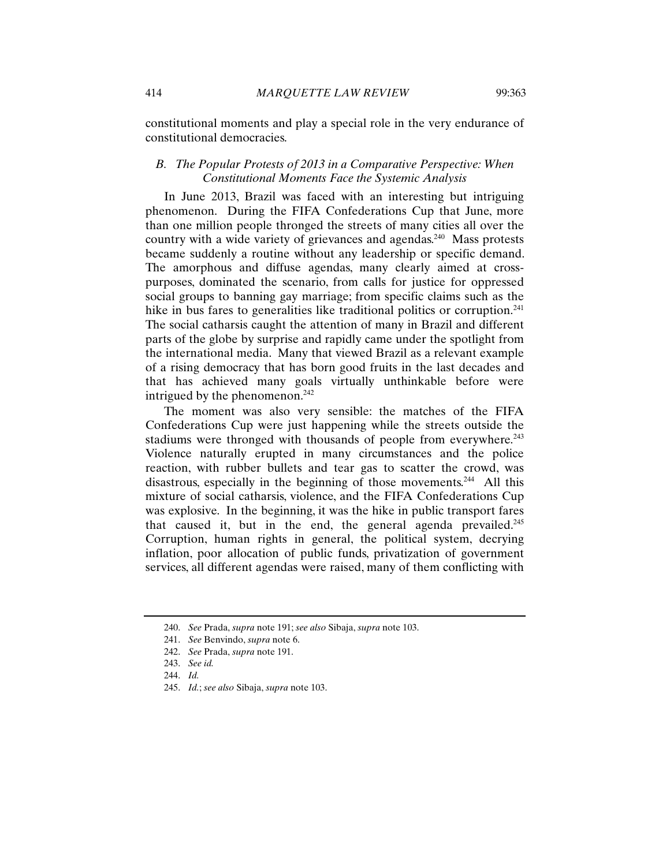constitutional moments and play a special role in the very endurance of constitutional democracies.

# *B. The Popular Protests of 2013 in a Comparative Perspective: When Constitutional Moments Face the Systemic Analysis*

In June 2013, Brazil was faced with an interesting but intriguing phenomenon. During the FIFA Confederations Cup that June, more than one million people thronged the streets of many cities all over the country with a wide variety of grievances and agendas.<sup>240</sup> Mass protests became suddenly a routine without any leadership or specific demand. The amorphous and diffuse agendas, many clearly aimed at crosspurposes, dominated the scenario, from calls for justice for oppressed social groups to banning gay marriage; from specific claims such as the hike in bus fares to generalities like traditional politics or corruption.<sup>241</sup> The social catharsis caught the attention of many in Brazil and different parts of the globe by surprise and rapidly came under the spotlight from the international media. Many that viewed Brazil as a relevant example of a rising democracy that has born good fruits in the last decades and that has achieved many goals virtually unthinkable before were intrigued by the phenomenon.<sup>242</sup>

The moment was also very sensible: the matches of the FIFA Confederations Cup were just happening while the streets outside the stadiums were thronged with thousands of people from everywhere. $243$ Violence naturally erupted in many circumstances and the police reaction, with rubber bullets and tear gas to scatter the crowd, was disastrous, especially in the beginning of those movements.<sup>244</sup> All this mixture of social catharsis, violence, and the FIFA Confederations Cup was explosive. In the beginning, it was the hike in public transport fares that caused it, but in the end, the general agenda prevailed.<sup>245</sup> Corruption, human rights in general, the political system, decrying inflation, poor allocation of public funds, privatization of government services, all different agendas were raised, many of them conflicting with

<sup>240.</sup> *See* Prada, *supra* note 191; *see also* Sibaja, *supra* note 103.

<sup>241.</sup> *See* Benvindo, *supra* note 6.

<sup>242.</sup> *See* Prada, *supra* note 191.

<sup>243.</sup> *See id.*

<sup>244.</sup> *Id.*

<sup>245.</sup> *Id.*; *see also* Sibaja, *supra* note 103.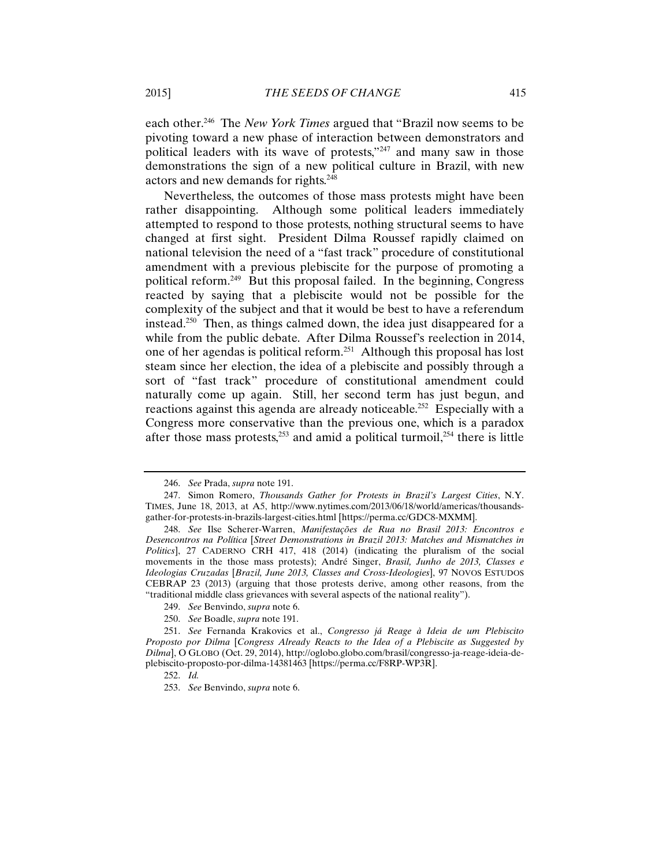each other.246 The *New York Times* argued that "Brazil now seems to be pivoting toward a new phase of interaction between demonstrators and political leaders with its wave of protests,"<sup>247</sup> and many saw in those demonstrations the sign of a new political culture in Brazil, with new actors and new demands for rights.<sup>248</sup>

Nevertheless, the outcomes of those mass protests might have been rather disappointing. Although some political leaders immediately attempted to respond to those protests, nothing structural seems to have changed at first sight. President Dilma Roussef rapidly claimed on national television the need of a "fast track" procedure of constitutional amendment with a previous plebiscite for the purpose of promoting a political reform.249 But this proposal failed. In the beginning, Congress reacted by saying that a plebiscite would not be possible for the complexity of the subject and that it would be best to have a referendum instead.250 Then, as things calmed down, the idea just disappeared for a while from the public debate. After Dilma Roussef's reelection in 2014, one of her agendas is political reform.251 Although this proposal has lost steam since her election, the idea of a plebiscite and possibly through a sort of "fast track" procedure of constitutional amendment could naturally come up again. Still, her second term has just begun, and reactions against this agenda are already noticeable.<sup>252</sup> Especially with a Congress more conservative than the previous one, which is a paradox after those mass protests, $253$  and amid a political turmoil, $254$  there is little

<sup>246.</sup> *See* Prada, *supra* note 191.

<sup>247.</sup> Simon Romero, *Thousands Gather for Protests in Brazil's Largest Cities*, N.Y. TIMES, June 18, 2013, at A5, http://www.nytimes.com/2013/06/18/world/americas/thousandsgather-for-protests-in-brazils-largest-cities.html [https://perma.cc/GDC8-MXMM].

<sup>248.</sup> *See* Ilse Scherer-Warren, *Manifestações de Rua no Brasil 2013: Encontros e Desencontros na Política* [*Street Demonstrations in Brazil 2013: Matches and Mismatches in Politics*], 27 CADERNO CRH 417, 418 (2014) (indicating the pluralism of the social movements in the those mass protests); André Singer, *Brasil, Junho de 2013, Classes e Ideologias Cruzadas* [*Brazil, June 2013, Classes and Cross-Ideologies*], 97 NOVOS ESTUDOS CEBRAP 23 (2013) (arguing that those protests derive, among other reasons, from the "traditional middle class grievances with several aspects of the national reality").

<sup>249.</sup> *See* Benvindo, *supra* note 6.

<sup>250.</sup> *See* Boadle, *supra* note 191.

<sup>251.</sup> *See* Fernanda Krakovics et al., *Congresso já Reage à Ideia de um Plebiscito Proposto por Dilma* [*Congress Already Reacts to the Idea of a Plebiscite as Suggested by Dilma*], O GLOBO (Oct. 29, 2014), http://oglobo.globo.com/brasil/congresso-ja-reage-ideia-deplebiscito-proposto-por-dilma-14381463 [https://perma.cc/F8RP-WP3R].

<sup>252.</sup> *Id.* 

<sup>253.</sup> *See* Benvindo, *supra* note 6.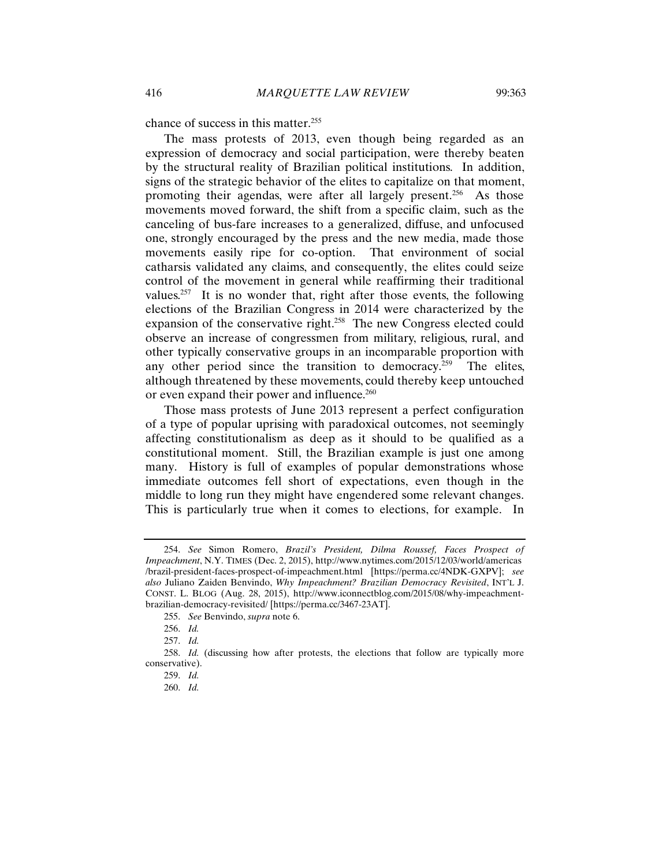chance of success in this matter.<sup>255</sup>

The mass protests of 2013, even though being regarded as an expression of democracy and social participation, were thereby beaten by the structural reality of Brazilian political institutions. In addition, signs of the strategic behavior of the elites to capitalize on that moment, promoting their agendas, were after all largely present.<sup>256</sup> As those movements moved forward, the shift from a specific claim, such as the canceling of bus-fare increases to a generalized, diffuse, and unfocused one, strongly encouraged by the press and the new media, made those movements easily ripe for co-option. That environment of social catharsis validated any claims, and consequently, the elites could seize control of the movement in general while reaffirming their traditional values.<sup>257</sup> It is no wonder that, right after those events, the following elections of the Brazilian Congress in 2014 were characterized by the expansion of the conservative right.<sup>258</sup> The new Congress elected could observe an increase of congressmen from military, religious, rural, and other typically conservative groups in an incomparable proportion with any other period since the transition to democracy.<sup>259</sup> The elites, although threatened by these movements, could thereby keep untouched or even expand their power and influence.<sup>260</sup>

Those mass protests of June 2013 represent a perfect configuration of a type of popular uprising with paradoxical outcomes, not seemingly affecting constitutionalism as deep as it should to be qualified as a constitutional moment. Still, the Brazilian example is just one among many. History is full of examples of popular demonstrations whose immediate outcomes fell short of expectations, even though in the middle to long run they might have engendered some relevant changes. This is particularly true when it comes to elections, for example. In

<sup>254.</sup> *See* Simon Romero, *Brazil's President, Dilma Roussef, Faces Prospect of Impeachment*, N.Y. TIMES (Dec. 2, 2015), http://www.nytimes.com/2015/12/03/world/americas /brazil-president-faces-prospect-of-impeachment.html [https://perma.cc/4NDK-GXPV]; *see also* Juliano Zaiden Benvindo, *Why Impeachment? Brazilian Democracy Revisited*, INT'L J. CONST. L. BLOG (Aug. 28, 2015), http://www.iconnectblog.com/2015/08/why-impeachmentbrazilian-democracy-revisited/ [https://perma.cc/3467-23AT].

<sup>255.</sup> *See* Benvindo, *supra* note 6.

<sup>256.</sup> *Id.* 

<sup>257.</sup> *Id.*

<sup>258.</sup> *Id.* (discussing how after protests, the elections that follow are typically more conservative).

<sup>259.</sup> *Id.*

<sup>260.</sup> *Id.*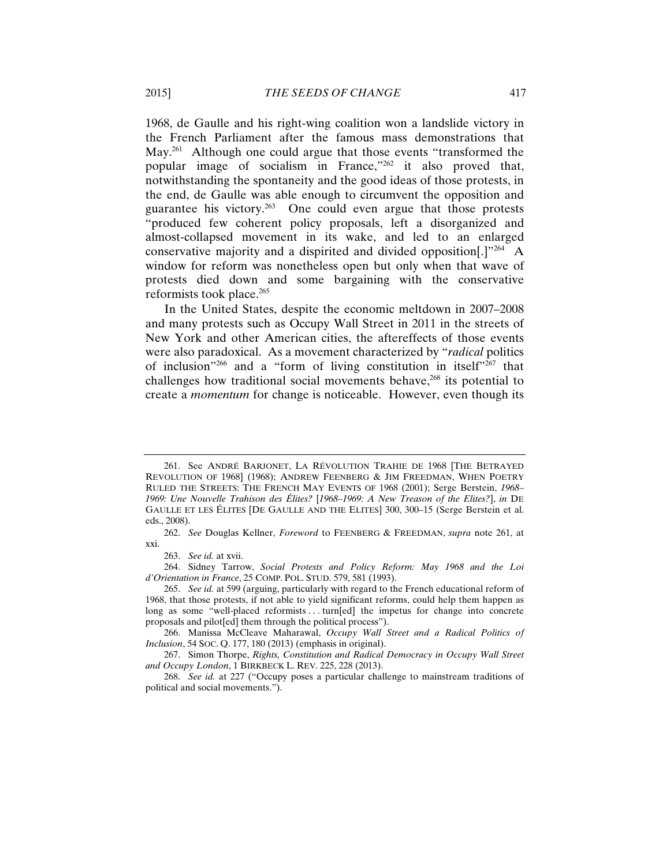1968, de Gaulle and his right-wing coalition won a landslide victory in the French Parliament after the famous mass demonstrations that May.<sup>261</sup> Although one could argue that those events "transformed the popular image of socialism in France,"262 it also proved that, notwithstanding the spontaneity and the good ideas of those protests, in the end, de Gaulle was able enough to circumvent the opposition and guarantee his victory.<sup>263</sup> One could even argue that those protests "produced few coherent policy proposals, left a disorganized and almost-collapsed movement in its wake, and led to an enlarged conservative majority and a dispirited and divided opposition[.]"264 A window for reform was nonetheless open but only when that wave of protests died down and some bargaining with the conservative reformists took place.265

In the United States, despite the economic meltdown in 2007–2008 and many protests such as Occupy Wall Street in 2011 in the streets of New York and other American cities, the aftereffects of those events were also paradoxical. As a movement characterized by "*radical* politics of inclusion"266 and a "form of living constitution in itself"267 that challenges how traditional social movements behave, $268$  its potential to create a *momentum* for change is noticeable. However, even though its

264. Sidney Tarrow, *Social Protests and Policy Reform: May 1968 and the Loi d'Orientation in France*, 25 COMP. POL. STUD. 579, 581 (1993).

<sup>261.</sup> See ANDRÉ BARJONET, LA RÉVOLUTION TRAHIE DE 1968 [THE BETRAYED REVOLUTION OF 1968] (1968); ANDREW FEENBERG & JIM FREEDMAN, WHEN POETRY RULED THE STREETS: THE FRENCH MAY EVENTS OF 1968 (2001); Serge Berstein, *1968– 1969: Une Nouvelle Trahison des Élites?* [*1968–1969: A New Treason of the Elites?*], *in* DE GAULLE ET LES ÉLITES [DE GAULLE AND THE ELITES] 300, 300–15 (Serge Berstein et al. eds., 2008).

<sup>262.</sup> *See* Douglas Kellner, *Foreword* to FEENBERG & FREEDMAN, *supra* note 261, at xxi.

<sup>263.</sup> *See id.* at xvii.

<sup>265.</sup> *See id.* at 599 (arguing, particularly with regard to the French educational reform of 1968, that those protests, if not able to yield significant reforms, could help them happen as long as some "well-placed reformists . . . turn[ed] the impetus for change into concrete proposals and pilot[ed] them through the political process").

<sup>266.</sup> Manissa McCleave Maharawal, *Occupy Wall Street and a Radical Politics of Inclusion*, 54 SOC. Q. 177, 180 (2013) (emphasis in original).

<sup>267.</sup> Simon Thorpe, *Rights, Constitution and Radical Democracy in Occupy Wall Street and Occupy London*, 1 BIRKBECK L. REV. 225, 228 (2013).

<sup>268.</sup> *See id.* at 227 ("Occupy poses a particular challenge to mainstream traditions of political and social movements.").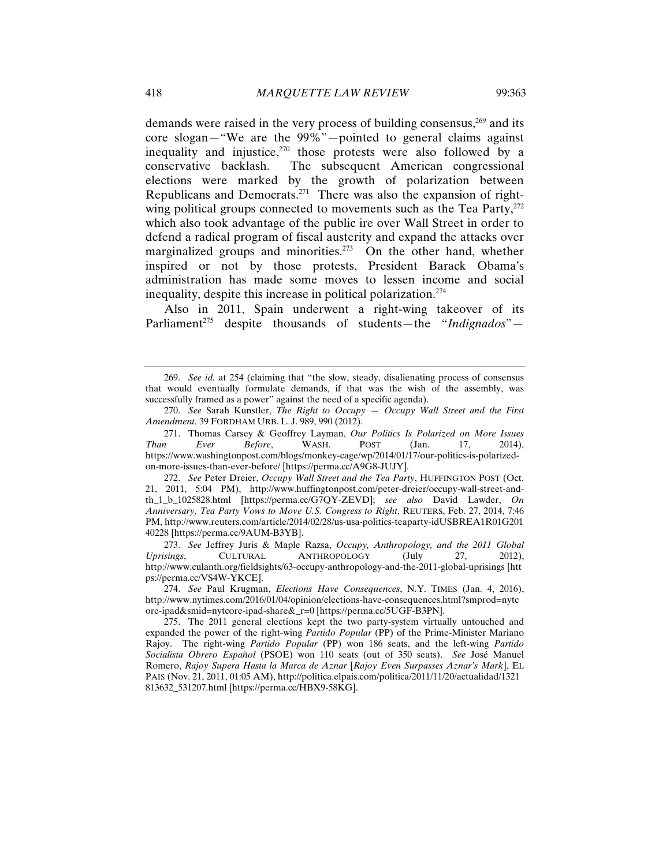demands were raised in the very process of building consensus,<sup>269</sup> and its core slogan—"We are the 99%"—pointed to general claims against inequality and injustice, $270$  those protests were also followed by a conservative backlash. The subsequent American congressional elections were marked by the growth of polarization between Republicans and Democrats.271 There was also the expansion of rightwing political groups connected to movements such as the Tea Party, $^{272}$ which also took advantage of the public ire over Wall Street in order to defend a radical program of fiscal austerity and expand the attacks over marginalized groups and minorities.<sup>273</sup> On the other hand, whether inspired or not by those protests, President Barack Obama's administration has made some moves to lessen income and social inequality, despite this increase in political polarization.274

Also in 2011, Spain underwent a right-wing takeover of its Parliament<sup>275</sup> despite thousands of students—the "*Indignados*"—

<sup>269.</sup> *See id.* at 254 (claiming that "the slow, steady, disalienating process of consensus that would eventually formulate demands, if that was the wish of the assembly, was successfully framed as a power" against the need of a specific agenda).

<sup>270.</sup> *See* Sarah Kunstler, *The Right to Occupy — Occupy Wall Street and the First Amendment*, 39 FORDHAM URB. L. J. 989, 990 (2012).

<sup>271.</sup> Thomas Carsey & Geoffrey Layman, *Our Politics Is Polarized on More Issues Than Ever Before*, WASH. POST (Jan. 17, 2014), https://www.washingtonpost.com/blogs/monkey-cage/wp/2014/01/17/our-politics-is-polarizedon-more-issues-than-ever-before/ [https://perma.cc/A9G8-JUJY].

<sup>272.</sup> *See* Peter Dreier, *Occupy Wall Street and the Tea Party*, HUFFINGTON POST (Oct. 21, 2011, 5:04 PM), http://www.huffingtonpost.com/peter-dreier/occupy-wall-street-andth\_1\_b\_1025828.html [https://perma.cc/G7QY-ZEVD]; *see also* David Lawder, *On Anniversary, Tea Party Vows to Move U.S. Congress to Right*, REUTERS, Feb. 27, 2014, 7:46 PM, http://www.reuters.com/article/2014/02/28/us-usa-politics-teaparty-idUSBREA1R01G201 40228 [https://perma.cc/9AUM-B3YB].

<sup>273.</sup> *See* Jeffrey Juris & Maple Razsa, *Occupy, Anthropology, and the 2011 Global Uprisings*, CULTURAL ANTHROPOLOGY (July 27, 2012), http://www.culanth.org/fieldsights/63-occupy-anthropology-and-the-2011-global-uprisings [htt ps://perma.cc/VS4W-YKCE].

<sup>274.</sup> *See* Paul Krugman, *Elections Have Consequences*, N.Y. TIMES (Jan. 4, 2016), http://www.nytimes.com/2016/01/04/opinion/elections-have-consequences.html?smprod=nytc ore-ipad&smid=nytcore-ipad-share&\_r=0 [https://perma.cc/5UGF-B3PN].

<sup>275.</sup> The 2011 general elections kept the two party-system virtually untouched and expanded the power of the right-wing *Partido Popular* (PP) of the Prime-Minister Mariano Rajoy. The right-wing *Partido Popular* (PP) won 186 seats, and the left-wing *Partido Socialista Obrero Español* (PSOE) won 110 seats (out of 350 seats). *See* José Manuel Romero, *Rajoy Supera Hasta la Marca de Aznar* [*Rajoy Even Surpasses Aznar's Mark*], EL PAIS (Nov. 21, 2011, 01:05 AM), http://politica.elpais.com/politica/2011/11/20/actualidad/1321 813632\_531207.html [https://perma.cc/HBX9-58KG].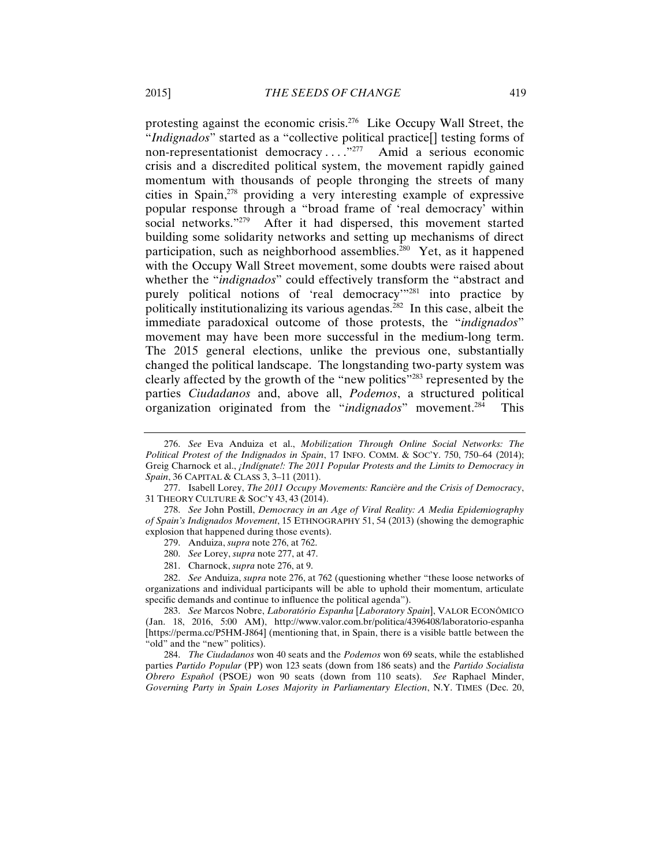protesting against the economic crisis.276 Like Occupy Wall Street, the "*Indignados*" started as a "collective political practice[] testing forms of non-representationist democracy . . . ."277 Amid a serious economic crisis and a discredited political system, the movement rapidly gained momentum with thousands of people thronging the streets of many cities in Spain,278 providing a very interesting example of expressive popular response through a "broad frame of 'real democracy' within social networks."<sup>279</sup> After it had dispersed, this movement started building some solidarity networks and setting up mechanisms of direct participation, such as neighborhood assemblies.<sup>280</sup> Yet, as it happened with the Occupy Wall Street movement, some doubts were raised about whether the "*indignados*" could effectively transform the "abstract and purely political notions of 'real democracy'"281 into practice by politically institutionalizing its various agendas.282 In this case, albeit the immediate paradoxical outcome of those protests, the "*indignados*" movement may have been more successful in the medium-long term. The 2015 general elections, unlike the previous one, substantially changed the political landscape. The longstanding two-party system was clearly affected by the growth of the "new politics"283 represented by the parties *Ciudadanos* and, above all, *Podemos*, a structured political organization originated from the "*indignados*" movement.284 This

277. Isabell Lorey, *The 2011 Occupy Movements: Rancière and the Crisis of Democracy*, 31 THEORY CULTURE & SOC'Y 43, 43 (2014).

278. *See* John Postill, *Democracy in an Age of Viral Reality: A Media Epidemiography of Spain's Indignados Movement*, 15 ETHNOGRAPHY 51, 54 (2013) (showing the demographic explosion that happened during those events).

- 279. Anduiza, *supra* note 276, at 762.
- 280. *See* Lorey, *supra* note 277, at 47.
- 281. Charnock, *supra* note 276, at 9.

282. *See* Anduiza, *supra* note 276, at 762 (questioning whether "these loose networks of organizations and individual participants will be able to uphold their momentum, articulate specific demands and continue to influence the political agenda").

283. *See* Marcos Nobre, *Laboratório Espanha* [*Laboratory Spain*], VALOR ECONÔMICO (Jan. 18, 2016, 5:00 AM), http://www.valor.com.br/politica/4396408/laboratorio-espanha [https://perma.cc/P5HM-J864] (mentioning that, in Spain, there is a visible battle between the "old" and the "new" politics).

284. *The Ciudadanos* won 40 seats and the *Podemos* won 69 seats, while the established parties *Partido Popular* (PP) won 123 seats (down from 186 seats) and the *Partido Socialista Obrero Español* (PSOE*)* won 90 seats (down from 110 seats). *See* Raphael Minder, *Governing Party in Spain Loses Majority in Parliamentary Election*, N.Y. TIMES (Dec. 20,

<sup>276.</sup> *See* Eva Anduiza et al., *Mobilization Through Online Social Networks: The Political Protest of the Indignados in Spain*, 17 INFO. COMM. & SOC'Y. 750, 750–64 (2014); Greig Charnock et al., *¡Indígnate!: The 2011 Popular Protests and the Limits to Democracy in Spain*, 36 CAPITAL & CLASS 3, 3–11 (2011).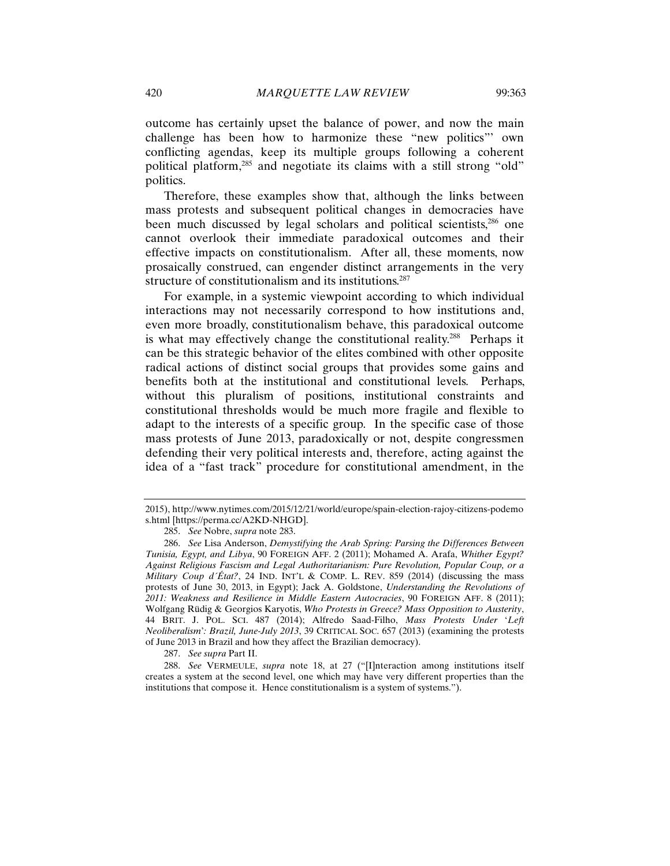outcome has certainly upset the balance of power, and now the main challenge has been how to harmonize these "new politics"' own conflicting agendas, keep its multiple groups following a coherent political platform,<sup>285</sup> and negotiate its claims with a still strong "old" politics.

Therefore, these examples show that, although the links between mass protests and subsequent political changes in democracies have been much discussed by legal scholars and political scientists,<sup>286</sup> one cannot overlook their immediate paradoxical outcomes and their effective impacts on constitutionalism. After all, these moments, now prosaically construed, can engender distinct arrangements in the very structure of constitutionalism and its institutions.<sup>287</sup>

For example, in a systemic viewpoint according to which individual interactions may not necessarily correspond to how institutions and, even more broadly, constitutionalism behave, this paradoxical outcome is what may effectively change the constitutional reality.288 Perhaps it can be this strategic behavior of the elites combined with other opposite radical actions of distinct social groups that provides some gains and benefits both at the institutional and constitutional levels. Perhaps, without this pluralism of positions, institutional constraints and constitutional thresholds would be much more fragile and flexible to adapt to the interests of a specific group. In the specific case of those mass protests of June 2013, paradoxically or not, despite congressmen defending their very political interests and, therefore, acting against the idea of a "fast track" procedure for constitutional amendment, in the

287. *See supra* Part II.

<sup>2015),</sup> http://www.nytimes.com/2015/12/21/world/europe/spain-election-rajoy-citizens-podemo s.html [https://perma.cc/A2KD-NHGD].

<sup>285.</sup> *See* Nobre, *supra* note 283.

<sup>286.</sup> *See* Lisa Anderson, *Demystifying the Arab Spring: Parsing the Differences Between Tunisia, Egypt, and Libya*, 90 FOREIGN AFF. 2 (2011); Mohamed A. Arafa, *Whither Egypt? Against Religious Fascism and Legal Authoritarianism: Pure Revolution, Popular Coup, or a Military Coup d´État?*, 24 IND. INT'L & COMP. L. REV. 859 (2014) (discussing the mass protests of June 30, 2013, in Egypt); Jack A. Goldstone, *Understanding the Revolutions of 2011: Weakness and Resilience in Middle Eastern Autocracies*, 90 FOREIGN AFF. 8 (2011); Wolfgang Rüdig & Georgios Karyotis, *Who Protests in Greece? Mass Opposition to Austerity*, 44 BRIT. J. POL. SCI. 487 (2014); Alfredo Saad-Filho, *Mass Protests Under* '*Left Neoliberalism*'*: Brazil, June-July 2013*, 39 CRITICAL SOC. 657 (2013) (examining the protests of June 2013 in Brazil and how they affect the Brazilian democracy).

<sup>288.</sup> *See* VERMEULE, *supra* note 18, at 27 ("[I]nteraction among institutions itself creates a system at the second level, one which may have very different properties than the institutions that compose it. Hence constitutionalism is a system of systems.").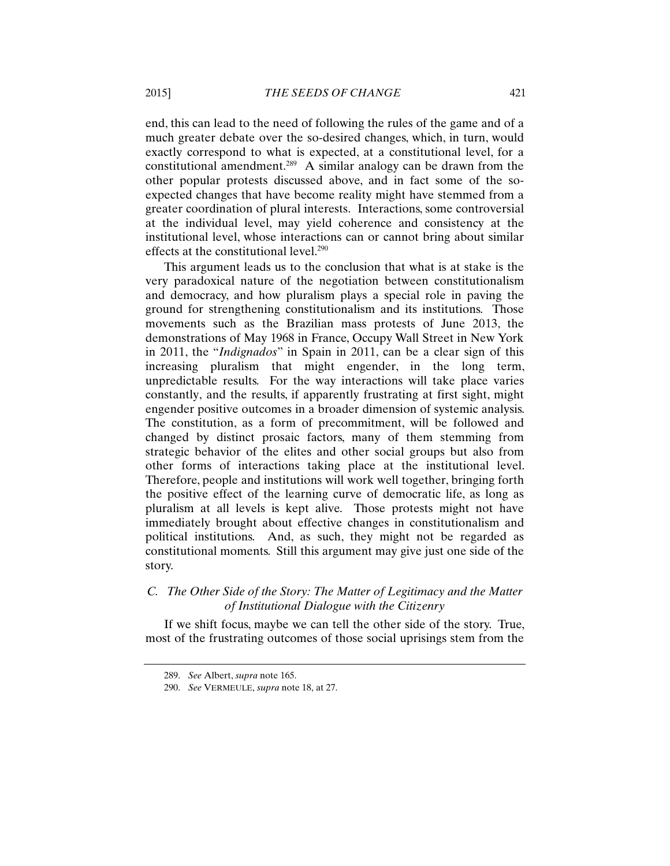end, this can lead to the need of following the rules of the game and of a much greater debate over the so-desired changes, which, in turn, would exactly correspond to what is expected, at a constitutional level, for a constitutional amendment.<sup>289</sup> A similar analogy can be drawn from the other popular protests discussed above, and in fact some of the soexpected changes that have become reality might have stemmed from a greater coordination of plural interests. Interactions, some controversial at the individual level, may yield coherence and consistency at the institutional level, whose interactions can or cannot bring about similar effects at the constitutional level.<sup>290</sup>

This argument leads us to the conclusion that what is at stake is the very paradoxical nature of the negotiation between constitutionalism and democracy, and how pluralism plays a special role in paving the ground for strengthening constitutionalism and its institutions. Those movements such as the Brazilian mass protests of June 2013, the demonstrations of May 1968 in France, Occupy Wall Street in New York in 2011, the "*Indignados*" in Spain in 2011, can be a clear sign of this increasing pluralism that might engender, in the long term, unpredictable results. For the way interactions will take place varies constantly, and the results, if apparently frustrating at first sight, might engender positive outcomes in a broader dimension of systemic analysis. The constitution, as a form of precommitment, will be followed and changed by distinct prosaic factors, many of them stemming from strategic behavior of the elites and other social groups but also from other forms of interactions taking place at the institutional level. Therefore, people and institutions will work well together, bringing forth the positive effect of the learning curve of democratic life, as long as pluralism at all levels is kept alive. Those protests might not have immediately brought about effective changes in constitutionalism and political institutions. And, as such, they might not be regarded as constitutional moments. Still this argument may give just one side of the story.

# *C. The Other Side of the Story: The Matter of Legitimacy and the Matter of Institutional Dialogue with the Citizenry*

If we shift focus, maybe we can tell the other side of the story. True, most of the frustrating outcomes of those social uprisings stem from the

<sup>289.</sup> *See* Albert, *supra* note 165.

<sup>290.</sup> *See* VERMEULE, *supra* note 18, at 27.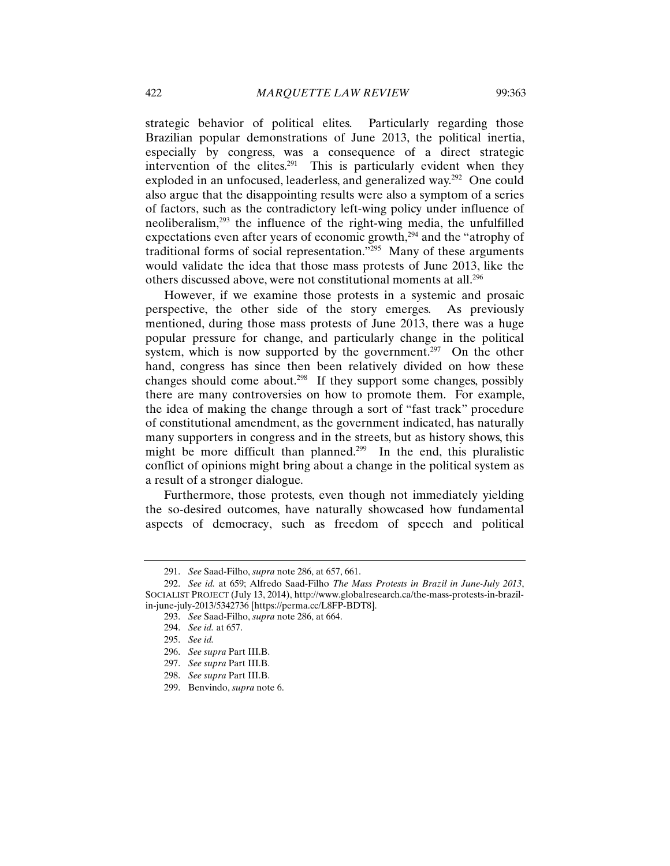strategic behavior of political elites. Particularly regarding those Brazilian popular demonstrations of June 2013, the political inertia, especially by congress, was a consequence of a direct strategic intervention of the elites.<sup>291</sup> This is particularly evident when they exploded in an unfocused, leaderless, and generalized way.<sup>292</sup> One could also argue that the disappointing results were also a symptom of a series of factors, such as the contradictory left-wing policy under influence of neoliberalism,293 the influence of the right-wing media, the unfulfilled expectations even after years of economic growth,<sup>294</sup> and the "atrophy of traditional forms of social representation."295 Many of these arguments would validate the idea that those mass protests of June 2013, like the others discussed above, were not constitutional moments at all.296

However, if we examine those protests in a systemic and prosaic perspective, the other side of the story emerges. As previously mentioned, during those mass protests of June 2013, there was a huge popular pressure for change, and particularly change in the political system, which is now supported by the government.<sup>297</sup> On the other hand, congress has since then been relatively divided on how these changes should come about.<sup>298</sup> If they support some changes, possibly there are many controversies on how to promote them. For example, the idea of making the change through a sort of "fast track" procedure of constitutional amendment, as the government indicated, has naturally many supporters in congress and in the streets, but as history shows, this might be more difficult than planned.<sup>299</sup> In the end, this pluralistic conflict of opinions might bring about a change in the political system as a result of a stronger dialogue.

Furthermore, those protests, even though not immediately yielding the so-desired outcomes, have naturally showcased how fundamental aspects of democracy, such as freedom of speech and political

<sup>291.</sup> *See* Saad-Filho, *supra* note 286, at 657, 661.

<sup>292.</sup> *See id.* at 659; Alfredo Saad-Filho *The Mass Protests in Brazil in June-July 2013*, SOCIALIST PROJECT (July 13, 2014), http://www.globalresearch.ca/the-mass-protests-in-brazilin-june-july-2013/5342736 [https://perma.cc/L8FP-BDT8].

<sup>293.</sup> *See* Saad-Filho, *supra* note 286, at 664.

<sup>294.</sup> *See id.* at 657.

<sup>295.</sup> *See id.* 

<sup>296.</sup> *See supra* Part III.B.

<sup>297.</sup> *See supra* Part III.B.

<sup>298.</sup> *See supra* Part III.B.

<sup>299.</sup> Benvindo, *supra* note 6.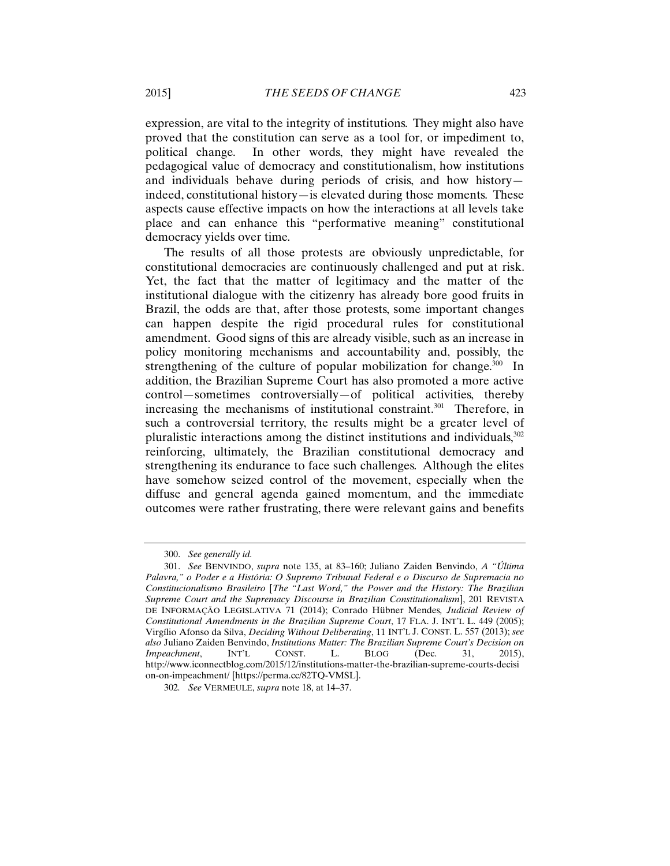expression, are vital to the integrity of institutions. They might also have proved that the constitution can serve as a tool for, or impediment to, political change. In other words, they might have revealed the pedagogical value of democracy and constitutionalism, how institutions and individuals behave during periods of crisis, and how history indeed, constitutional history—is elevated during those moments. These aspects cause effective impacts on how the interactions at all levels take place and can enhance this "performative meaning" constitutional democracy yields over time.

The results of all those protests are obviously unpredictable, for constitutional democracies are continuously challenged and put at risk. Yet, the fact that the matter of legitimacy and the matter of the institutional dialogue with the citizenry has already bore good fruits in Brazil, the odds are that, after those protests, some important changes can happen despite the rigid procedural rules for constitutional amendment. Good signs of this are already visible, such as an increase in policy monitoring mechanisms and accountability and, possibly, the strengthening of the culture of popular mobilization for change.<sup>300</sup> In addition, the Brazilian Supreme Court has also promoted a more active control—sometimes controversially—of political activities, thereby increasing the mechanisms of institutional constraint.<sup>301</sup> Therefore, in such a controversial territory, the results might be a greater level of pluralistic interactions among the distinct institutions and individuals,302 reinforcing, ultimately, the Brazilian constitutional democracy and strengthening its endurance to face such challenges. Although the elites have somehow seized control of the movement, especially when the diffuse and general agenda gained momentum, and the immediate outcomes were rather frustrating, there were relevant gains and benefits

<sup>300.</sup> *See generally id.*

<sup>301.</sup> *See* BENVINDO, *supra* note 135, at 83–160; Juliano Zaiden Benvindo, *A "Última Palavra," o Poder e a História: O Supremo Tribunal Federal e o Discurso de Supremacia no Constitucionalismo Brasileiro* [*The "Last Word," the Power and the History: The Brazilian Supreme Court and the Supremacy Discourse in Brazilian Constitutionalism*], 201 REVISTA DE INFORMAÇÃO LEGISLATIVA 71 (2014); Conrado Hübner Mendes*, Judicial Review of Constitutional Amendments in the Brazilian Supreme Court*, 17 FLA. J. INT'L L. 449 (2005); Virgílio Afonso da Silva, *Deciding Without Deliberating*, 11 INT'L J. CONST. L. 557 (2013); *see also* Juliano Zaiden Benvindo, *Institutions Matter: The Brazilian Supreme Court's Decision on Impeachment*, INT'L CONST. L. BLOG (Dec. 31, http://www.iconnectblog.com/2015/12/institutions-matter-the-brazilian-supreme-courts-decisi on-on-impeachment/ [https://perma.cc/82TQ-VMSL].

<sup>302</sup>*. See* VERMEULE, *supra* note 18, at 14–37.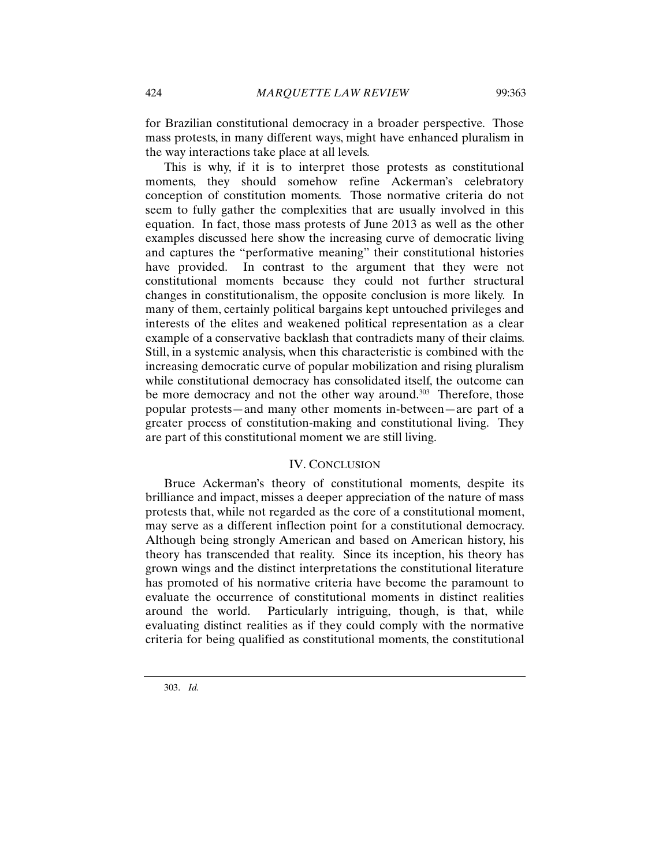for Brazilian constitutional democracy in a broader perspective. Those mass protests, in many different ways, might have enhanced pluralism in the way interactions take place at all levels.

This is why, if it is to interpret those protests as constitutional moments, they should somehow refine Ackerman's celebratory conception of constitution moments. Those normative criteria do not seem to fully gather the complexities that are usually involved in this equation. In fact, those mass protests of June 2013 as well as the other examples discussed here show the increasing curve of democratic living and captures the "performative meaning" their constitutional histories have provided. In contrast to the argument that they were not constitutional moments because they could not further structural changes in constitutionalism, the opposite conclusion is more likely. In many of them, certainly political bargains kept untouched privileges and interests of the elites and weakened political representation as a clear example of a conservative backlash that contradicts many of their claims. Still, in a systemic analysis, when this characteristic is combined with the increasing democratic curve of popular mobilization and rising pluralism while constitutional democracy has consolidated itself, the outcome can be more democracy and not the other way around.<sup>303</sup> Therefore, those popular protests—and many other moments in-between—are part of a greater process of constitution-making and constitutional living. They are part of this constitutional moment we are still living.

## IV. CONCLUSION

Bruce Ackerman's theory of constitutional moments, despite its brilliance and impact, misses a deeper appreciation of the nature of mass protests that, while not regarded as the core of a constitutional moment, may serve as a different inflection point for a constitutional democracy. Although being strongly American and based on American history, his theory has transcended that reality. Since its inception, his theory has grown wings and the distinct interpretations the constitutional literature has promoted of his normative criteria have become the paramount to evaluate the occurrence of constitutional moments in distinct realities around the world. Particularly intriguing, though, is that, while evaluating distinct realities as if they could comply with the normative criteria for being qualified as constitutional moments, the constitutional

303. *Id.*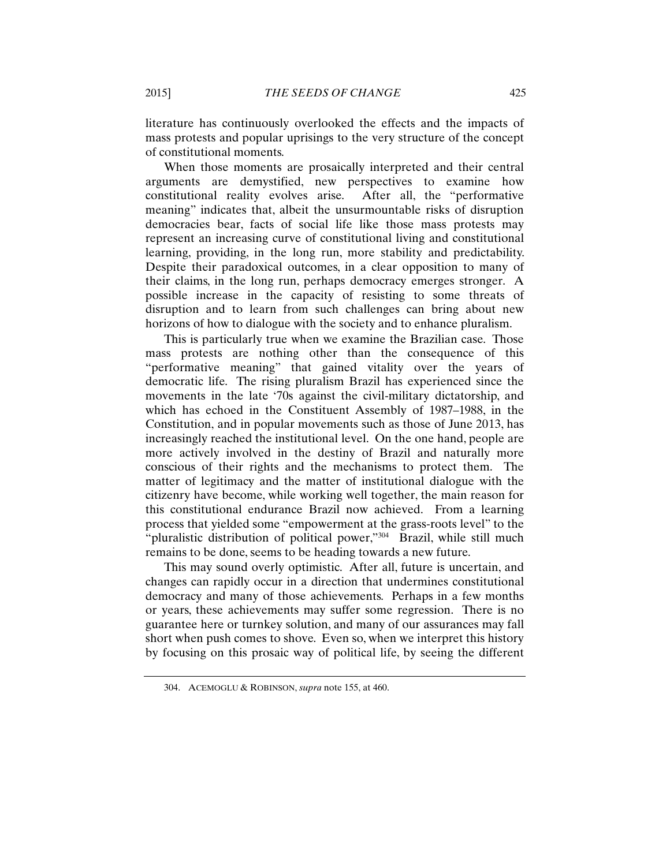literature has continuously overlooked the effects and the impacts of mass protests and popular uprisings to the very structure of the concept of constitutional moments.

When those moments are prosaically interpreted and their central arguments are demystified, new perspectives to examine how constitutional reality evolves arise. After all, the "performative meaning" indicates that, albeit the unsurmountable risks of disruption democracies bear, facts of social life like those mass protests may represent an increasing curve of constitutional living and constitutional learning, providing, in the long run, more stability and predictability. Despite their paradoxical outcomes, in a clear opposition to many of their claims, in the long run, perhaps democracy emerges stronger. A possible increase in the capacity of resisting to some threats of disruption and to learn from such challenges can bring about new horizons of how to dialogue with the society and to enhance pluralism.

This is particularly true when we examine the Brazilian case. Those mass protests are nothing other than the consequence of this "performative meaning" that gained vitality over the years of democratic life. The rising pluralism Brazil has experienced since the movements in the late '70s against the civil-military dictatorship, and which has echoed in the Constituent Assembly of 1987–1988, in the Constitution, and in popular movements such as those of June 2013, has increasingly reached the institutional level. On the one hand, people are more actively involved in the destiny of Brazil and naturally more conscious of their rights and the mechanisms to protect them. The matter of legitimacy and the matter of institutional dialogue with the citizenry have become, while working well together, the main reason for this constitutional endurance Brazil now achieved. From a learning process that yielded some "empowerment at the grass-roots level" to the "pluralistic distribution of political power,"<sup>304</sup> Brazil, while still much remains to be done, seems to be heading towards a new future.

This may sound overly optimistic. After all, future is uncertain, and changes can rapidly occur in a direction that undermines constitutional democracy and many of those achievements. Perhaps in a few months or years, these achievements may suffer some regression. There is no guarantee here or turnkey solution, and many of our assurances may fall short when push comes to shove. Even so, when we interpret this history by focusing on this prosaic way of political life, by seeing the different

<sup>304.</sup> ACEMOGLU & ROBINSON, *supra* note 155, at 460.